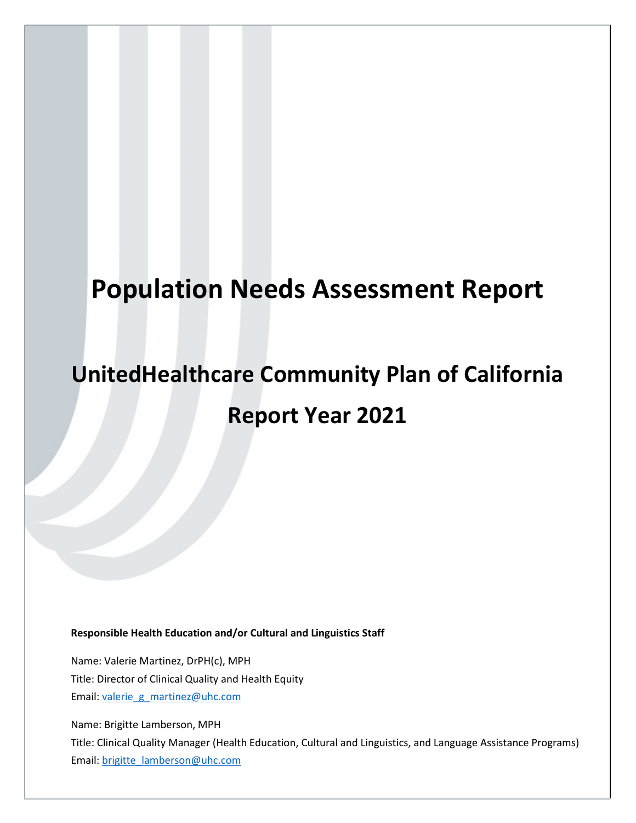# **Population Needs Assessment Report**

# **UnitedHealthcare Community Plan of California Report Year 2021**

**Responsible Health Education and/or Cultural and Linguistics Staff**

Name: Valerie Martinez, DrPH(c), MPH Title: Director of Clinical Quality and Health Equity Email: valerie\_g\_martinez@uhc.com

Name: Brigitte Lamberson, MPH

Title: Clinical Quality Manager (Health Education, Cultural and Linguistics, and Language Assistance Programs) Email: brigitte\_lamberson@uhc.com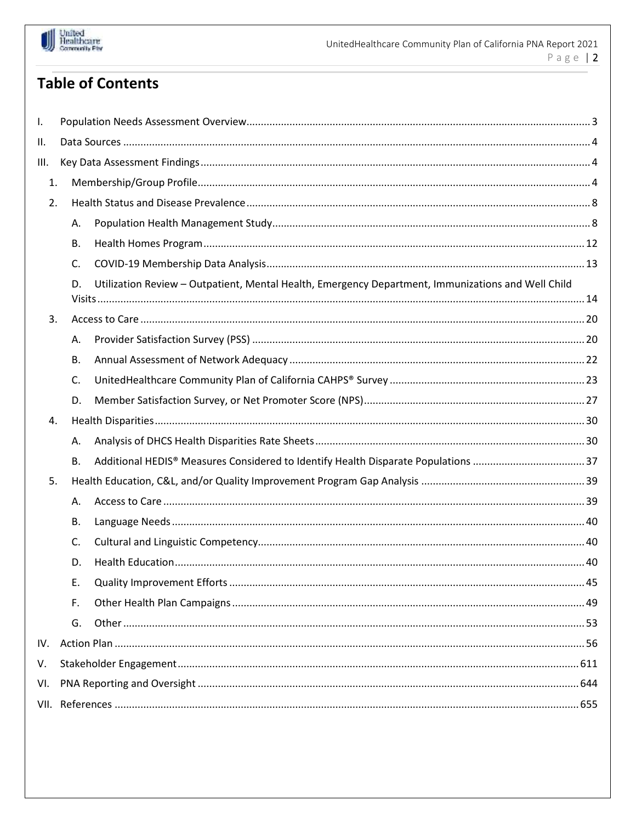

## **Table of Contents**

| Τ.   |           |                                                                                                    |  |  |
|------|-----------|----------------------------------------------------------------------------------------------------|--|--|
| П.   |           |                                                                                                    |  |  |
| III. |           |                                                                                                    |  |  |
| 1.   |           |                                                                                                    |  |  |
| 2.   |           |                                                                                                    |  |  |
|      | Α.        |                                                                                                    |  |  |
|      | <b>B.</b> |                                                                                                    |  |  |
|      | C.        |                                                                                                    |  |  |
|      | D.        | Utilization Review - Outpatient, Mental Health, Emergency Department, Immunizations and Well Child |  |  |
| 3.   |           |                                                                                                    |  |  |
|      | А.        |                                                                                                    |  |  |
|      | В.        |                                                                                                    |  |  |
|      | C.        |                                                                                                    |  |  |
|      | D.        |                                                                                                    |  |  |
| 4.   |           |                                                                                                    |  |  |
|      | Α.        |                                                                                                    |  |  |
|      | <b>B.</b> |                                                                                                    |  |  |
| 5.   |           |                                                                                                    |  |  |
|      | А.        |                                                                                                    |  |  |
|      | В.        |                                                                                                    |  |  |
|      | C.        |                                                                                                    |  |  |
|      | D.        |                                                                                                    |  |  |
|      | Ε.        |                                                                                                    |  |  |
|      | F.        |                                                                                                    |  |  |
|      | G.        |                                                                                                    |  |  |
| IV.  |           |                                                                                                    |  |  |
| V.   |           |                                                                                                    |  |  |
| VI.  |           |                                                                                                    |  |  |
|      |           |                                                                                                    |  |  |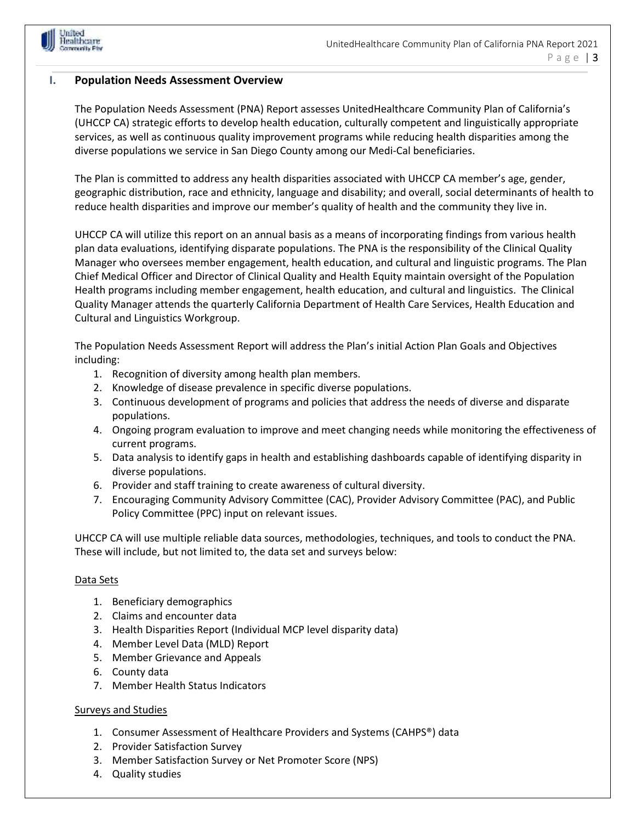

#### **I. Population Needs Assessment Overview**

The Population Needs Assessment (PNA) Report assesses UnitedHealthcare Community Plan of California's (UHCCP CA) strategic efforts to develop health education, culturally competent and linguistically appropriate services, as well as continuous quality improvement programs while reducing health disparities among the diverse populations we service in San Diego County among our Medi-Cal beneficiaries.

The Plan is committed to address any health disparities associated with UHCCP CA member's age, gender, geographic distribution, race and ethnicity, language and disability; and overall, social determinants of health to reduce health disparities and improve our member's quality of health and the community they live in.

UHCCP CA will utilize this report on an annual basis as a means of incorporating findings from various health plan data evaluations, identifying disparate populations. The PNA is the responsibility of the Clinical Quality Manager who oversees member engagement, health education, and cultural and linguistic programs. The Plan Chief Medical Officer and Director of Clinical Quality and Health Equity maintain oversight of the Population Health programs including member engagement, health education, and cultural and linguistics. The Clinical Quality Manager attends the quarterly California Department of Health Care Services, Health Education and Cultural and Linguistics Workgroup.

The Population Needs Assessment Report will address the Plan's initial Action Plan Goals and Objectives including:

- 1. Recognition of diversity among health plan members.
- 2. Knowledge of disease prevalence in specific diverse populations.
- 3. Continuous development of programs and policies that address the needs of diverse and disparate populations.
- 4. Ongoing program evaluation to improve and meet changing needs while monitoring the effectiveness of current programs.
- 5. Data analysis to identify gaps in health and establishing dashboards capable of identifying disparity in diverse populations.
- 6. Provider and staff training to create awareness of cultural diversity.
- 7. Encouraging Community Advisory Committee (CAC), Provider Advisory Committee (PAC), and Public Policy Committee (PPC) input on relevant issues.

UHCCP CA will use multiple reliable data sources, methodologies, techniques, and tools to conduct the PNA. These will include, but not limited to, the data set and surveys below:

#### Data Sets

- 1. Beneficiary demographics
- 2. Claims and encounter data
- 3. Health Disparities Report (Individual MCP level disparity data)
- 4. Member Level Data (MLD) Report
- 5. Member Grievance and Appeals
- 6. County data
- 7. Member Health Status Indicators

#### Surveys and Studies

- 1. Consumer Assessment of Healthcare Providers and Systems (CAHPS®) data
- 2. Provider Satisfaction Survey
- 3. Member Satisfaction Survey or Net Promoter Score (NPS)
- 4. Quality studies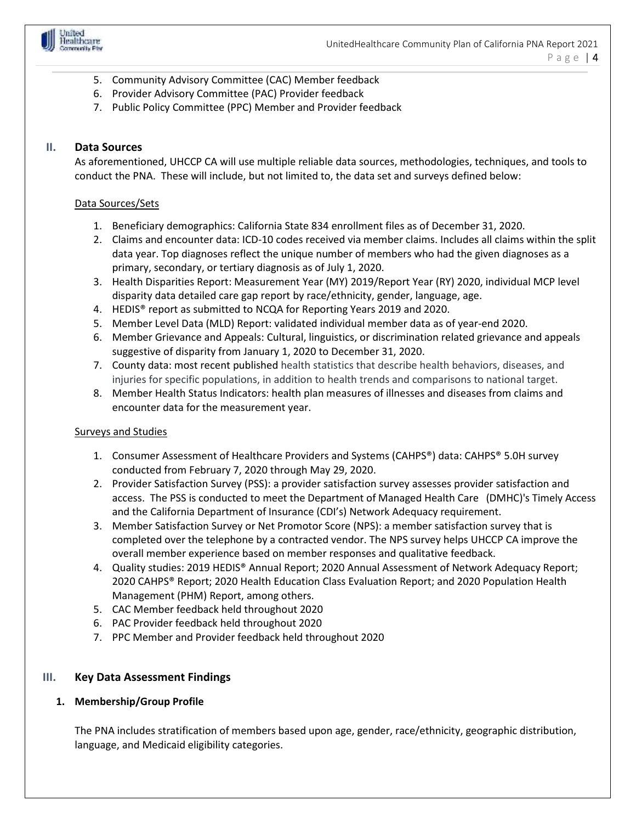

- 5. Community Advisory Committee (CAC) Member feedback
- 6. Provider Advisory Committee (PAC) Provider feedback
- 7. Public Policy Committee (PPC) Member and Provider feedback

#### **II. Data Sources**

As aforementioned, UHCCP CA will use multiple reliable data sources, methodologies, techniques, and tools to conduct the PNA. These will include, but not limited to, the data set and surveys defined below:

#### Data Sources/Sets

- 1. Beneficiary demographics: California State 834 enrollment files as of December 31, 2020.
- 2. Claims and encounter data: ICD-10 codes received via member claims. Includes all claims within the split data year. Top diagnoses reflect the unique number of members who had the given diagnoses as a primary, secondary, or tertiary diagnosis as of July 1, 2020.
- 3. Health Disparities Report: Measurement Year (MY) 2019/Report Year (RY) 2020, individual MCP level disparity data detailed care gap report by race/ethnicity, gender, language, age.
- 4. HEDIS® report as submitted to NCQA for Reporting Years 2019 and 2020.
- 5. Member Level Data (MLD) Report: validated individual member data as of year-end 2020.
- 6. Member Grievance and Appeals: Cultural, linguistics, or discrimination related grievance and appeals suggestive of disparity from January 1, 2020 to December 31, 2020.
- 7. County data: most recent published health statistics that describe health behaviors, diseases, and injuries for specific populations, in addition to health trends and comparisons to national target.
- 8. Member Health Status Indicators: health plan measures of illnesses and diseases from claims and encounter data for the measurement year.

#### Surveys and Studies

- 1. Consumer Assessment of Healthcare Providers and Systems (CAHPS®) data: CAHPS® 5.0H survey conducted from February 7, 2020 through May 29, 2020.
- 2. Provider Satisfaction Survey (PSS): a provider satisfaction survey assesses provider satisfaction and access. The PSS is conducted to meet the Department of Managed Health Care (DMHC)'s Timely Access and the California Department of Insurance (CDI's) Network Adequacy requirement.
- 3. Member Satisfaction Survey or Net Promotor Score (NPS): a member satisfaction survey that is completed over the telephone by a contracted vendor. The NPS survey helps UHCCP CA improve the overall member experience based on member responses and qualitative feedback.
- 4. Quality studies: 2019 HEDIS® Annual Report; 2020 Annual Assessment of Network Adequacy Report; 2020 CAHPS® Report; 2020 Health Education Class Evaluation Report; and 2020 Population Health Management (PHM) Report, among others.
- 5. CAC Member feedback held throughout 2020
- 6. PAC Provider feedback held throughout 2020
- 7. PPC Member and Provider feedback held throughout 2020

#### **III. Key Data Assessment Findings**

#### **1. Membership/Group Profile**

The PNA includes stratification of members based upon age, gender, race/ethnicity, geographic distribution, language, and Medicaid eligibility categories.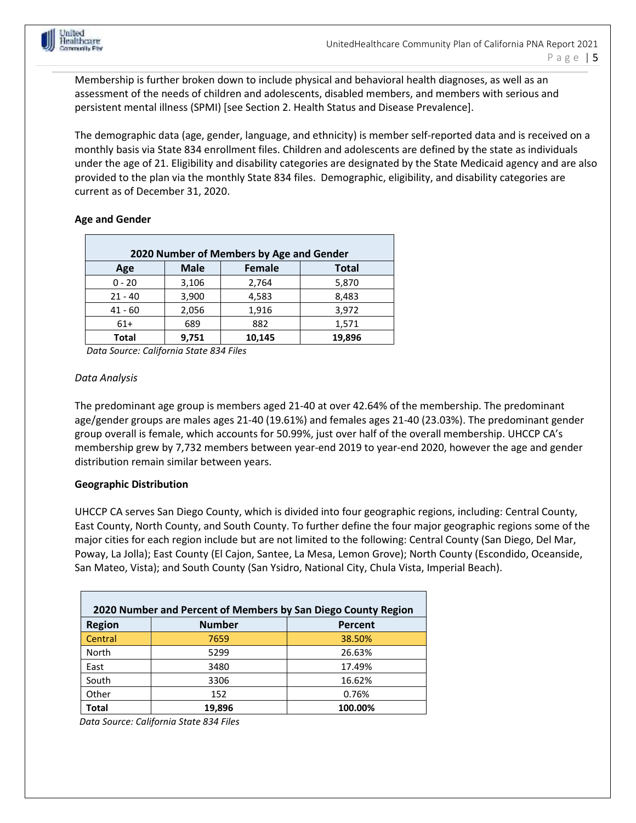

Membership is further broken down to include physical and behavioral health diagnoses, as well as an assessment of the needs of children and adolescents, disabled members, and members with serious and persistent mental illness (SPMI) [see Section 2. Health Status and Disease Prevalence].

The demographic data (age, gender, language, and ethnicity) is member self-reported data and is received on a monthly basis via State 834 enrollment files. Children and adolescents are defined by the state as individuals under the age of 21. Eligibility and disability categories are designated by the State Medicaid agency and are also provided to the plan via the monthly State 834 files. Demographic, eligibility, and disability categories are current as of December 31, 2020.

#### **Age and Gender**

| 2020 Number of Members by Age and Gender |             |        |              |  |
|------------------------------------------|-------------|--------|--------------|--|
| Age                                      | <b>Male</b> | Female | <b>Total</b> |  |
| $0 - 20$                                 | 3,106       | 2,764  | 5,870        |  |
| $21 - 40$                                | 3,900       | 4,583  | 8,483        |  |
| $41 - 60$                                | 2,056       | 1,916  | 3,972        |  |
| $61+$                                    | 689         | 882    | 1,571        |  |
| Total                                    | 9,751       | 10,145 | 19,896       |  |

 *Data Source: California State 834 Files* 

#### *Data Analysis*

The predominant age group is members aged 21-40 at over 42.64% of the membership. The predominant age/gender groups are males ages 21-40 (19.61%) and females ages 21-40 (23.03%). The predominant gender group overall is female, which accounts for 50.99%, just over half of the overall membership. UHCCP CA's membership grew by 7,732 members between year-end 2019 to year-end 2020, however the age and gender distribution remain similar between years.

#### **Geographic Distribution**

UHCCP CA serves San Diego County, which is divided into four geographic regions, including: Central County, East County, North County, and South County. To further define the four major geographic regions some of the major cities for each region include but are not limited to the following: Central County (San Diego, Del Mar, Poway, La Jolla); East County (El Cajon, Santee, La Mesa, Lemon Grove); North County (Escondido, Oceanside, San Mateo, Vista); and South County (San Ysidro, National City, Chula Vista, Imperial Beach).

| 2020 Number and Percent of Members by San Diego County Region |               |         |  |  |
|---------------------------------------------------------------|---------------|---------|--|--|
| <b>Region</b>                                                 | <b>Number</b> | Percent |  |  |
| Central                                                       | 7659          | 38.50%  |  |  |
| North                                                         | 5299          | 26.63%  |  |  |
| East                                                          | 3480          | 17.49%  |  |  |
| South                                                         | 3306          | 16.62%  |  |  |
| Other                                                         | 152           | 0.76%   |  |  |
| Total                                                         | 19,896        | 100.00% |  |  |

 *Data Source: California State 834 Files*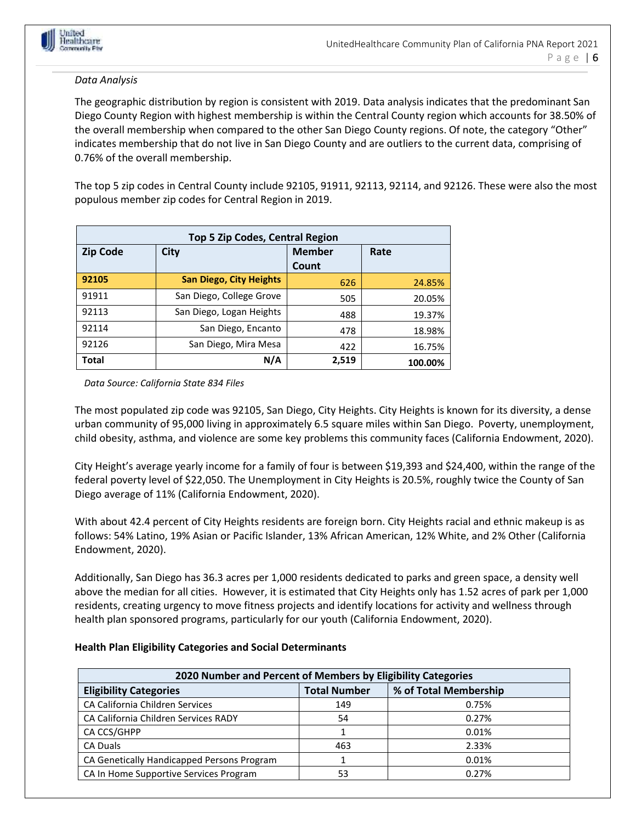

#### *Data Analysis*

The geographic distribution by region is consistent with 2019. Data analysis indicates that the predominant San Diego County Region with highest membership is within the Central County region which accounts for 38.50% of the overall membership when compared to the other San Diego County regions. Of note, the category "Other" indicates membership that do not live in San Diego County and are outliers to the current data, comprising of 0.76% of the overall membership.

The top 5 zip codes in Central County include 92105, 91911, 92113, 92114, and 92126. These were also the most populous member zip codes for Central Region in 2019.

| Top 5 Zip Codes, Central Region |                                |               |         |  |  |
|---------------------------------|--------------------------------|---------------|---------|--|--|
| <b>Zip Code</b>                 | City                           | <b>Member</b> | Rate    |  |  |
|                                 |                                | Count         |         |  |  |
| 92105                           | <b>San Diego, City Heights</b> | 626           | 24.85%  |  |  |
| 91911                           | San Diego, College Grove       | 505           | 20.05%  |  |  |
| 92113                           | San Diego, Logan Heights       | 488           | 19.37%  |  |  |
| 92114<br>San Diego, Encanto     |                                | 478           | 18.98%  |  |  |
| 92126                           | San Diego, Mira Mesa           | 422           | 16.75%  |  |  |
| Total                           | N/A                            | 2,519         | 100.00% |  |  |

#### *Data Source: California State 834 Files*

The most populated zip code was 92105, San Diego, City Heights. City Heights is known for its diversity, a dense urban community of 95,000 living in approximately 6.5 square miles within San Diego. Poverty, unemployment, child obesity, asthma, and violence are some key problems this community faces (California Endowment, 2020).

City Height's average yearly income for a family of four is between \$19,393 and \$24,400, within the range of the federal poverty level of \$22,050. The Unemployment in City Heights is 20.5%, roughly twice the County of San Diego average of 11% (California Endowment, 2020).

With about 42.4 percent of City Heights residents are foreign born. City Heights racial and ethnic makeup is as follows: 54% Latino, 19% Asian or Pacific Islander, 13% African American, 12% White, and 2% Other (California Endowment, 2020).

Additionally, San Diego has 36.3 acres per 1,000 residents dedicated to parks and green space, a density well above the median for all cities. However, it is estimated that City Heights only has 1.52 acres of park per 1,000 residents, creating urgency to move fitness projects and identify locations for activity and wellness through health plan sponsored programs, particularly for our youth (California Endowment, 2020).

| 2020 Number and Percent of Members by Eligibility Categories |                     |                       |  |  |
|--------------------------------------------------------------|---------------------|-----------------------|--|--|
| <b>Eligibility Categories</b>                                | <b>Total Number</b> | % of Total Membership |  |  |
| CA California Children Services                              | 149                 | 0.75%                 |  |  |
| CA California Children Services RADY                         | 54                  | 0.27%                 |  |  |
| CA CCS/GHPP                                                  |                     | 0.01%                 |  |  |
| <b>CA Duals</b>                                              | 463                 | 2.33%                 |  |  |
| CA Genetically Handicapped Persons Program                   |                     | 0.01%                 |  |  |
| CA In Home Supportive Services Program                       | 53                  | 0.27%                 |  |  |

#### **Health Plan Eligibility Categories and Social Determinants**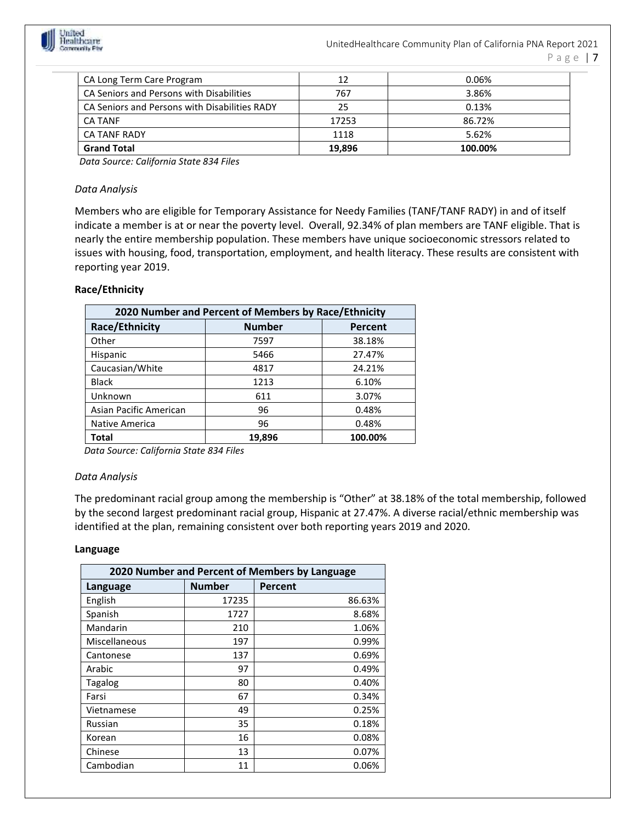

| CA Long Term Care Program                     | 12     | 0.06%   |
|-----------------------------------------------|--------|---------|
| CA Seniors and Persons with Disabilities      | 767    | 3.86%   |
| CA Seniors and Persons with Disabilities RADY | 25     | 0.13%   |
| <b>CA TANF</b>                                | 17253  | 86.72%  |
| <b>CA TANF RADY</b>                           | 1118   | 5.62%   |
| <b>Grand Total</b>                            | 19.896 | 100.00% |

 *Data Source: California State 834 Files* 

#### *Data Analysis*

Members who are eligible for Temporary Assistance for Needy Families (TANF/TANF RADY) in and of itself indicate a member is at or near the poverty level. Overall, 92.34% of plan members are TANF eligible. That is nearly the entire membership population. These members have unique socioeconomic stressors related to issues with housing, food, transportation, employment, and health literacy. These results are consistent with reporting year 2019.

#### **Race/Ethnicity**

| 2020 Number and Percent of Members by Race/Ethnicity |               |         |  |  |
|------------------------------------------------------|---------------|---------|--|--|
| <b>Race/Ethnicity</b>                                | <b>Number</b> | Percent |  |  |
| Other                                                | 7597          | 38.18%  |  |  |
| Hispanic                                             | 5466          | 27.47%  |  |  |
| Caucasian/White                                      | 4817          | 24.21%  |  |  |
| <b>Black</b>                                         | 1213          | 6.10%   |  |  |
| Unknown                                              | 611           | 3.07%   |  |  |
| Asian Pacific American                               | 96            | 0.48%   |  |  |
| Native America                                       | 96            | 0.48%   |  |  |
| Total                                                | 19,896        | 100.00% |  |  |

 *Data Source: California State 834 Files* 

#### *Data Analysis*

The predominant racial group among the membership is "Other" at 38.18% of the total membership, followed by the second largest predominant racial group, Hispanic at 27.47%. A diverse racial/ethnic membership was identified at the plan, remaining consistent over both reporting years 2019 and 2020.

#### **Language**

| 2020 Number and Percent of Members by Language |               |         |  |  |  |
|------------------------------------------------|---------------|---------|--|--|--|
| Language                                       | <b>Number</b> | Percent |  |  |  |
| English                                        | 17235         | 86.63%  |  |  |  |
| Spanish                                        | 1727          | 8.68%   |  |  |  |
| Mandarin                                       | 210           | 1.06%   |  |  |  |
| Miscellaneous                                  | 197           | 0.99%   |  |  |  |
| Cantonese                                      | 137           | 0.69%   |  |  |  |
| Arabic                                         | 97            | 0.49%   |  |  |  |
| <b>Tagalog</b>                                 | 80            | 0.40%   |  |  |  |
| Farsi                                          | 67            | 0.34%   |  |  |  |
| Vietnamese                                     | 49            | 0.25%   |  |  |  |
| Russian                                        | 35            | 0.18%   |  |  |  |
| Korean                                         | 16            | 0.08%   |  |  |  |
| Chinese                                        | 13            | 0.07%   |  |  |  |
| Cambodian                                      | 11            | 0.06%   |  |  |  |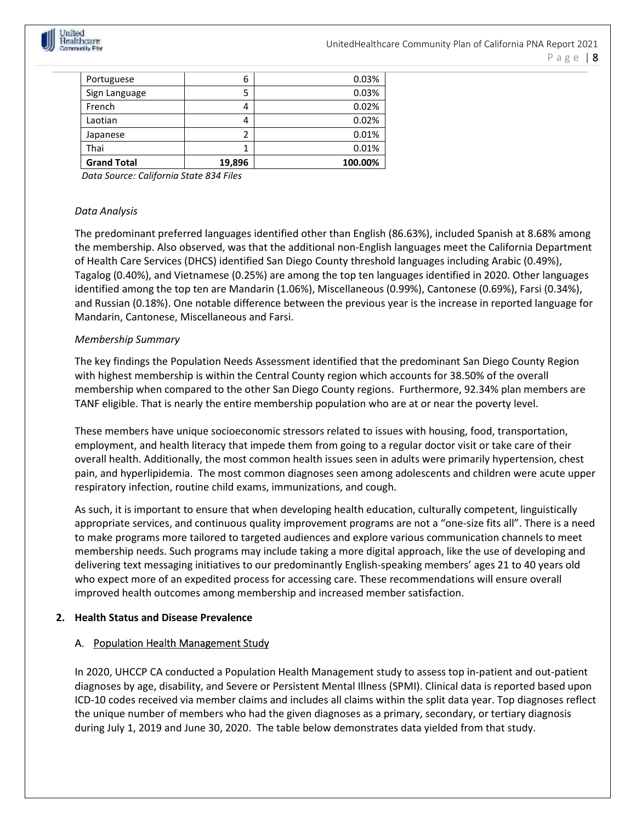

| <b>Grand Total</b> | 19,896 | 100.00% |
|--------------------|--------|---------|
| Thai               |        | 0.01%   |
| Japanese           |        | 0.01%   |
| Laotian            | 4      | 0.02%   |
| French             | 4      | 0.02%   |
| Sign Language      | 5      | 0.03%   |
| Portuguese         | 6      | 0.03%   |

 *Data Source: California State 834 Files* 

#### *Data Analysis*

The predominant preferred languages identified other than English (86.63%), included Spanish at 8.68% among the membership. Also observed, was that the additional non-English languages meet the California Department of Health Care Services (DHCS) identified San Diego County threshold languages including Arabic (0.49%), Tagalog (0.40%), and Vietnamese (0.25%) are among the top ten languages identified in 2020. Other languages identified among the top ten are Mandarin (1.06%), Miscellaneous (0.99%), Cantonese (0.69%), Farsi (0.34%), and Russian (0.18%). One notable difference between the previous year is the increase in reported language for Mandarin, Cantonese, Miscellaneous and Farsi.

#### *Membership Summary*

The key findings the Population Needs Assessment identified that the predominant San Diego County Region with highest membership is within the Central County region which accounts for 38.50% of the overall membership when compared to the other San Diego County regions. Furthermore, 92.34% plan members are TANF eligible. That is nearly the entire membership population who are at or near the poverty level.

These members have unique socioeconomic stressors related to issues with housing, food, transportation, employment, and health literacy that impede them from going to a regular doctor visit or take care of their overall health. Additionally, the most common health issues seen in adults were primarily hypertension, chest pain, and hyperlipidemia. The most common diagnoses seen among adolescents and children were acute upper respiratory infection, routine child exams, immunizations, and cough.

As such, it is important to ensure that when developing health education, culturally competent, linguistically appropriate services, and continuous quality improvement programs are not a "one-size fits all". There is a need to make programs more tailored to targeted audiences and explore various communication channels to meet membership needs. Such programs may include taking a more digital approach, like the use of developing and delivering text messaging initiatives to our predominantly English-speaking members' ages 21 to 40 years old who expect more of an expedited process for accessing care. These recommendations will ensure overall improved health outcomes among membership and increased member satisfaction.

#### **2. Health Status and Disease Prevalence**

#### A. Population Health Management Study

In 2020, UHCCP CA conducted a Population Health Management study to assess top in-patient and out-patient diagnoses by age, disability, and Severe or Persistent Mental Illness (SPMI). Clinical data is reported based upon ICD-10 codes received via member claims and includes all claims within the split data year. Top diagnoses reflect the unique number of members who had the given diagnoses as a primary, secondary, or tertiary diagnosis during July 1, 2019 and June 30, 2020. The table below demonstrates data yielded from that study.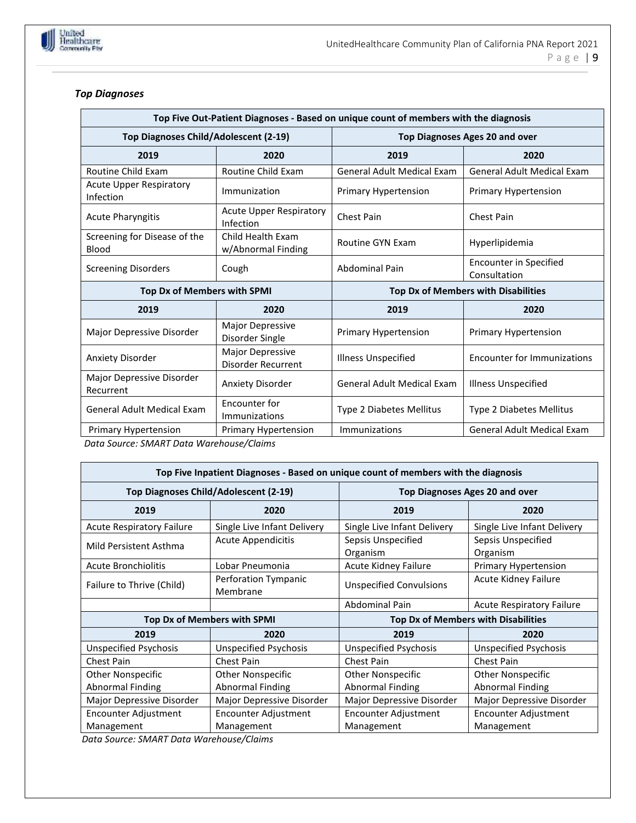

#### *Top Diagnoses*

| Top Five Out-Patient Diagnoses - Based on unique count of members with the diagnosis |                                             |                                            |                                               |  |
|--------------------------------------------------------------------------------------|---------------------------------------------|--------------------------------------------|-----------------------------------------------|--|
| Top Diagnoses Child/Adolescent (2-19)                                                |                                             | Top Diagnoses Ages 20 and over             |                                               |  |
| 2019<br>2020                                                                         |                                             | 2019                                       | 2020                                          |  |
| Routine Child Exam                                                                   | Routine Child Exam                          | <b>General Adult Medical Exam</b>          | <b>General Adult Medical Exam</b>             |  |
| <b>Acute Upper Respiratory</b><br><b>Infection</b>                                   | Immunization                                | Primary Hypertension                       | Primary Hypertension                          |  |
| Acute Pharyngitis                                                                    | <b>Acute Upper Respiratory</b><br>Infection | <b>Chest Pain</b>                          | <b>Chest Pain</b>                             |  |
| Screening for Disease of the<br>Blood                                                | Child Health Exam<br>w/Abnormal Finding     | Routine GYN Exam                           | Hyperlipidemia                                |  |
| <b>Screening Disorders</b>                                                           | Cough                                       | <b>Abdominal Pain</b>                      | <b>Encounter in Specified</b><br>Consultation |  |
| Top Dx of Members with SPMI                                                          |                                             | <b>Top Dx of Members with Disabilities</b> |                                               |  |
| 2019                                                                                 | 2020                                        | 2019                                       | 2020                                          |  |
| Major Depressive Disorder                                                            | Major Depressive<br>Disorder Single         | Primary Hypertension                       | Primary Hypertension                          |  |
| Anxiety Disorder                                                                     | Major Depressive<br>Disorder Recurrent      | <b>Illness Unspecified</b>                 | <b>Encounter for Immunizations</b>            |  |
| Major Depressive Disorder<br>Recurrent                                               | <b>Anxiety Disorder</b>                     | <b>General Adult Medical Exam</b>          | Illness Unspecified                           |  |
| <b>General Adult Medical Exam</b>                                                    | Encounter for<br>Immunizations              | Type 2 Diabetes Mellitus                   | Type 2 Diabetes Mellitus                      |  |
| Primary Hypertension<br>Primary Hypertension                                         |                                             | <b>Immunizations</b>                       | <b>General Adult Medical Exam</b>             |  |

 *Data Source: SMART Data Warehouse/Claims* 

| Top Five Inpatient Diagnoses - Based on unique count of members with the diagnosis |                                       |                                            |                                  |  |  |
|------------------------------------------------------------------------------------|---------------------------------------|--------------------------------------------|----------------------------------|--|--|
|                                                                                    | Top Diagnoses Child/Adolescent (2-19) | <b>Top Diagnoses Ages 20 and over</b>      |                                  |  |  |
| 2019                                                                               | 2020                                  | 2019                                       | 2020                             |  |  |
| <b>Acute Respiratory Failure</b>                                                   | Single Live Infant Delivery           | Single Live Infant Delivery                | Single Live Infant Delivery      |  |  |
| Mild Persistent Asthma                                                             | <b>Acute Appendicitis</b>             | Sepsis Unspecified<br>Organism             | Sepsis Unspecified<br>Organism   |  |  |
| <b>Acute Bronchiolitis</b>                                                         | Lobar Pneumonia                       | <b>Acute Kidney Failure</b>                | Primary Hypertension             |  |  |
| Failure to Thrive (Child)                                                          | Perforation Tympanic<br>Membrane      | <b>Unspecified Convulsions</b>             | <b>Acute Kidney Failure</b>      |  |  |
|                                                                                    |                                       | <b>Abdominal Pain</b>                      | <b>Acute Respiratory Failure</b> |  |  |
|                                                                                    | Top Dx of Members with SPMI           | <b>Top Dx of Members with Disabilities</b> |                                  |  |  |
| 2019                                                                               | 2020                                  | 2019                                       | 2020                             |  |  |
| Unspecified Psychosis                                                              | Unspecified Psychosis                 | <b>Unspecified Psychosis</b>               | Unspecified Psychosis            |  |  |
| Chest Pain                                                                         | <b>Chest Pain</b>                     | <b>Chest Pain</b>                          | <b>Chest Pain</b>                |  |  |
| <b>Other Nonspecific</b>                                                           | <b>Other Nonspecific</b>              | <b>Other Nonspecific</b>                   | <b>Other Nonspecific</b>         |  |  |
| <b>Abnormal Finding</b>                                                            | <b>Abnormal Finding</b>               | <b>Abnormal Finding</b>                    | <b>Abnormal Finding</b>          |  |  |
| Major Depressive Disorder                                                          | Major Depressive Disorder             | Major Depressive Disorder                  | Major Depressive Disorder        |  |  |
| Encounter Adjustment                                                               | Encounter Adjustment                  | Encounter Adjustment                       | Encounter Adjustment             |  |  |
| Management                                                                         | Management                            | Management                                 | Management                       |  |  |

 *Data Source: SMART Data Warehouse/Claims*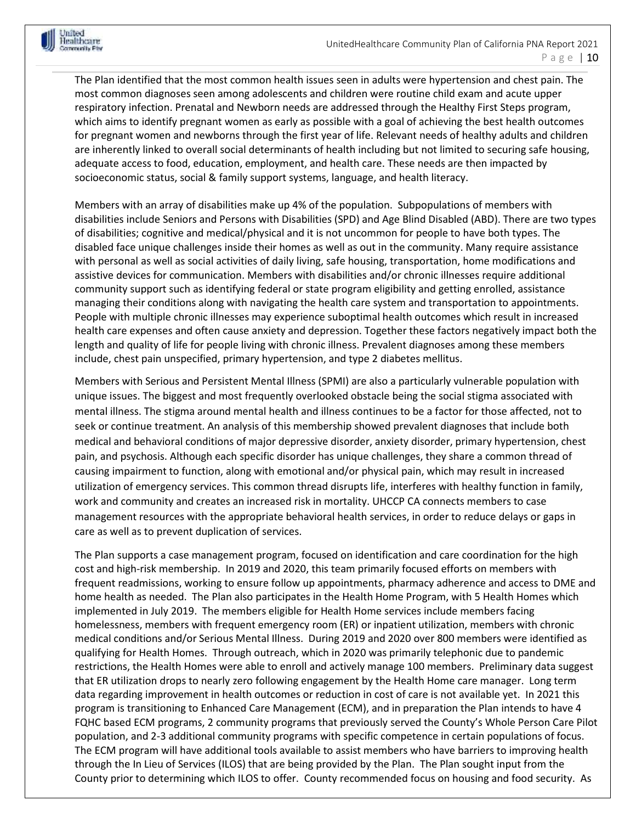

The Plan identified that the most common health issues seen in adults were hypertension and chest pain. The most common diagnoses seen among adolescents and children were routine child exam and acute upper respiratory infection. Prenatal and Newborn needs are addressed through the Healthy First Steps program, which aims to identify pregnant women as early as possible with a goal of achieving the best health outcomes for pregnant women and newborns through the first year of life. Relevant needs of healthy adults and children are inherently linked to overall social determinants of health including but not limited to securing safe housing, adequate access to food, education, employment, and health care. These needs are then impacted by socioeconomic status, social & family support systems, language, and health literacy.

Members with an array of disabilities make up 4% of the population. Subpopulations of members with disabilities include Seniors and Persons with Disabilities (SPD) and Age Blind Disabled (ABD). There are two types of disabilities; cognitive and medical/physical and it is not uncommon for people to have both types. The disabled face unique challenges inside their homes as well as out in the community. Many require assistance with personal as well as social activities of daily living, safe housing, transportation, home modifications and assistive devices for communication. Members with disabilities and/or chronic illnesses require additional community support such as identifying federal or state program eligibility and getting enrolled, assistance managing their conditions along with navigating the health care system and transportation to appointments. People with multiple chronic illnesses may experience suboptimal health outcomes which result in increased health care expenses and often cause anxiety and depression. Together these factors negatively impact both the length and quality of life for people living with chronic illness. Prevalent diagnoses among these members include, chest pain unspecified, primary hypertension, and type 2 diabetes mellitus.

Members with Serious and Persistent Mental Illness (SPMI) are also a particularly vulnerable population with unique issues. The biggest and most frequently overlooked obstacle being the social stigma associated with mental illness. The stigma around mental health and illness continues to be a factor for those affected, not to seek or continue treatment. An analysis of this membership showed prevalent diagnoses that include both medical and behavioral conditions of major depressive disorder, anxiety disorder, primary hypertension, chest pain, and psychosis. Although each specific disorder has unique challenges, they share a common thread of causing impairment to function, along with emotional and/or physical pain, which may result in increased utilization of emergency services. This common thread disrupts life, interferes with healthy function in family, work and community and creates an increased risk in mortality. UHCCP CA connects members to case management resources with the appropriate behavioral health services, in order to reduce delays or gaps in care as well as to prevent duplication of services.

The Plan supports a case management program, focused on identification and care coordination for the high cost and high-risk membership. In 2019 and 2020, this team primarily focused efforts on members with frequent readmissions, working to ensure follow up appointments, pharmacy adherence and access to DME and home health as needed. The Plan also participates in the Health Home Program, with 5 Health Homes which implemented in July 2019. The members eligible for Health Home services include members facing homelessness, members with frequent emergency room (ER) or inpatient utilization, members with chronic medical conditions and/or Serious Mental Illness. During 2019 and 2020 over 800 members were identified as qualifying for Health Homes. Through outreach, which in 2020 was primarily telephonic due to pandemic restrictions, the Health Homes were able to enroll and actively manage 100 members. Preliminary data suggest that ER utilization drops to nearly zero following engagement by the Health Home care manager. Long term data regarding improvement in health outcomes or reduction in cost of care is not available yet. In 2021 this program is transitioning to Enhanced Care Management (ECM), and in preparation the Plan intends to have 4 FQHC based ECM programs, 2 community programs that previously served the County's Whole Person Care Pilot population, and 2-3 additional community programs with specific competence in certain populations of focus. The ECM program will have additional tools available to assist members who have barriers to improving health through the In Lieu of Services (ILOS) that are being provided by the Plan. The Plan sought input from the County prior to determining which ILOS to offer. County recommended focus on housing and food security. As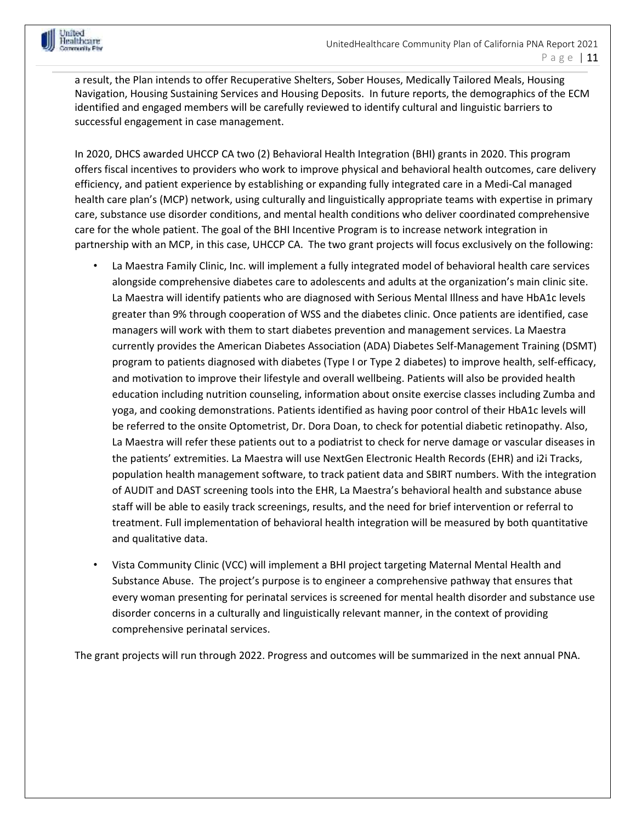a result, the Plan intends to offer Recuperative Shelters, Sober Houses, Medically Tailored Meals, Housing Navigation, Housing Sustaining Services and Housing Deposits. In future reports, the demographics of the ECM identified and engaged members will be carefully reviewed to identify cultural and linguistic barriers to successful engagement in case management.

Inited Healthcare

> In 2020, DHCS awarded UHCCP CA two (2) Behavioral Health Integration (BHI) grants in 2020. This program offers fiscal incentives to providers who work to improve physical and behavioral health outcomes, care delivery efficiency, and patient experience by establishing or expanding fully integrated care in a Medi-Cal managed health care plan's (MCP) network, using culturally and linguistically appropriate teams with expertise in primary care, substance use disorder conditions, and mental health conditions who deliver coordinated comprehensive care for the whole patient. The goal of the BHI Incentive Program is to increase network integration in partnership with an MCP, in this case, UHCCP CA. The two grant projects will focus exclusively on the following:

- La Maestra Family Clinic, Inc. will implement a fully integrated model of behavioral health care services alongside comprehensive diabetes care to adolescents and adults at the organization's main clinic site. La Maestra will identify patients who are diagnosed with Serious Mental Illness and have HbA1c levels greater than 9% through cooperation of WSS and the diabetes clinic. Once patients are identified, case managers will work with them to start diabetes prevention and management services. La Maestra currently provides the American Diabetes Association (ADA) Diabetes Self-Management Training (DSMT) program to patients diagnosed with diabetes (Type I or Type 2 diabetes) to improve health, self-efficacy, and motivation to improve their lifestyle and overall wellbeing. Patients will also be provided health education including nutrition counseling, information about onsite exercise classes including Zumba and yoga, and cooking demonstrations. Patients identified as having poor control of their HbA1c levels will be referred to the onsite Optometrist, Dr. Dora Doan, to check for potential diabetic retinopathy. Also, La Maestra will refer these patients out to a podiatrist to check for nerve damage or vascular diseases in the patients' extremities. La Maestra will use NextGen Electronic Health Records (EHR) and i2i Tracks, population health management software, to track patient data and SBIRT numbers. With the integration of AUDIT and DAST screening tools into the EHR, La Maestra's behavioral health and substance abuse staff will be able to easily track screenings, results, and the need for brief intervention or referral to treatment. Full implementation of behavioral health integration will be measured by both quantitative and qualitative data.
- Vista Community Clinic (VCC) will implement a BHI project targeting Maternal Mental Health and Substance Abuse. The project's purpose is to engineer a comprehensive pathway that ensures that every woman presenting for perinatal services is screened for mental health disorder and substance use disorder concerns in a culturally and linguistically relevant manner, in the context of providing comprehensive perinatal services.

The grant projects will run through 2022. Progress and outcomes will be summarized in the next annual PNA.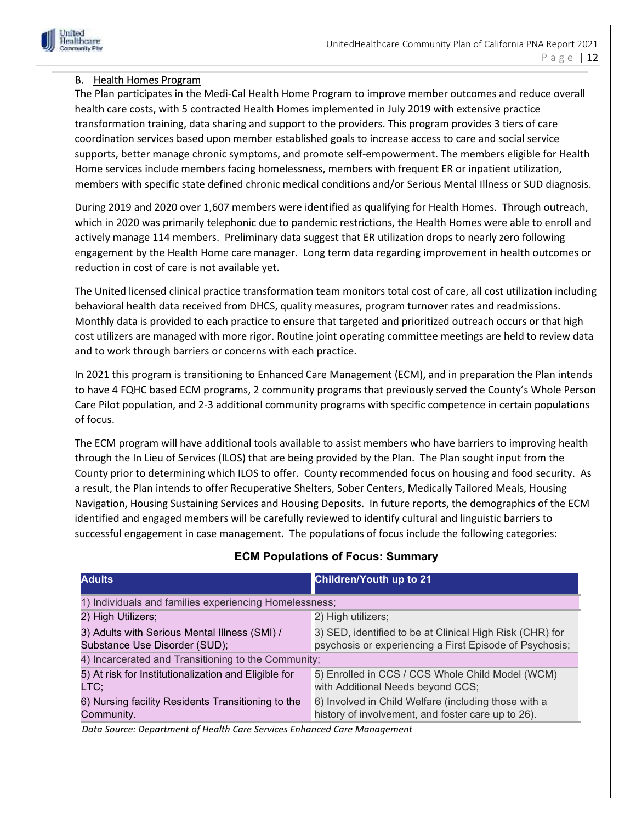

#### B. Health Homes Program

The Plan participates in the Medi-Cal Health Home Program to improve member outcomes and reduce overall health care costs, with 5 contracted Health Homes implemented in July 2019 with extensive practice transformation training, data sharing and support to the providers. This program provides 3 tiers of care coordination services based upon member established goals to increase access to care and social service supports, better manage chronic symptoms, and promote self-empowerment. The members eligible for Health Home services include members facing homelessness, members with frequent ER or inpatient utilization, members with specific state defined chronic medical conditions and/or Serious Mental Illness or SUD diagnosis.

During 2019 and 2020 over 1,607 members were identified as qualifying for Health Homes. Through outreach, which in 2020 was primarily telephonic due to pandemic restrictions, the Health Homes were able to enroll and actively manage 114 members. Preliminary data suggest that ER utilization drops to nearly zero following engagement by the Health Home care manager. Long term data regarding improvement in health outcomes or reduction in cost of care is not available yet.

The United licensed clinical practice transformation team monitors total cost of care, all cost utilization including behavioral health data received from DHCS, quality measures, program turnover rates and readmissions. Monthly data is provided to each practice to ensure that targeted and prioritized outreach occurs or that high cost utilizers are managed with more rigor. Routine joint operating committee meetings are held to review data and to work through barriers or concerns with each practice.

In 2021 this program is transitioning to Enhanced Care Management (ECM), and in preparation the Plan intends to have 4 FQHC based ECM programs, 2 community programs that previously served the County's Whole Person Care Pilot population, and 2-3 additional community programs with specific competence in certain populations of focus.

The ECM program will have additional tools available to assist members who have barriers to improving health through the In Lieu of Services (ILOS) that are being provided by the Plan. The Plan sought input from the County prior to determining which ILOS to offer. County recommended focus on housing and food security. As a result, the Plan intends to offer Recuperative Shelters, Sober Centers, Medically Tailored Meals, Housing Navigation, Housing Sustaining Services and Housing Deposits. In future reports, the demographics of the ECM identified and engaged members will be carefully reviewed to identify cultural and linguistic barriers to successful engagement in case management. The populations of focus include the following categories:

| <b>Adults</b>                                          | <b>Children/Youth up to 21</b>                           |  |
|--------------------------------------------------------|----------------------------------------------------------|--|
| 1) Individuals and families experiencing Homelessness; |                                                          |  |
| 2) High Utilizers;                                     | 2) High utilizers;                                       |  |
| 3) Adults with Serious Mental Illness (SMI) /          | 3) SED, identified to be at Clinical High Risk (CHR) for |  |
| Substance Use Disorder (SUD);                          | psychosis or experiencing a First Episode of Psychosis;  |  |
| 4) Incarcerated and Transitioning to the Community;    |                                                          |  |
| 5) At risk for Institutionalization and Eligible for   | 5) Enrolled in CCS / CCS Whole Child Model (WCM)         |  |
| LTC;                                                   | with Additional Needs beyond CCS;                        |  |
| 6) Nursing facility Residents Transitioning to the     | 6) Involved in Child Welfare (including those with a     |  |
| Community.                                             | history of involvement, and foster care up to 26).       |  |

#### **ECM Populations of Focus: Summary**

 *Data Source: Department of Health Care Services Enhanced Care Management*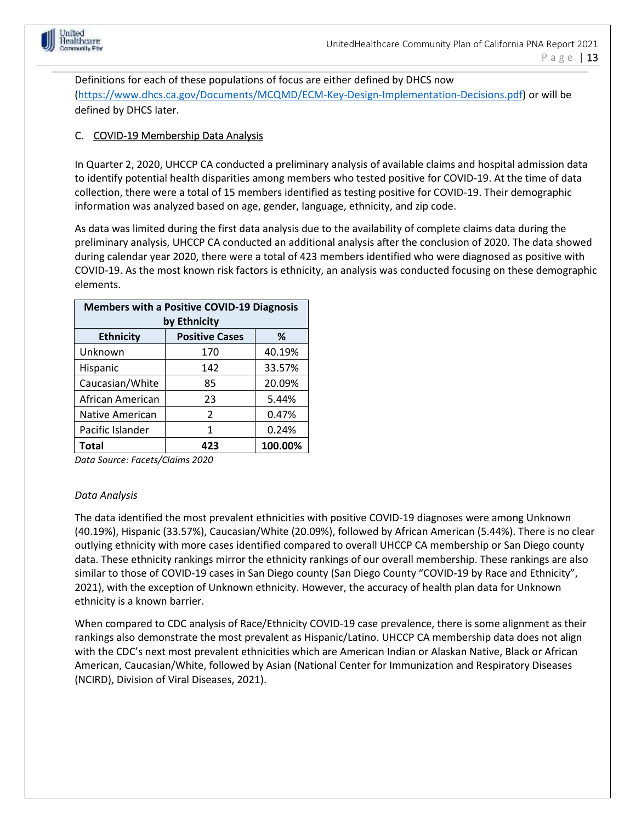

Definitions for each of these populations of focus are either defined by DHCS now (https://www.dhcs.ca.gov/Documents/MCQMD/ECM-Key-Design-Implementation-Decisions.pdf) or will be defined by DHCS later.

#### C. COVID-19 Membership Data Analysis

In Quarter 2, 2020, UHCCP CA conducted a preliminary analysis of available claims and hospital admission data to identify potential health disparities among members who tested positive for COVID-19. At the time of data collection, there were a total of 15 members identified as testing positive for COVID-19. Their demographic information was analyzed based on age, gender, language, ethnicity, and zip code.

As data was limited during the first data analysis due to the availability of complete claims data during the preliminary analysis, UHCCP CA conducted an additional analysis after the conclusion of 2020. The data showed during calendar year 2020, there were a total of 423 members identified who were diagnosed as positive with COVID-19. As the most known risk factors is ethnicity, an analysis was conducted focusing on these demographic elements.

| <b>Members with a Positive COVID-19 Diagnosis</b><br>by Ethnicity |     |         |  |
|-------------------------------------------------------------------|-----|---------|--|
| <b>Positive Cases</b><br><b>Ethnicity</b><br>%                    |     |         |  |
| Unknown                                                           | 170 | 40.19%  |  |
| Hispanic                                                          | 142 | 33.57%  |  |
| Caucasian/White                                                   | 85  | 20.09%  |  |
| African American                                                  | 23  | 5.44%   |  |
| Native American                                                   | 2   | 0.47%   |  |
| Pacific Islander                                                  | 1   | 0.24%   |  |
| <b>Total</b>                                                      | 423 | 100.00% |  |

*Data Source: Facets/Claims 2020* 

#### *Data Analysis*

The data identified the most prevalent ethnicities with positive COVID-19 diagnoses were among Unknown (40.19%), Hispanic (33.57%), Caucasian/White (20.09%), followed by African American (5.44%). There is no clear outlying ethnicity with more cases identified compared to overall UHCCP CA membership or San Diego county data. These ethnicity rankings mirror the ethnicity rankings of our overall membership. These rankings are also similar to those of COVID-19 cases in San Diego county (San Diego County "COVID-19 by Race and Ethnicity", 2021), with the exception of Unknown ethnicity. However, the accuracy of health plan data for Unknown ethnicity is a known barrier.

When compared to CDC analysis of Race/Ethnicity COVID-19 case prevalence, there is some alignment as their rankings also demonstrate the most prevalent as Hispanic/Latino. UHCCP CA membership data does not align with the CDC's next most prevalent ethnicities which are American Indian or Alaskan Native, Black or African American, Caucasian/White, followed by Asian (National Center for Immunization and Respiratory Diseases (NCIRD), Division of Viral Diseases, 2021).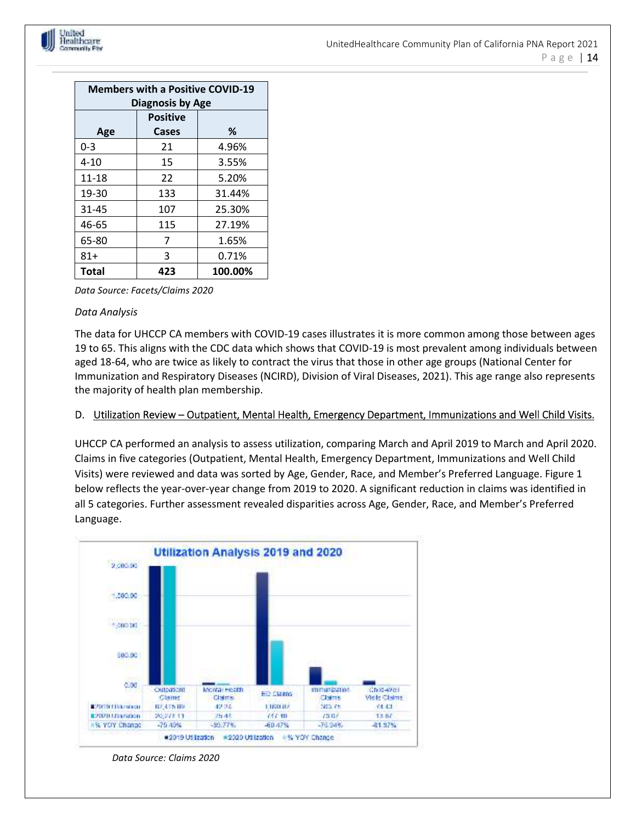

| <b>Members with a Positive COVID-19</b> |       |         |
|-----------------------------------------|-------|---------|
| Diagnosis by Age                        |       |         |
| <b>Positive</b>                         |       |         |
| Age                                     | Cases | ℅       |
| $0 - 3$                                 | 21    | 4.96%   |
| 4-10                                    | 15    | 3.55%   |
| 11-18                                   | 22    | 5.20%   |
| 19-30                                   | 133   | 31.44%  |
| 31-45                                   | 107   | 25.30%  |
| 46-65                                   | 115   | 27.19%  |
| 65-80                                   | 7     | 1.65%   |
| 81+                                     | 3     | 0.71%   |
| <b>Total</b>                            | 423   | 100.00% |

*Data Source: Facets/Claims 2020*

#### *Data Analysis*

The data for UHCCP CA members with COVID-19 cases illustrates it is more common among those between ages 19 to 65. This aligns with the CDC data which shows that COVID-19 is most prevalent among individuals between aged 18-64, who are twice as likely to contract the virus that those in other age groups (National Center for Immunization and Respiratory Diseases (NCIRD), Division of Viral Diseases, 2021). This age range also represents the majority of health plan membership.

#### D. Utilization Review – Outpatient, Mental Health, Emergency Department, Immunizations and Well Child Visits.

UHCCP CA performed an analysis to assess utilization, comparing March and April 2019 to March and April 2020. Claims in five categories (Outpatient, Mental Health, Emergency Department, Immunizations and Well Child Visits) were reviewed and data was sorted by Age, Gender, Race, and Member's Preferred Language. Figure 1 below reflects the year-over-year change from 2019 to 2020. A significant reduction in claims was identified in all 5 categories. Further assessment revealed disparities across Age, Gender, Race, and Member's Preferred Language.



*Data Source: Claims 2020*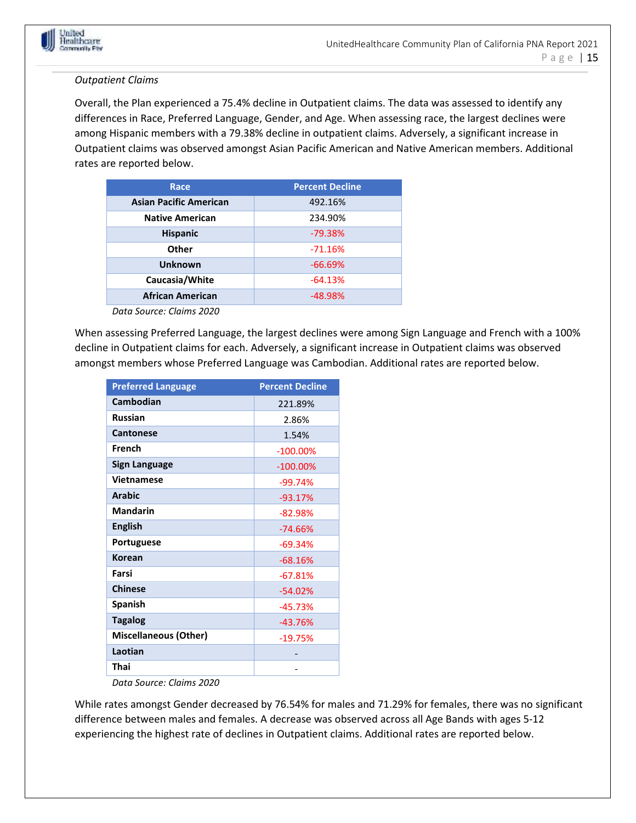

#### *Outpatient Claims*

Overall, the Plan experienced a 75.4% decline in Outpatient claims. The data was assessed to identify any differences in Race, Preferred Language, Gender, and Age. When assessing race, the largest declines were among Hispanic members with a 79.38% decline in outpatient claims. Adversely, a significant increase in Outpatient claims was observed amongst Asian Pacific American and Native American members. Additional rates are reported below.

| Race                          | <b>Percent Decline</b> |
|-------------------------------|------------------------|
| <b>Asian Pacific American</b> | 492.16%                |
| <b>Native American</b>        | 234.90%                |
| <b>Hispanic</b>               | $-79.38%$              |
| Other                         | $-71.16%$              |
| <b>Unknown</b>                | $-66.69%$              |
| Caucasia/White                | $-64.13%$              |
| <b>African American</b>       | $-48.98%$              |

*Data Source: Claims 2020*

When assessing Preferred Language, the largest declines were among Sign Language and French with a 100% decline in Outpatient claims for each. Adversely, a significant increase in Outpatient claims was observed amongst members whose Preferred Language was Cambodian. Additional rates are reported below.

| <b>Preferred Language</b>            | <b>Percent Decline</b> |
|--------------------------------------|------------------------|
| <b>Cambodian</b>                     | 221.89%                |
| <b>Russian</b>                       | 2.86%                  |
| <b>Cantonese</b>                     | 1.54%                  |
| French                               | $-100.00%$             |
| <b>Sign Language</b>                 | $-100.00\%$            |
| <b>Vietnamese</b>                    | $-99.74%$              |
| <b>Arabic</b>                        | $-93.17%$              |
| <b>Mandarin</b>                      | $-82.98%$              |
| <b>English</b>                       | $-74.66%$              |
| Portuguese                           | $-69.34%$              |
| <b>Korean</b>                        | $-68.16%$              |
| Farsi                                | $-67.81%$              |
| <b>Chinese</b>                       | $-54.02%$              |
| <b>Spanish</b>                       | $-45.73%$              |
| <b>Tagalog</b>                       | $-43.76%$              |
| <b>Miscellaneous (Other)</b>         | $-19.75%$              |
| Laotian                              |                        |
| Thai                                 |                        |
| مصورة مع <i>ينية المصورية ك</i> سلوم |                        |

*Data Source: Claims 2020*

While rates amongst Gender decreased by 76.54% for males and 71.29% for females, there was no significant difference between males and females. A decrease was observed across all Age Bands with ages 5-12 experiencing the highest rate of declines in Outpatient claims. Additional rates are reported below.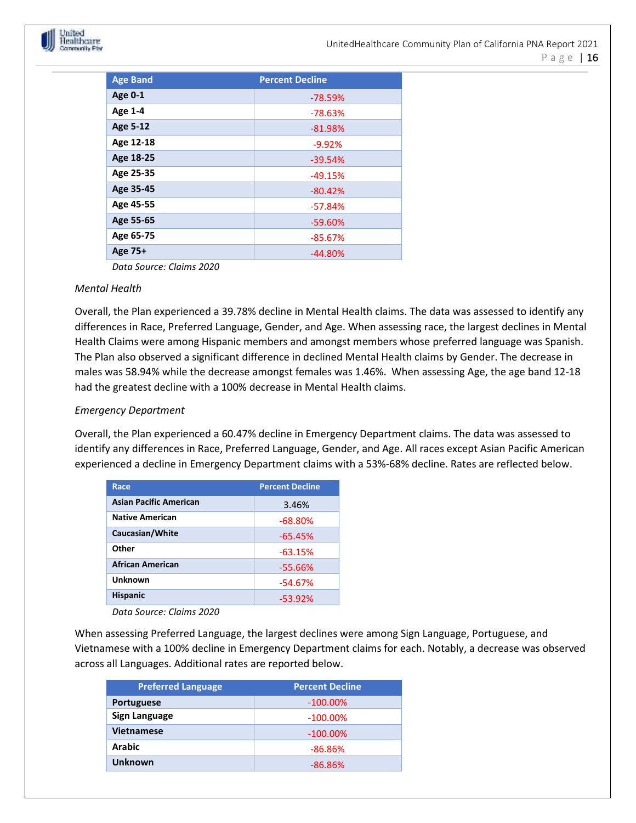

| <b>Age Band</b> | <b>Percent Decline</b> |
|-----------------|------------------------|
| <b>Age 0-1</b>  | $-78.59%$              |
| Age 1-4         | $-78.63%$              |
| Age 5-12        | $-81.98%$              |
| Age 12-18       | $-9.92%$               |
| Age 18-25       | $-39.54%$              |
| Age 25-35       | $-49.15%$              |
| Age 35-45       | $-80.42%$              |
| Age 45-55       | $-57.84%$              |
| Age 55-65       | $-59.60%$              |
| Age 65-75       | $-85.67%$              |
| Age 75+         | $-44.80%$              |

#### *Mental Health*

Overall, the Plan experienced a 39.78% decline in Mental Health claims. The data was assessed to identify any differences in Race, Preferred Language, Gender, and Age. When assessing race, the largest declines in Mental Health Claims were among Hispanic members and amongst members whose preferred language was Spanish. The Plan also observed a significant difference in declined Mental Health claims by Gender. The decrease in males was 58.94% while the decrease amongst females was 1.46%. When assessing Age, the age band 12-18 had the greatest decline with a 100% decrease in Mental Health claims.

#### *Emergency Department*

Overall, the Plan experienced a 60.47% decline in Emergency Department claims. The data was assessed to identify any differences in Race, Preferred Language, Gender, and Age. All races except Asian Pacific American experienced a decline in Emergency Department claims with a 53%-68% decline. Rates are reflected below.

| Race                          | <b>Percent Decline</b> |
|-------------------------------|------------------------|
| <b>Asian Pacific American</b> | 3.46%                  |
| <b>Native American</b>        | $-68.80%$              |
| Caucasian/White               | $-65.45%$              |
| Other                         | $-63.15%$              |
| <b>African American</b>       | $-55.66%$              |
| <b>Unknown</b>                | $-54.67%$              |
| <b>Hispanic</b>               | $-53.92%$              |

*Data Source: Claims 2020*

When assessing Preferred Language, the largest declines were among Sign Language, Portuguese, and Vietnamese with a 100% decline in Emergency Department claims for each. Notably, a decrease was observed across all Languages. Additional rates are reported below.

| <b>Preferred Language</b> | <b>Percent Decline</b> |
|---------------------------|------------------------|
| <b>Portuguese</b>         | $-100.00\%$            |
| <b>Sign Language</b>      | $-100.00\%$            |
| <b>Vietnamese</b>         | $-100.00\%$            |
| <b>Arabic</b>             | $-86.86%$              |
| <b>Unknown</b>            | $-86.86%$              |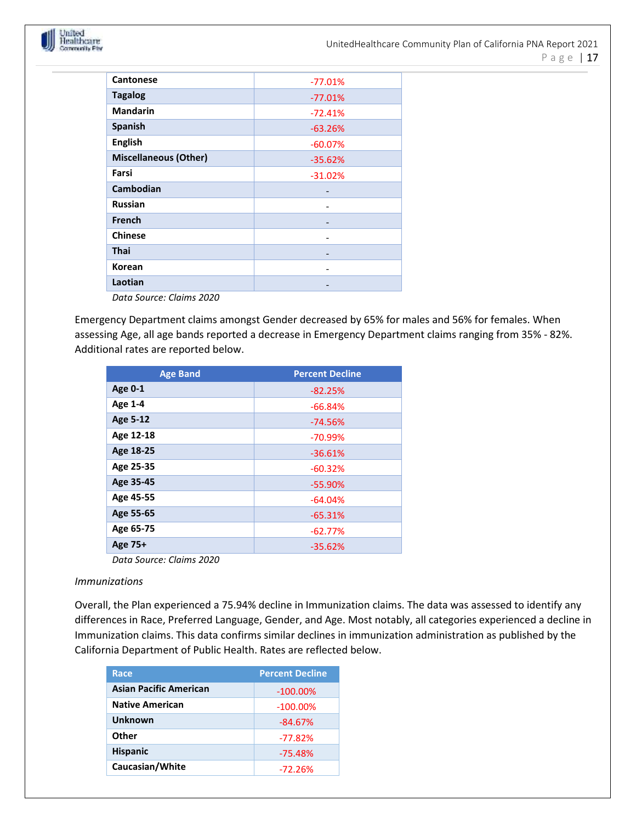| <b>Cantonese</b>             | $-77.01%$                |
|------------------------------|--------------------------|
| <b>Tagalog</b>               | $-77.01%$                |
| <b>Mandarin</b>              | $-72.41%$                |
| <b>Spanish</b>               | $-63.26%$                |
| <b>English</b>               | $-60.07%$                |
| <b>Miscellaneous (Other)</b> | $-35.62%$                |
| Farsi                        | $-31.02%$                |
| <b>Cambodian</b>             | -                        |
| <b>Russian</b>               | -                        |
| French                       |                          |
| <b>Chinese</b>               | $\overline{\phantom{0}}$ |
| <b>Thai</b>                  |                          |
| Korean                       |                          |
| Laotian                      |                          |
|                              |                          |

Emergency Department claims amongst Gender decreased by 65% for males and 56% for females. When assessing Age, all age bands reported a decrease in Emergency Department claims ranging from 35% - 82%. Additional rates are reported below.

| <b>Age Band</b> | <b>Percent Decline</b> |
|-----------------|------------------------|
| Age 0-1         | $-82.25%$              |
| Age 1-4         | $-66.84%$              |
| <b>Age 5-12</b> | $-74.56%$              |
| Age 12-18       | $-70.99%$              |
| Age 18-25       | $-36.61%$              |
| Age 25-35       | $-60.32%$              |
| Age 35-45       | $-55.90%$              |
| Age 45-55       | $-64.04%$              |
| Age 55-65       | $-65.31%$              |
| Age 65-75       | $-62.77%$              |
| Age 75+         | $-35.62%$              |

*Data Source: Claims 2020*

#### *Immunizations*

United Healthcare<br>Carronity Five

> Overall, the Plan experienced a 75.94% decline in Immunization claims. The data was assessed to identify any differences in Race, Preferred Language, Gender, and Age. Most notably, all categories experienced a decline in Immunization claims. This data confirms similar declines in immunization administration as published by the California Department of Public Health. Rates are reflected below.

| Race                          | <b>Percent Decline</b> |
|-------------------------------|------------------------|
| <b>Asian Pacific American</b> | $-100.00\%$            |
| <b>Native American</b>        | $-100.00\%$            |
| <b>Unknown</b>                | $-84.67%$              |
| Other                         | $-77.82%$              |
| <b>Hispanic</b>               | $-75.48%$              |
| Caucasian/White               | $-72.26%$              |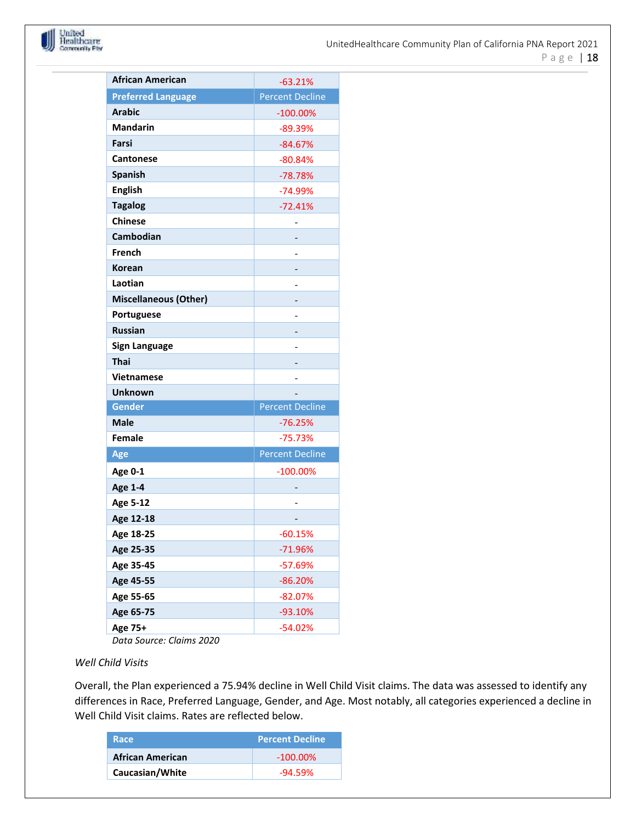

| <b>African American</b>      | $-63.21%$              |
|------------------------------|------------------------|
| <b>Preferred Language</b>    | <b>Percent Decline</b> |
| Arabic                       | $-100.00\%$            |
| <b>Mandarin</b>              | $-89.39%$              |
| Farsi                        | $-84.67%$              |
| <b>Cantonese</b>             | $-80.84%$              |
| <b>Spanish</b>               | $-78.78%$              |
| <b>English</b>               | $-74.99%$              |
| <b>Tagalog</b>               | $-72.41%$              |
| <b>Chinese</b>               |                        |
| Cambodian                    |                        |
| French                       |                        |
| <b>Korean</b>                |                        |
| Laotian                      |                        |
| <b>Miscellaneous (Other)</b> |                        |
| Portuguese                   |                        |
| <b>Russian</b>               |                        |
| <b>Sign Language</b>         |                        |
| Thai                         |                        |
| <b>Vietnamese</b>            |                        |
| <b>Unknown</b>               |                        |
| <b>Gender</b>                | <b>Percent Decline</b> |
| <b>Male</b>                  | $-76.25%$              |
| <b>Female</b>                | $-75.73%$              |
| Age                          | <b>Percent Decline</b> |
| Age 0-1                      | $-100.00\%$            |
| <b>Age 1-4</b>               |                        |
| <b>Age 5-12</b>              |                        |
| Age 12-18                    |                        |
| Age 18-25                    | $-60.15%$              |
| Age 25-35                    | $-71.96%$              |
| Age 35-45                    | $-57.69%$              |
| Age 45-55                    | $-86.20%$              |
| Age 55-65                    | $-82.07%$              |
| Age 65-75                    | $-93.10%$              |
| Age 75+                      | $-54.02%$              |

*Well Child Visits* 

Overall, the Plan experienced a 75.94% decline in Well Child Visit claims. The data was assessed to identify any differences in Race, Preferred Language, Gender, and Age. Most notably, all categories experienced a decline in Well Child Visit claims. Rates are reflected below.

| Race                    | <b>Percent Decline</b> |
|-------------------------|------------------------|
| <b>African American</b> | $-100.00\%$            |
| Caucasian/White         | -94.59%                |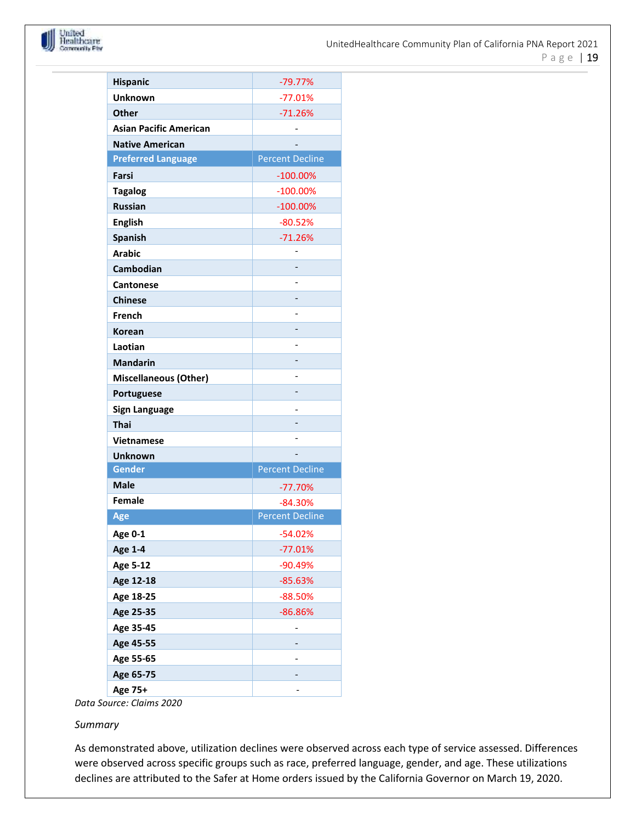

| <b>Hispanic</b>               | $-79.77%$              |
|-------------------------------|------------------------|
| <b>Unknown</b>                | $-77.01%$              |
| <b>Other</b>                  | $-71.26%$              |
| <b>Asian Pacific American</b> |                        |
| <b>Native American</b>        |                        |
| <b>Preferred Language</b>     | <b>Percent Decline</b> |
| Farsi                         | $-100.00\%$            |
| <b>Tagalog</b>                | $-100.00\%$            |
| <b>Russian</b>                | $-100.00\%$            |
| <b>English</b>                | $-80.52%$              |
| <b>Spanish</b>                | $-71.26%$              |
| <b>Arabic</b>                 |                        |
| Cambodian                     |                        |
| <b>Cantonese</b>              |                        |
| <b>Chinese</b>                |                        |
| <b>French</b>                 |                        |
| <b>Korean</b>                 |                        |
| Laotian                       |                        |
| <b>Mandarin</b>               |                        |
| <b>Miscellaneous (Other)</b>  |                        |
| Portuguese                    |                        |
| <b>Sign Language</b>          |                        |
| Thai                          |                        |
| <b>Vietnamese</b>             |                        |
| <b>Unknown</b>                |                        |
| Gender                        | <b>Percent Decline</b> |
| <b>Male</b>                   | $-77.70%$              |
| <b>Female</b>                 | $-84.30%$              |
| Age                           | <b>Percent Decline</b> |
| <b>Age 0-1</b>                | $-54.02%$              |
| <b>Age 1-4</b>                | $-77.01%$              |
| <b>Age 5-12</b>               | $-90.49%$              |
| Age 12-18                     | $-85.63%$              |
| Age 18-25                     | $-88.50%$              |
| Age 25-35                     | $-86.86%$              |
| Age 35-45                     |                        |
| Age 45-55                     |                        |
| Age 55-65                     |                        |
| Age 65-75                     |                        |
| Age 75+                       |                        |

#### *Summary*

As demonstrated above, utilization declines were observed across each type of service assessed. Differences were observed across specific groups such as race, preferred language, gender, and age. These utilizations declines are attributed to the Safer at Home orders issued by the California Governor on March 19, 2020.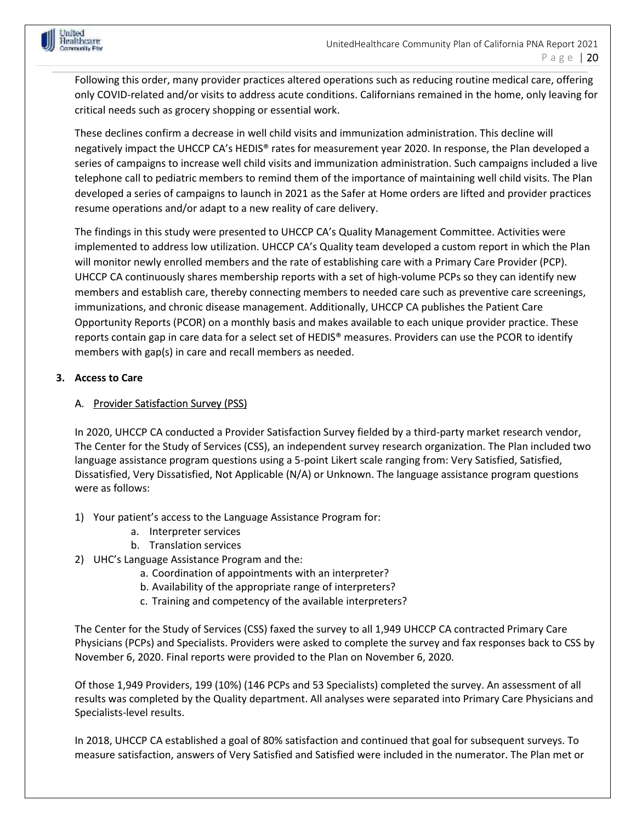Following this order, many provider practices altered operations such as reducing routine medical care, offering only COVID-related and/or visits to address acute conditions. Californians remained in the home, only leaving for critical needs such as grocery shopping or essential work.

These declines confirm a decrease in well child visits and immunization administration. This decline will negatively impact the UHCCP CA's HEDIS® rates for measurement year 2020. In response, the Plan developed a series of campaigns to increase well child visits and immunization administration. Such campaigns included a live telephone call to pediatric members to remind them of the importance of maintaining well child visits. The Plan developed a series of campaigns to launch in 2021 as the Safer at Home orders are lifted and provider practices resume operations and/or adapt to a new reality of care delivery.

The findings in this study were presented to UHCCP CA's Quality Management Committee. Activities were implemented to address low utilization. UHCCP CA's Quality team developed a custom report in which the Plan will monitor newly enrolled members and the rate of establishing care with a Primary Care Provider (PCP). UHCCP CA continuously shares membership reports with a set of high-volume PCPs so they can identify new members and establish care, thereby connecting members to needed care such as preventive care screenings, immunizations, and chronic disease management. Additionally, UHCCP CA publishes the Patient Care Opportunity Reports (PCOR) on a monthly basis and makes available to each unique provider practice. These reports contain gap in care data for a select set of HEDIS® measures. Providers can use the PCOR to identify members with gap(s) in care and recall members as needed.

#### **3. Access to Care**

#### A. Provider Satisfaction Survey (PSS)

In 2020, UHCCP CA conducted a Provider Satisfaction Survey fielded by a third-party market research vendor, The Center for the Study of Services (CSS), an independent survey research organization. The Plan included two language assistance program questions using a 5-point Likert scale ranging from: Very Satisfied, Satisfied, Dissatisfied, Very Dissatisfied, Not Applicable (N/A) or Unknown. The language assistance program questions were as follows:

- 1) Your patient's access to the Language Assistance Program for:
	- a. Interpreter services
	- b. Translation services
- 2) UHC's Language Assistance Program and the:
	- a. Coordination of appointments with an interpreter?
	- b. Availability of the appropriate range of interpreters?
	- c. Training and competency of the available interpreters?

The Center for the Study of Services (CSS) faxed the survey to all 1,949 UHCCP CA contracted Primary Care Physicians (PCPs) and Specialists. Providers were asked to complete the survey and fax responses back to CSS by November 6, 2020. Final reports were provided to the Plan on November 6, 2020.

Of those 1,949 Providers, 199 (10%) (146 PCPs and 53 Specialists) completed the survey. An assessment of all results was completed by the Quality department. All analyses were separated into Primary Care Physicians and Specialists-level results.

In 2018, UHCCP CA established a goal of 80% satisfaction and continued that goal for subsequent surveys. To measure satisfaction, answers of Very Satisfied and Satisfied were included in the numerator. The Plan met or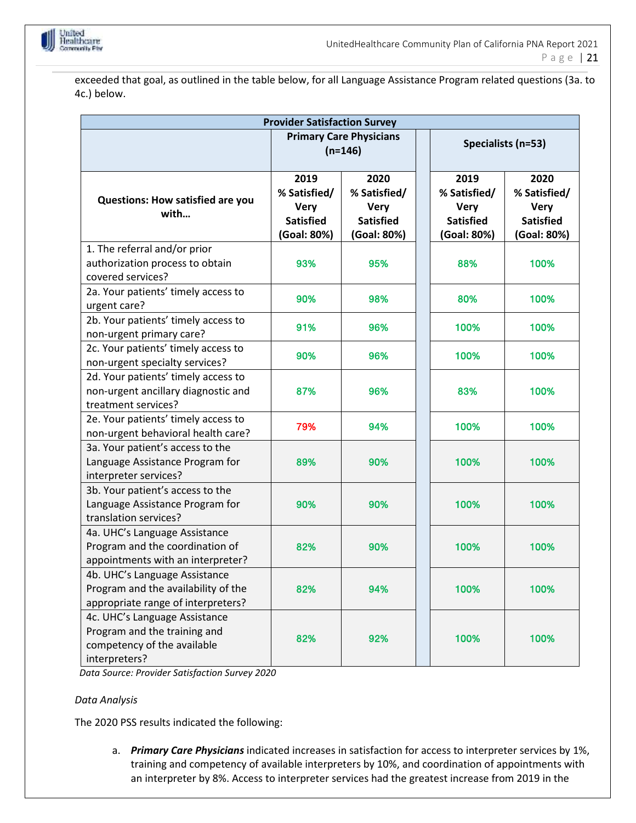

exceeded that goal, as outlined in the table below, for all Language Assistance Program related questions (3a. to 4c.) below.

| <b>Provider Satisfaction Survey</b>                                                                           |                                                                        |                                                                        |  |                                                                        |                                                                        |  |  |  |  |  |
|---------------------------------------------------------------------------------------------------------------|------------------------------------------------------------------------|------------------------------------------------------------------------|--|------------------------------------------------------------------------|------------------------------------------------------------------------|--|--|--|--|--|
|                                                                                                               |                                                                        | <b>Primary Care Physicians</b><br>$(n=146)$                            |  | Specialists (n=53)                                                     |                                                                        |  |  |  |  |  |
| <b>Questions: How satisfied are you</b><br>with                                                               | 2019<br>% Satisfied/<br><b>Very</b><br><b>Satisfied</b><br>(Goal: 80%) | 2020<br>% Satisfied/<br><b>Very</b><br><b>Satisfied</b><br>(Goal: 80%) |  | 2019<br>% Satisfied/<br><b>Very</b><br><b>Satisfied</b><br>(Goal: 80%) | 2020<br>% Satisfied/<br><b>Very</b><br><b>Satisfied</b><br>(Goal: 80%) |  |  |  |  |  |
| 1. The referral and/or prior<br>authorization process to obtain<br>covered services?                          | 93%                                                                    | 95%                                                                    |  | 88%                                                                    | 100%                                                                   |  |  |  |  |  |
| 2a. Your patients' timely access to<br>urgent care?                                                           | 90%                                                                    | 98%                                                                    |  | 80%                                                                    | 100%                                                                   |  |  |  |  |  |
| 2b. Your patients' timely access to<br>non-urgent primary care?                                               | 91%                                                                    | 96%                                                                    |  | 100%                                                                   | 100%                                                                   |  |  |  |  |  |
| 2c. Your patients' timely access to<br>non-urgent specialty services?                                         | 90%                                                                    | 96%                                                                    |  | 100%                                                                   | 100%                                                                   |  |  |  |  |  |
| 2d. Your patients' timely access to<br>non-urgent ancillary diagnostic and<br>treatment services?             | 87%                                                                    | 96%                                                                    |  | 83%                                                                    | 100%                                                                   |  |  |  |  |  |
| 2e. Your patients' timely access to<br>non-urgent behavioral health care?                                     | 79%                                                                    | 94%                                                                    |  | 100%                                                                   | 100%                                                                   |  |  |  |  |  |
| 3a. Your patient's access to the<br>Language Assistance Program for<br>interpreter services?                  | 89%                                                                    | 90%                                                                    |  | 100%                                                                   | 100%                                                                   |  |  |  |  |  |
| 3b. Your patient's access to the<br>Language Assistance Program for<br>translation services?                  | 90%                                                                    | 90%                                                                    |  | 100%                                                                   | 100%                                                                   |  |  |  |  |  |
| 4a. UHC's Language Assistance<br>Program and the coordination of<br>appointments with an interpreter?         | 82%                                                                    | 90%                                                                    |  | 100%                                                                   | 100%                                                                   |  |  |  |  |  |
| 4b. UHC's Language Assistance<br>Program and the availability of the<br>appropriate range of interpreters?    | 82%                                                                    | 94%                                                                    |  | 100%                                                                   | 100%                                                                   |  |  |  |  |  |
| 4c. UHC's Language Assistance<br>Program and the training and<br>competency of the available<br>interpreters? | 82%                                                                    | 92%                                                                    |  | 100%                                                                   | 100%                                                                   |  |  |  |  |  |

 *Data Source: Provider Satisfaction Survey 2020* 

#### *Data Analysis*

The 2020 PSS results indicated the following:

a. *Primary Care Physicians* indicated increases in satisfaction for access to interpreter services by 1%, training and competency of available interpreters by 10%, and coordination of appointments with an interpreter by 8%. Access to interpreter services had the greatest increase from 2019 in the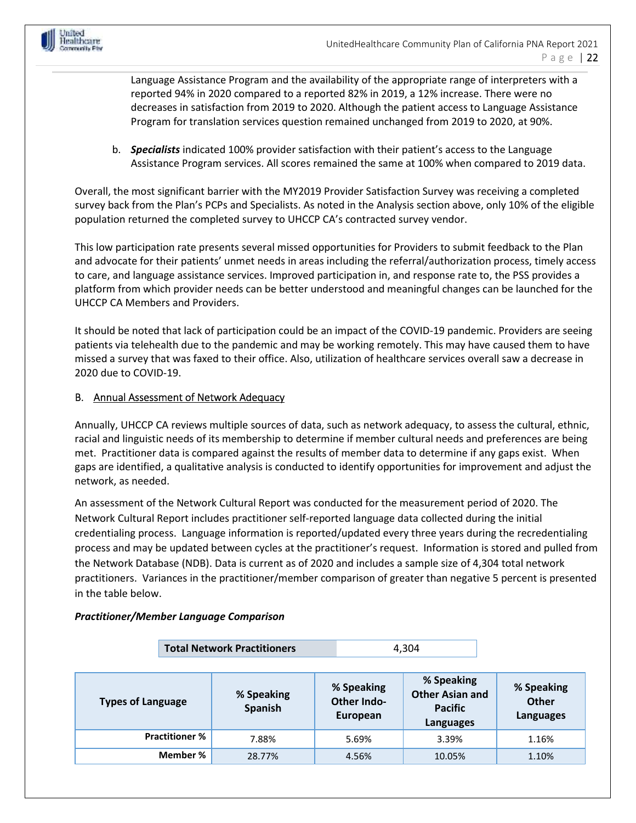

Language Assistance Program and the availability of the appropriate range of interpreters with a reported 94% in 2020 compared to a reported 82% in 2019, a 12% increase. There were no decreases in satisfaction from 2019 to 2020. Although the patient access to Language Assistance Program for translation services question remained unchanged from 2019 to 2020, at 90%.

b. *Specialists* indicated 100% provider satisfaction with their patient's access to the Language Assistance Program services. All scores remained the same at 100% when compared to 2019 data.

Overall, the most significant barrier with the MY2019 Provider Satisfaction Survey was receiving a completed survey back from the Plan's PCPs and Specialists. As noted in the Analysis section above, only 10% of the eligible population returned the completed survey to UHCCP CA's contracted survey vendor.

This low participation rate presents several missed opportunities for Providers to submit feedback to the Plan and advocate for their patients' unmet needs in areas including the referral/authorization process, timely access to care, and language assistance services. Improved participation in, and response rate to, the PSS provides a platform from which provider needs can be better understood and meaningful changes can be launched for the UHCCP CA Members and Providers.

It should be noted that lack of participation could be an impact of the COVID-19 pandemic. Providers are seeing patients via telehealth due to the pandemic and may be working remotely. This may have caused them to have missed a survey that was faxed to their office. Also, utilization of healthcare services overall saw a decrease in 2020 due to COVID-19.

#### B. Annual Assessment of Network Adequacy

Annually, UHCCP CA reviews multiple sources of data, such as network adequacy, to assess the cultural, ethnic, racial and linguistic needs of its membership to determine if member cultural needs and preferences are being met. Practitioner data is compared against the results of member data to determine if any gaps exist. When gaps are identified, a qualitative analysis is conducted to identify opportunities for improvement and adjust the network, as needed.

An assessment of the Network Cultural Report was conducted for the measurement period of 2020. The Network Cultural Report includes practitioner self-reported language data collected during the initial credentialing process. Language information is reported/updated every three years during the recredentialing process and may be updated between cycles at the practitioner's request. Information is stored and pulled from the Network Database (NDB). Data is current as of 2020 and includes a sample size of 4,304 total network practitioners. Variances in the practitioner/member comparison of greater than negative 5 percent is presented in the table below.

|                          | <b>Total Network Practitioners</b> |                                              | 4,304                                                               |                                         |
|--------------------------|------------------------------------|----------------------------------------------|---------------------------------------------------------------------|-----------------------------------------|
| <b>Types of Language</b> | % Speaking<br>Spanish              | % Speaking<br><b>Other Indo-</b><br>European | % Speaking<br><b>Other Asian and</b><br><b>Pacific</b><br>Languages | % Speaking<br>Other<br><b>Languages</b> |
| <b>Practitioner %</b>    | 7.88%                              | 5.69%                                        | 3.39%                                                               | 1.16%                                   |
| Member %                 | 28.77%                             | 4.56%                                        | 10.05%                                                              | 1.10%                                   |

*Practitioner/Member Language Comparison*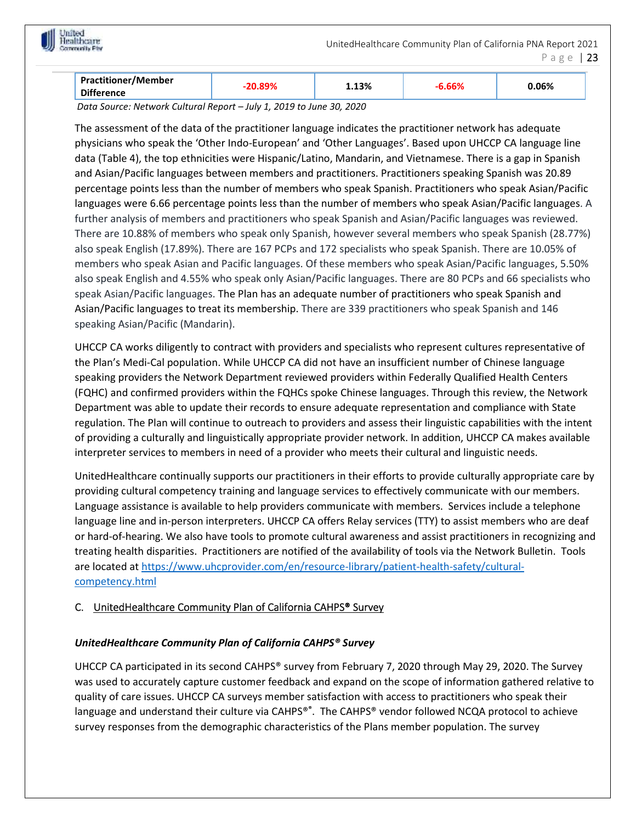

| <b>Practitioner/Member</b> | 1.13% | 0.06% |
|----------------------------|-------|-------|
| <b>Difference</b>          |       |       |

 *Data Source: Network Cultural Report – July 1, 2019 to June 30, 2020* 

The assessment of the data of the practitioner language indicates the practitioner network has adequate physicians who speak the 'Other Indo-European' and 'Other Languages'. Based upon UHCCP CA language line data (Table 4), the top ethnicities were Hispanic/Latino, Mandarin, and Vietnamese. There is a gap in Spanish and Asian/Pacific languages between members and practitioners. Practitioners speaking Spanish was 20.89 percentage points less than the number of members who speak Spanish. Practitioners who speak Asian/Pacific languages were 6.66 percentage points less than the number of members who speak Asian/Pacific languages. A further analysis of members and practitioners who speak Spanish and Asian/Pacific languages was reviewed. There are 10.88% of members who speak only Spanish, however several members who speak Spanish (28.77%) also speak English (17.89%). There are 167 PCPs and 172 specialists who speak Spanish. There are 10.05% of members who speak Asian and Pacific languages. Of these members who speak Asian/Pacific languages, 5.50% also speak English and 4.55% who speak only Asian/Pacific languages. There are 80 PCPs and 66 specialists who speak Asian/Pacific languages. The Plan has an adequate number of practitioners who speak Spanish and Asian/Pacific languages to treat its membership. There are 339 practitioners who speak Spanish and 146 speaking Asian/Pacific (Mandarin).

UHCCP CA works diligently to contract with providers and specialists who represent cultures representative of the Plan's Medi-Cal population. While UHCCP CA did not have an insufficient number of Chinese language speaking providers the Network Department reviewed providers within Federally Qualified Health Centers (FQHC) and confirmed providers within the FQHCs spoke Chinese languages. Through this review, the Network Department was able to update their records to ensure adequate representation and compliance with State regulation. The Plan will continue to outreach to providers and assess their linguistic capabilities with the intent of providing a culturally and linguistically appropriate provider network. In addition, UHCCP CA makes available interpreter services to members in need of a provider who meets their cultural and linguistic needs.

UnitedHealthcare continually supports our practitioners in their efforts to provide culturally appropriate care by providing cultural competency training and language services to effectively communicate with our members. Language assistance is available to help providers communicate with members. Services include a telephone language line and in-person interpreters. UHCCP CA offers Relay services (TTY) to assist members who are deaf or hard-of-hearing. We also have tools to promote cultural awareness and assist practitioners in recognizing and treating health disparities. Practitioners are notified of the availability of tools via the Network Bulletin. Tools are located at https://www.uhcprovider.com/en/resource-library/patient-health-safety/culturalcompetency.html

#### C. UnitedHealthcare Community Plan of California CAHPS® Survey

#### *UnitedHealthcare Community Plan of California CAHPS® Survey*

UHCCP CA participated in its second CAHPS® survey from February 7, 2020 through May 29, 2020. The Survey was used to accurately capture customer feedback and expand on the scope of information gathered relative to quality of care issues. UHCCP CA surveys member satisfaction with access to practitioners who speak their language and understand their culture via CAHPS®**®** . The CAHPS® vendor followed NCQA protocol to achieve survey responses from the demographic characteristics of the Plans member population. The survey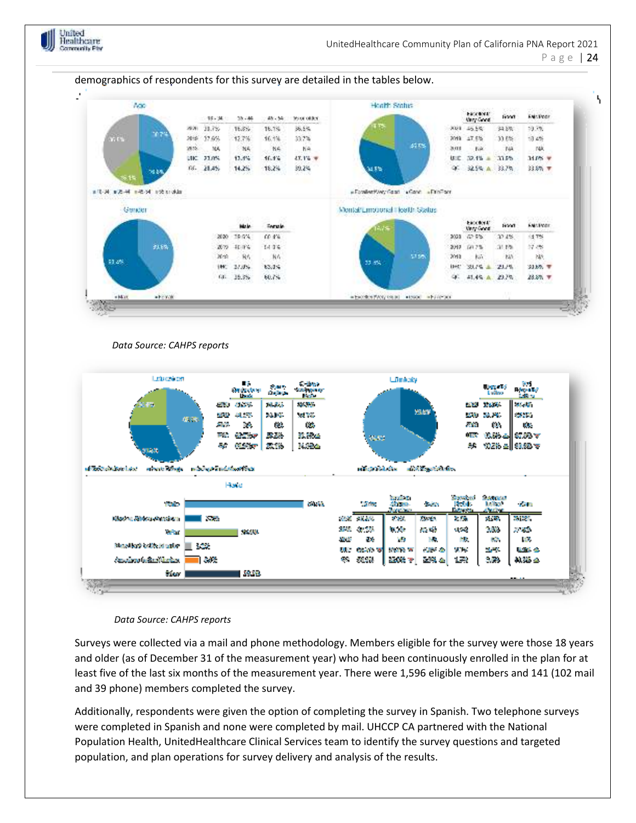



*Data Source: CAHPS reports* 



*Data Source: CAHPS reports*

Surveys were collected via a mail and phone methodology. Members eligible for the survey were those 18 years and older (as of December 31 of the measurement year) who had been continuously enrolled in the plan for at least five of the last six months of the measurement year. There were 1,596 eligible members and 141 (102 mail and 39 phone) members completed the survey.

Additionally, respondents were given the option of completing the survey in Spanish. Two telephone surveys were completed in Spanish and none were completed by mail. UHCCP CA partnered with the National Population Health, UnitedHealthcare Clinical Services team to identify the survey questions and targeted population, and plan operations for survey delivery and analysis of the results.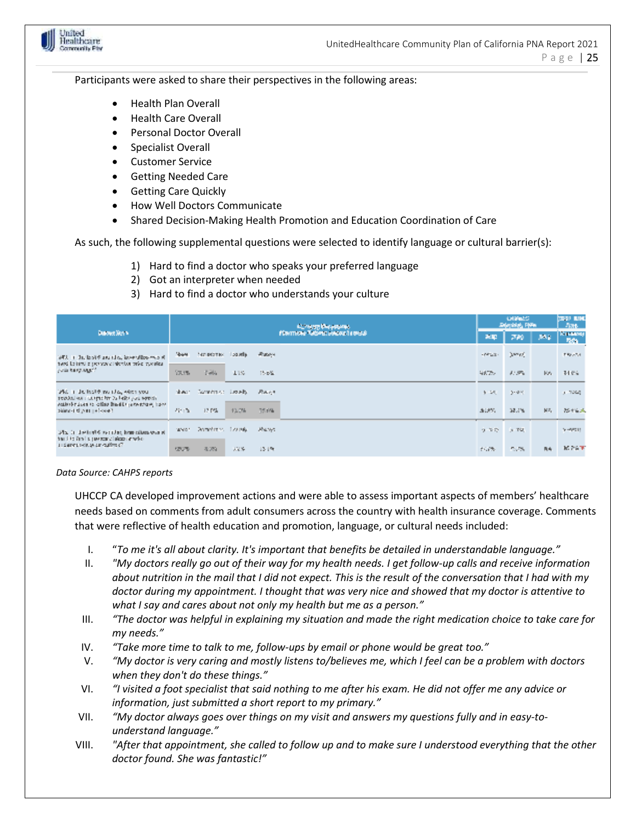

Participants were asked to share their perspectives in the following areas:

- Health Plan Overall
- Health Care Overall
- Personal Doctor Overall
- Specialist Overall
- Customer Service
- Getting Needed Care
- Getting Care Quickly
- How Well Doctors Communicate
- Shared Decision-Making Health Promotion and Education Coordination of Care

As such, the following supplemental questions were selected to identify language or cultural barrier(s):

- 1) Hard to find a doctor who speaks your preferred language
- 2) Got an interpreter when needed
- 3) Hard to find a doctor who understands your culture

|                                                                                                   |        |                                 |       | <b>Controllectors</b> |                               | CHARGES.<br><b><i>SHANKA</i></b> PARK | <b>2021 RING</b><br>-476. |               |                               |
|---------------------------------------------------------------------------------------------------|--------|---------------------------------|-------|-----------------------|-------------------------------|---------------------------------------|---------------------------|---------------|-------------------------------|
| <b>Discover Storm</b>                                                                             |        |                                 |       |                       | Harmour Tabeut Massa I rens à | 米配                                    | 770                       | <b>AND</b>    | <b>KINNING</b><br><b>ROLL</b> |
| WELL In the last 6 and allow invertibles must if<br>twee lottest a personal device only cuestics. |        | New temperature location        |       | <b>Alabam</b>         |                               | <b>SPELT</b>                          | Denver,                   |               | FREATA.                       |
| yula karpings??                                                                                   | 100.0% | 2,964                           | 11%   | 156%                  |                               | 身のでし                                  | 大学。                       | M/s           | 34.0%                         |
| Web in the high-throng Judge African stock<br>septiminary charges for the belts you seemly.       |        | 出来に 「2000年11月」「2000年」           |       | 网络大手                  |                               | 5.55                                  | $3 - 4 - 5$               |               | 3.7440.                       |
| validations to other health jetwithing how.<br>Feasibility of the State                           | 20100  | 17.0%                           | 13.0% | 35.6%                 |                               | きょうりょ                                 | 38.7%                     | $ 017\rangle$ | おおん                           |
| Telecomplete and particles for Plants in 2012.<br>hand to finally secured signs anythe-           |        | Model - Promotive M. Louisville |       | Aharen                |                               | ケキた 天照                                |                           |               | Seems to                      |
| The college are contracted in a                                                                   | 120%   | -3.059                          | AW 56 | 13196                 |                               | 107%                                  | 2.7%                      | 西海            | MPATE                         |

#### *Data Source: CAHPS reports*

UHCCP CA developed improvement actions and were able to assess important aspects of members' healthcare needs based on comments from adult consumers across the country with health insurance coverage. Comments that were reflective of health education and promotion, language, or cultural needs included:

- I. "*To me it's all about clarity. It's important that benefits be detailed in understandable language."*
- II. *"My doctors really go out of their way for my health needs. I get follow-up calls and receive information about nutrition in the mail that I did not expect. This is the result of the conversation that I had with my doctor during my appointment. I thought that was very nice and showed that my doctor is attentive to what I say and cares about not only my health but me as a person."*
- III. *"The doctor was helpful in explaining my situation and made the right medication choice to take care for my needs."*
- IV. *"Take more time to talk to me, follow-ups by email or phone would be great too."*
- V. *"My doctor is very caring and mostly listens to/believes me, which I feel can be a problem with doctors when they don't do these things."*
- VI. *"I visited a foot specialist that said nothing to me after his exam. He did not offer me any advice or information, just submitted a short report to my primary."*
- VII. *"My doctor always goes over things on my visit and answers my questions fully and in easy-tounderstand language."*
- VIII. *"After that appointment, she called to follow up and to make sure I understood everything that the other doctor found. She was fantastic!"*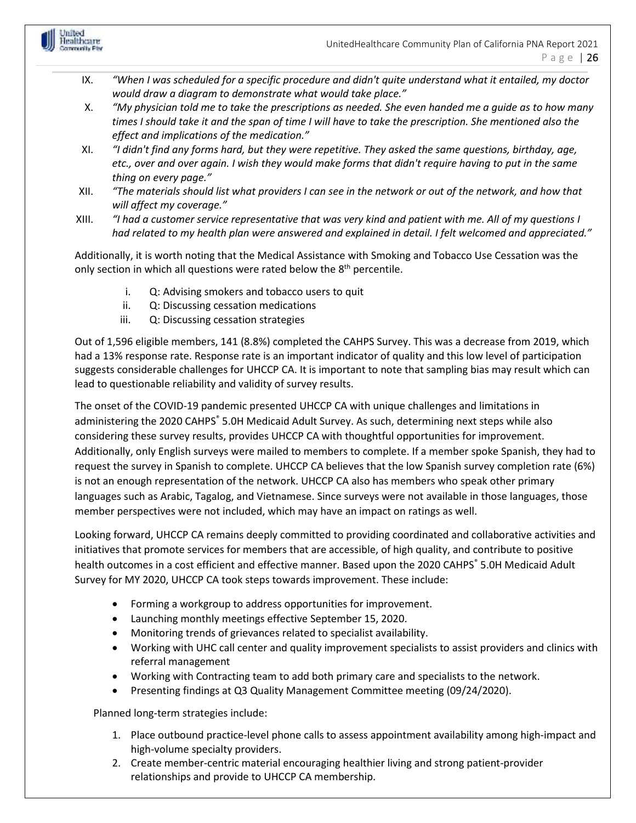

- IX. *"When I was scheduled for a specific procedure and didn't quite understand what it entailed, my doctor would draw a diagram to demonstrate what would take place."*
- X. *"My physician told me to take the prescriptions as needed. She even handed me a guide as to how many times I should take it and the span of time I will have to take the prescription. She mentioned also the effect and implications of the medication."*
- XI. *"I didn't find any forms hard, but they were repetitive. They asked the same questions, birthday, age, etc., over and over again. I wish they would make forms that didn't require having to put in the same thing on every page."*
- XII. *"The materials should list what providers I can see in the network or out of the network, and how that will affect my coverage."*
- XIII. *"I had a customer service representative that was very kind and patient with me. All of my questions I had related to my health plan were answered and explained in detail. I felt welcomed and appreciated."*

Additionally, it is worth noting that the Medical Assistance with Smoking and Tobacco Use Cessation was the only section in which all questions were rated below the  $8<sup>th</sup>$  percentile.

- i. Q: Advising smokers and tobacco users to quit
- ii. Q: Discussing cessation medications
- iii. Q: Discussing cessation strategies

Out of 1,596 eligible members, 141 (8.8%) completed the CAHPS Survey. This was a decrease from 2019, which had a 13% response rate. Response rate is an important indicator of quality and this low level of participation suggests considerable challenges for UHCCP CA. It is important to note that sampling bias may result which can lead to questionable reliability and validity of survey results.

The onset of the COVID-19 pandemic presented UHCCP CA with unique challenges and limitations in administering the 2020 CAHPS<sup>®</sup> 5.0H Medicaid Adult Survey. As such, determining next steps while also considering these survey results, provides UHCCP CA with thoughtful opportunities for improvement. Additionally, only English surveys were mailed to members to complete. If a member spoke Spanish, they had to request the survey in Spanish to complete. UHCCP CA believes that the low Spanish survey completion rate (6%) is not an enough representation of the network. UHCCP CA also has members who speak other primary languages such as Arabic, Tagalog, and Vietnamese. Since surveys were not available in those languages, those member perspectives were not included, which may have an impact on ratings as well.

Looking forward, UHCCP CA remains deeply committed to providing coordinated and collaborative activities and initiatives that promote services for members that are accessible, of high quality, and contribute to positive health outcomes in a cost efficient and effective manner. Based upon the 2020 CAHPS® 5.0H Medicaid Adult Survey for MY 2020, UHCCP CA took steps towards improvement. These include:

- Forming a workgroup to address opportunities for improvement.
- Launching monthly meetings effective September 15, 2020.
- Monitoring trends of grievances related to specialist availability.
- Working with UHC call center and quality improvement specialists to assist providers and clinics with referral management
- Working with Contracting team to add both primary care and specialists to the network.
- Presenting findings at Q3 Quality Management Committee meeting (09/24/2020).

Planned long-term strategies include:

- 1. Place outbound practice-level phone calls to assess appointment availability among high-impact and high-volume specialty providers.
- 2. Create member-centric material encouraging healthier living and strong patient-provider relationships and provide to UHCCP CA membership.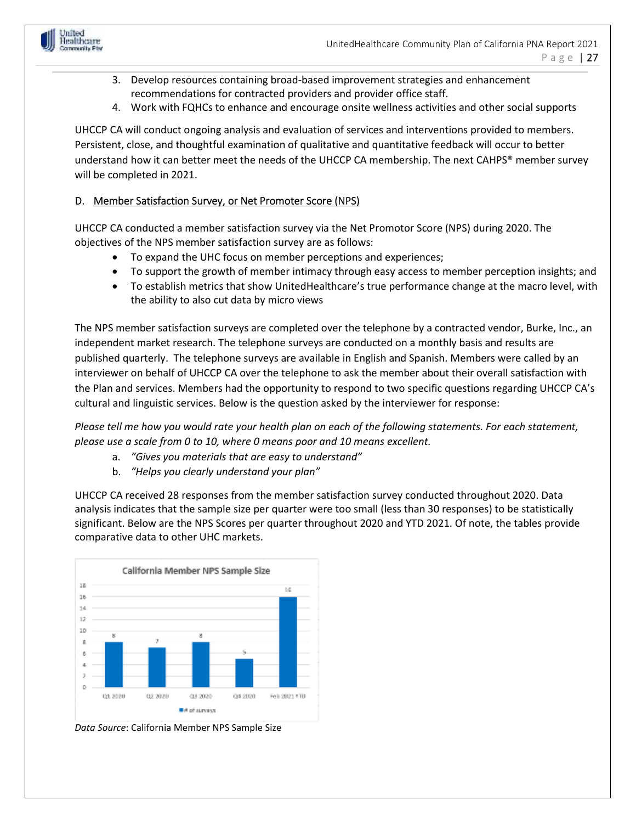

- 3. Develop resources containing broad-based improvement strategies and enhancement recommendations for contracted providers and provider office staff.
- 4. Work with FQHCs to enhance and encourage onsite wellness activities and other social supports

UHCCP CA will conduct ongoing analysis and evaluation of services and interventions provided to members. Persistent, close, and thoughtful examination of qualitative and quantitative feedback will occur to better understand how it can better meet the needs of the UHCCP CA membership. The next CAHPS® member survey will be completed in 2021.

#### D. Member Satisfaction Survey, or Net Promoter Score (NPS)

UHCCP CA conducted a member satisfaction survey via the Net Promotor Score (NPS) during 2020. The objectives of the NPS member satisfaction survey are as follows:

- To expand the UHC focus on member perceptions and experiences;
- To support the growth of member intimacy through easy access to member perception insights; and
- To establish metrics that show UnitedHealthcare's true performance change at the macro level, with the ability to also cut data by micro views

The NPS member satisfaction surveys are completed over the telephone by a contracted vendor, Burke, Inc., an independent market research. The telephone surveys are conducted on a monthly basis and results are published quarterly. The telephone surveys are available in English and Spanish. Members were called by an interviewer on behalf of UHCCP CA over the telephone to ask the member about their overall satisfaction with the Plan and services. Members had the opportunity to respond to two specific questions regarding UHCCP CA's cultural and linguistic services. Below is the question asked by the interviewer for response:

*Please tell me how you would rate your health plan on each of the following statements. For each statement, please use a scale from 0 to 10, where 0 means poor and 10 means excellent.* 

- a. *"Gives you materials that are easy to understand"*
- b. *"Helps you clearly understand your plan"*

UHCCP CA received 28 responses from the member satisfaction survey conducted throughout 2020. Data analysis indicates that the sample size per quarter were too small (less than 30 responses) to be statistically significant. Below are the NPS Scores per quarter throughout 2020 and YTD 2021. Of note, the tables provide comparative data to other UHC markets.



*Data Source*: California Member NPS Sample Size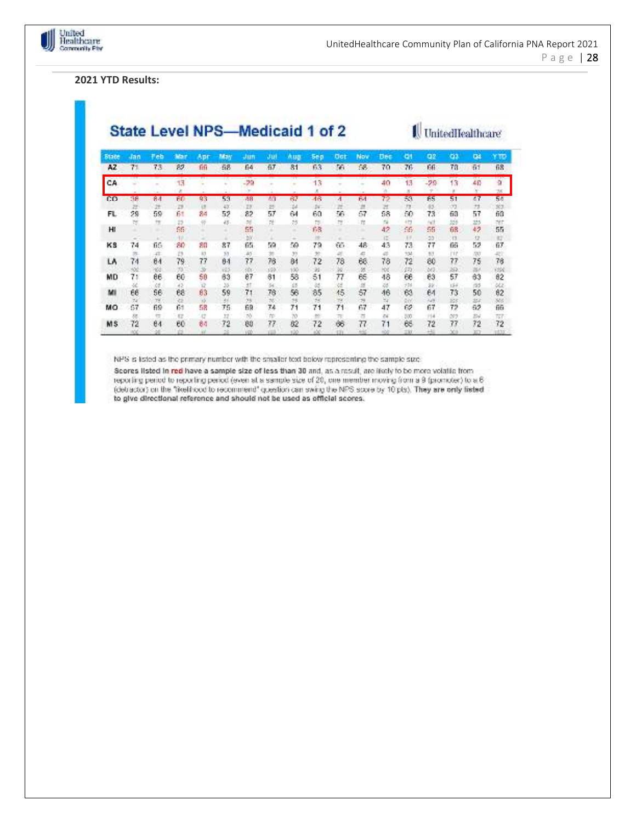

#### **2021 YTD Results:**

## **State Level NPS-Medicaid 1 of 2**

UnitedHealthcare

| 51317          | -lan      |          | v.        |          | Maw        | Jun             | JШ        |           |           | <b>C</b> of | Nov      |           | ۰         | <b>D2</b>  | п         | œ         |            |
|----------------|-----------|----------|-----------|----------|------------|-----------------|-----------|-----------|-----------|-------------|----------|-----------|-----------|------------|-----------|-----------|------------|
| AZ             | 71        | 73       | 82        | fifi     | 58         | 64              | 67        | 81        | 63        | 56          | 58       | 70        | 76        | 66         | 70        | 61        | 68         |
| CA             |           |          |           |          |            | -29             |           |           | 13        |             |          | 40        | 13        | $-29$      | 13        | 40        |            |
| cо             | 38        | 84       | Ĥſ.       | 93       | 53         | ИR              | жn        |           | 46        |             | 64       |           | 53        | 65         | 51        | 67        | 54         |
| FL.            | B<br>29   | œ<br>59  | 29<br>ĔТ  | 84       | 47<br>52   | <b>IF</b><br>82 | B<br>57   | 24<br>64  | DF.<br>60 | z<br>56     | 盟<br>67  | и<br>58   | m<br>50   | 45<br>73   | -72<br>60 | 73<br>57  | 307<br>ñΩ  |
| н              | 駂         | 獛        | 25<br>55  |          | 45         | 55              |           | 25        | 15<br>1.3 | 控           | - 72     | na<br>42  | 56.       | Nd<br>55   | 559       | 225<br>42 | nt<br>55   |
|                |           |          |           |          |            |                 |           |           |           |             | ٠        | iΞ        |           | 22         | 6R<br>13  | 12        | Ю          |
| κs             | 74        | 65<br>41 | 80<br>Ľ3  | sп       | 87         | 65              | 59        | 59        | 79        | 65          | 48<br>s  | 43<br>a   | 73<br>504 | 77<br>50   | 65<br>пr  | 52<br>30  | ū7         |
| LA             | 74        | 84       | 79        | 77       | 84         | 77              | 76        | 84        | 72        | 78          | 68       | 78        | 72        | 80         | 77        | 75        | 76         |
| MD             | 502<br>71 | 40<br>66 | 73.<br>60 | Si<br>50 | i123<br>63 | m<br>67         | 320<br>61 | 180<br>58 | 22<br>51  | 36<br>77    | 创<br>66  | HOE<br>48 | 边<br>66   | 362<br>63. | 262<br>57 | 26<br>63  | 1396<br>02 |
| м              | ω<br>66   | Ø.<br>56 | 68        | ü<br>63  | 35<br>59   | 15<br>71        | 76        | 送<br>56   | 跶<br>85   | 96<br>15    | 57       | 13<br>46  | 98<br>63  | 22<br>64   | 194<br>73 | 澎<br>50   | 862<br>62  |
| MО             | 74<br>67  | 埋<br>69  | 32<br>61  | ь<br>58  | 36<br>75   | 28<br>69        | 76<br>74  | 25<br>71  | 35<br>71  | 堆<br>71     | 79<br>67 | w<br>47   | 496<br>62 | 349<br>67  | 88<br>72  | 337<br>62 | XG<br>66   |
|                |           |          | EZ        | 42       |            | nò              | m         |           |           |             |          | $^{74}$   | BOB       | $-1.4$     | m         | 254       | TET.       |
| M <sub>S</sub> | 72        | 64       | 60        | 84       | 72         | 60              | 77        | 82        | 72        | 66          | 77       | 71        | 66        | 72         | 77        | 72        | 72         |

NPS is listed as the primary number with the smaller text below representing the sample size.

Scores listed in red have a sample size of less than 30 and, as a result, are likely to be more volatile from reporting period to reporting period (even at a sample size of 20, one member moving (rom a 9 (promoter) to a 6 (detractor) on the "ikelihood to recommend" question can swing the NPS score by 10 pts). They are only fieled to give directional reference and should not be used as official scores.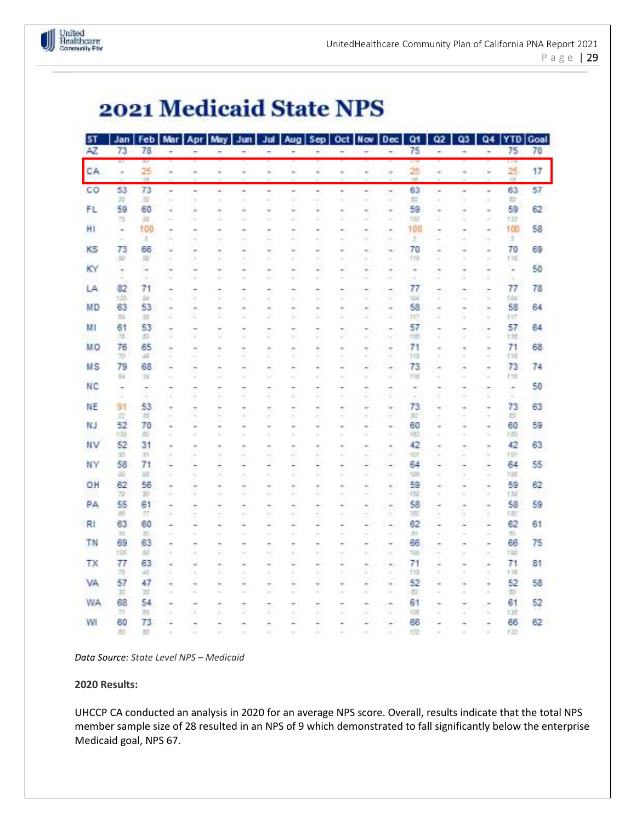

## 2021 Medicaid State NPS

| <b>ST</b> | Jan                      |                     |                                                                                                     |                          | Feb   Mar   Apr   May | Jun                           | Jul                                                                                                                                                                                                                                                                                                                                                                                                                                                                                         |                         | Aug Sep                                                                                                    |                          |                          | Oct   Nov   Dec          | Q1             | Q <sub>2</sub>           | Q3                       | Q <sub>4</sub>                |                          | <b>YTD</b> Goal |
|-----------|--------------------------|---------------------|-----------------------------------------------------------------------------------------------------|--------------------------|-----------------------|-------------------------------|---------------------------------------------------------------------------------------------------------------------------------------------------------------------------------------------------------------------------------------------------------------------------------------------------------------------------------------------------------------------------------------------------------------------------------------------------------------------------------------------|-------------------------|------------------------------------------------------------------------------------------------------------|--------------------------|--------------------------|--------------------------|----------------|--------------------------|--------------------------|-------------------------------|--------------------------|-----------------|
| AZ        | 73                       | 78                  | Ξ                                                                                                   | -                        | ٠                     | -                             | -                                                                                                                                                                                                                                                                                                                                                                                                                                                                                           | Ξ                       | ÷                                                                                                          | ٠                        | ٠                        | ٠                        | 75             | ٠                        | ٠                        | ÷                             | 75                       | 70              |
|           | AT.                      | щ                   |                                                                                                     |                          |                       |                               |                                                                                                                                                                                                                                                                                                                                                                                                                                                                                             |                         |                                                                                                            |                          |                          |                          | <b>List</b>    |                          |                          |                               | I FR                     |                 |
| CA        | ä                        | 25                  | $\alpha$                                                                                            | $\blacksquare$           | ÷                     | $\equiv$                      | ÷                                                                                                                                                                                                                                                                                                                                                                                                                                                                                           | $\equiv$                | $\alpha$                                                                                                   | ×                        | $\alpha$                 | $\sim$                   | 25             | $\sim$                   | ÷                        | $\alpha$                      | żś                       | 17              |
| co        | 53                       | 73                  | $\overline{a}$                                                                                      | ú,                       | ç,                    | $\ddot{}$                     | ä,                                                                                                                                                                                                                                                                                                                                                                                                                                                                                          | ۰.                      | ×.                                                                                                         | ×                        | ÷.                       | ÷.                       | 63             | ٠                        | ۰                        |                               | 63                       | 57              |
|           | 30                       | 並                   | $\alpha$                                                                                            | $\frac{1}{2}$            | ٠                     | ÷                             | ×                                                                                                                                                                                                                                                                                                                                                                                                                                                                                           | ٠                       | ٠                                                                                                          | ×                        |                          | $\rightarrow$            | $\overline{a}$ |                          |                          | ٠                             | в                        |                 |
| FL        | 59                       | 60                  | ×                                                                                                   | $\blacksquare$           | $\equiv$              | ×.                            | $\equiv$                                                                                                                                                                                                                                                                                                                                                                                                                                                                                    | $\blacksquare$          | $\sim$                                                                                                     |                          |                          | $\scriptstyle\rm m$      | 59             |                          |                          | $\blacksquare$                | 59                       | 62              |
|           | $\mathbb{Z}^2$           | 益                   | ×                                                                                                   | ÷                        | 2                     | 2                             | s                                                                                                                                                                                                                                                                                                                                                                                                                                                                                           | 2                       | ÷                                                                                                          |                          |                          | ٠                        | 338            |                          |                          | ÷                             | 133                      |                 |
| н         | $\overline{\phantom{a}}$ | 100                 | $\overline{\phantom{a}}$                                                                            | ۰                        | ۰                     |                               |                                                                                                                                                                                                                                                                                                                                                                                                                                                                                             | -                       |                                                                                                            |                          |                          | ٠                        | 100            | ۰                        |                          | $\overline{\phantom{a}}$      | 100                      | 58              |
|           | $\sim$                   | 王                   | ×                                                                                                   | ٠                        | ÷                     | ÷                             | v                                                                                                                                                                                                                                                                                                                                                                                                                                                                                           | ÷                       | ÷                                                                                                          |                          |                          | ÷                        | Ŧ<br>70        |                          |                          | ×                             | x<br>70                  |                 |
| KS        | 73<br>50                 | 66<br>$\Rightarrow$ | ٠<br>$\alpha$                                                                                       | ۰<br>٠                   | ۰<br>×                | ۰<br>$\sim$                   | ۰<br>×                                                                                                                                                                                                                                                                                                                                                                                                                                                                                      | ٠<br>٠                  | ÷<br>$\sim$                                                                                                | ×<br>٠                   | ×<br>٠                   | $\sim$<br>$\alpha$       | 113            | ٠<br>٠                   | ٠                        | ۰<br>٠                        | TIE                      | 69              |
| KY        | $\blacksquare$           | $\overline{ }$      | ٠                                                                                                   | $\blacksquare$           | ٠                     | ÷                             | $\overline{a}$                                                                                                                                                                                                                                                                                                                                                                                                                                                                              | ۰                       | $\overline{\phantom{a}}$                                                                                   |                          |                          | ÷                        | ÷              |                          |                          | $\blacksquare$                | $\overline{\phantom{a}}$ | 50              |
|           |                          | ÷                   | ÷                                                                                                   | ÷                        | ÷                     | s                             | s                                                                                                                                                                                                                                                                                                                                                                                                                                                                                           | ÷                       | ÷                                                                                                          |                          |                          | ۰                        | 3.             |                          |                          |                               | ×                        |                 |
| LA        | 82                       | 71                  | ۰                                                                                                   | ۰                        | ۰                     | ۰                             | ۰                                                                                                                                                                                                                                                                                                                                                                                                                                                                                           | ۰                       | ÷                                                                                                          |                          |                          | ÷.                       | 77             |                          |                          | -                             | 77                       | 78              |
|           | 100                      | $\pm$               | ٠                                                                                                   | ¥                        | ×                     | ÷                             | F                                                                                                                                                                                                                                                                                                                                                                                                                                                                                           | ×                       | ÷                                                                                                          | ×                        | ×                        | ÷                        | 166            | ۰                        |                          | ¥                             | 36£                      |                 |
| MD        | 63                       | 53                  | $\scriptstyle\rm m$                                                                                 | $\sim$                   | ٠                     | ÷                             | ۰                                                                                                                                                                                                                                                                                                                                                                                                                                                                                           | $\scriptstyle\rm m$     | $\scriptstyle\rm{m}$                                                                                       | ۰                        | ×                        | $\alpha$                 | 58             | ۰                        | ٠                        | $\overline{\phantom{a}}$      | 58                       | 64              |
|           | \$ż                      | 23                  | ×                                                                                                   | Ξ                        | Ξ                     | ï                             | ÷                                                                                                                                                                                                                                                                                                                                                                                                                                                                                           |                         | ¥                                                                                                          |                          |                          | $\sim$                   | <b>HT</b>      |                          |                          | ÷                             | t st<br>57               |                 |
| м         | 61<br>25                 | 53<br>郄             | ۰<br>×                                                                                              | ¥                        | ٤                     | ÷                             | ÷                                                                                                                                                                                                                                                                                                                                                                                                                                                                                           | ×                       | ٤                                                                                                          | ż                        |                          | s                        | 57<br>138      | ä                        |                          | ÷,<br>ä                       | 拙                        | 64              |
| MO        | 76                       | 65                  | $\sim$                                                                                              | $\blacksquare$           | $\overline{a}$        | $\equiv$                      | $\frac{1}{2}$                                                                                                                                                                                                                                                                                                                                                                                                                                                                               | $\equiv$                | $\blacksquare$                                                                                             | $\equiv$                 | ×                        | ÷                        | 71             |                          | $\overline{a}$           | $\scriptstyle\rm m$           | 71                       | 68              |
|           | 70                       | 48                  | ¥                                                                                                   | ٠                        | ٠                     | ×                             | ×                                                                                                                                                                                                                                                                                                                                                                                                                                                                                           | ٠                       | ٠                                                                                                          | ٠                        | ×                        | ×                        | HI             |                          |                          | ٠                             | fff                      |                 |
| MS        | 79                       | 68                  | ۰                                                                                                   |                          | ÷                     |                               |                                                                                                                                                                                                                                                                                                                                                                                                                                                                                             |                         |                                                                                                            |                          |                          | ÷                        | 73             |                          |                          | ٠                             | 73                       | 74              |
|           | 1d                       | $\mathbb{N}$        | ÷                                                                                                   | ÷                        | ÷                     | Ξ                             | ٤                                                                                                                                                                                                                                                                                                                                                                                                                                                                                           |                         | ÷                                                                                                          |                          | ×                        | ÷                        | <b>T1E</b>     |                          |                          | ÷                             | F#B                      |                 |
| NC        | ۰                        |                     | ٠                                                                                                   | ۰                        | ۰                     | ۰                             | ۰                                                                                                                                                                                                                                                                                                                                                                                                                                                                                           |                         | ۰                                                                                                          |                          |                          |                          |                |                          |                          |                               | $\overline{\phantom{a}}$ | 50              |
|           | w                        | $\sim$              | ÷                                                                                                   | v                        | 9                     | ÷                             | ×                                                                                                                                                                                                                                                                                                                                                                                                                                                                                           | ÷                       | ÷                                                                                                          | c                        | ۰                        | z                        | $\tilde{ }$    | u                        | w                        | $\sim$                        | ÷                        |                 |
| NE        | 91<br>72                 | 53<br>m             | ٠<br>$\frac{1}{2} \left( \frac{1}{2} \right) \left( \frac{1}{2} \right) \left( \frac{1}{2} \right)$ | $\blacksquare$<br>٠      | ٠<br>÷                | $\overline{\phantom{a}}$<br>÷ | ÷<br>×                                                                                                                                                                                                                                                                                                                                                                                                                                                                                      | ۰<br>×                  | ÷<br>٠                                                                                                     | ۰                        | $\sim$<br>×              | $\sim$<br>۰              | 73<br>60       | $\blacksquare$<br>٠      |                          | $\overline{\phantom{a}}$<br>÷ | 73<br>m                  | 63              |
| NJ        | 52                       | 70                  | ٠                                                                                                   | ٠                        | ٠                     | ۰                             | $\overline{\phantom{a}}$                                                                                                                                                                                                                                                                                                                                                                                                                                                                    | $\sim$                  | $\sim$                                                                                                     | $\overline{\phantom{a}}$ | $\sim$                   | $\sim$                   | 60             | ٠                        |                          | ×                             | 60                       | 59              |
|           | 103                      | 10                  | $\sim$                                                                                              | ٠                        | ×                     | $\sim$                        | ÷                                                                                                                                                                                                                                                                                                                                                                                                                                                                                           | ٠                       | ×                                                                                                          | ×.                       |                          | ×                        | 100            |                          |                          | à                             | 180                      |                 |
| NV        | 52                       | 31                  | ٠                                                                                                   | $\blacksquare$           | $\blacksquare$        | $\overline{a}$                | ÷                                                                                                                                                                                                                                                                                                                                                                                                                                                                                           | $\blacksquare$          | $\equiv$                                                                                                   |                          | $\sim$                   | ÷                        | 42             |                          |                          | $\overline{\phantom{a}}$      | 42                       | 63              |
|           | 20                       | m                   | 2                                                                                                   | $\sim$                   | $\sim$                | $\sim$                        | ×                                                                                                                                                                                                                                                                                                                                                                                                                                                                                           | ÷                       | ÷                                                                                                          | ÷                        | $\sim$                   | ×                        | NH             | ٠                        | $\sim$                   | ÷                             | 7 O F                    |                 |
| NY        | 58                       | 71                  | ٠                                                                                                   | $\overline{\phantom{a}}$ | ۰                     | ÷                             | $\overline{\phantom{a}}$                                                                                                                                                                                                                                                                                                                                                                                                                                                                    | -                       | ۰                                                                                                          | ۰                        | $\overline{\phantom{a}}$ | $\overline{\phantom{a}}$ | 64             | $\overline{\phantom{a}}$ | w.                       | ۰                             | 64                       | 55              |
|           | 40                       | w                   | ۰                                                                                                   | ٠                        | ٠                     | ×                             | ×                                                                                                                                                                                                                                                                                                                                                                                                                                                                                           | ٠                       |                                                                                                            |                          |                          | $\sim$                   | 120            |                          |                          |                               | 126                      |                 |
| OH        | 62<br>79                 | 56<br>86            | $\alpha$<br>$\sim$                                                                                  | $\sim$<br>$\overline{a}$ | $\frac{1}{2}$<br>Ξ    | $\approx$<br>×                | $\frac{1}{2}$<br>$\frac{1}{2} \left( \frac{1}{2} \right) \left( \frac{1}{2} \right) \left( \frac{1}{2} \right) \left( \frac{1}{2} \right) \left( \frac{1}{2} \right) \left( \frac{1}{2} \right) \left( \frac{1}{2} \right) \left( \frac{1}{2} \right) \left( \frac{1}{2} \right) \left( \frac{1}{2} \right) \left( \frac{1}{2} \right) \left( \frac{1}{2} \right) \left( \frac{1}{2} \right) \left( \frac{1}{2} \right) \left( \frac{1}{2} \right) \left( \frac{1}{2} \right) \left( \frac$ | $\frac{1}{2}$<br>$\sim$ | $\alpha$<br>$\frac{1}{2} \left( \frac{1}{2} \right) \left( \frac{1}{2} \right) \left( \frac{1}{2} \right)$ | ÷                        | $\sim$                   | $\sim$<br>×              | 59<br>150      | $\sim$                   | $\sim$                   | $\overline{\phantom{a}}$<br>÷ | 59<br>139                | 62              |
| PA        | 55                       | 61                  | ×                                                                                                   |                          | ٠                     | ۰                             | ۰                                                                                                                                                                                                                                                                                                                                                                                                                                                                                           | ۰                       | ÷.                                                                                                         | ٠                        | ٠                        |                          | 58             | ٠                        | ٠                        | $\overline{\phantom{a}}$      | 58                       | 59              |
|           | $\Rightarrow$            | 17                  | ÷                                                                                                   | ×<br>÷                   | ÷                     | ×                             | ×                                                                                                                                                                                                                                                                                                                                                                                                                                                                                           | ÷                       | ÷                                                                                                          |                          |                          | ÷<br>٠                   | ĭπ             |                          |                          | ÷                             | 7.81                     |                 |
| RI        | 63                       | 60                  | ۰                                                                                                   | -                        | ٠                     | ٠                             | ÷                                                                                                                                                                                                                                                                                                                                                                                                                                                                                           |                         | -                                                                                                          |                          |                          | ٤                        | 62             |                          |                          |                               | 62                       | 61              |
|           | 30.                      | 36                  | $\sim$                                                                                              | ٠                        | ٠                     | ٠                             | ٠                                                                                                                                                                                                                                                                                                                                                                                                                                                                                           | u.                      | ×                                                                                                          |                          |                          | ٠                        | 89             |                          |                          | ٠                             | 数                        |                 |
| TN        | 69                       | 63                  |                                                                                                     | ۰                        | ٠                     |                               |                                                                                                                                                                                                                                                                                                                                                                                                                                                                                             |                         |                                                                                                            |                          |                          |                          | 66             |                          |                          |                               | 66                       | 75              |
|           | tàs                      | Ш                   | ÷                                                                                                   | ۰                        | ÷                     | ÷                             | ç                                                                                                                                                                                                                                                                                                                                                                                                                                                                                           | ×                       | ä                                                                                                          |                          | ×                        | ÷                        | 100            |                          |                          | ×                             | 749                      |                 |
| TX.       | 77<br>в                  | 63<br>a             | ÷                                                                                                   | ۰<br>٠                   | ۰<br>$\frac{1}{2}$    | $\frac{1}{2}$                 |                                                                                                                                                                                                                                                                                                                                                                                                                                                                                             | ۰                       | ٠                                                                                                          | ×                        | ×                        | $\sim$                   | 71<br>İ11      | ٠                        |                          | ۰                             | 71<br>TIE                | 81              |
| VA.       | 57                       | 47                  | ٠<br>÷                                                                                              | $\blacksquare$           | ٠                     | $\overline{a}$                | ×<br>$\overline{a}$                                                                                                                                                                                                                                                                                                                                                                                                                                                                         | $\equiv$                | $\alpha$                                                                                                   |                          | $\sim$                   | $\alpha$<br>٠            | 52             | ٠                        | $\overline{\phantom{a}}$ | ×<br>$\ddot{}$                | 52                       | 58              |
|           | 30 <sub>1</sub>          | m                   | ÷                                                                                                   | ÷                        | ÷                     | s                             | ×                                                                                                                                                                                                                                                                                                                                                                                                                                                                                           | ۰                       | ÷                                                                                                          |                          |                          | ÷                        | 蒜              |                          |                          | ÷                             | 旋                        |                 |
| WA        | 68                       | 54                  | ÷                                                                                                   |                          | ۰                     |                               |                                                                                                                                                                                                                                                                                                                                                                                                                                                                                             | ۰                       | ٠                                                                                                          |                          |                          | ۰.                       | 61             |                          |                          |                               | 61                       | 52              |
|           | 79                       | 'n.                 | ÷                                                                                                   | ¥                        | ÷                     | ÷                             | ÷                                                                                                                                                                                                                                                                                                                                                                                                                                                                                           | ÷                       | ÷                                                                                                          | ٠                        | ×                        | ÷                        | ùЕ             | $\overline{\phantom{a}}$ | $\overline{a}$           | ¥                             | 拉维                       |                 |
| WI        | 60                       | 73                  | ÷                                                                                                   |                          |                       |                               |                                                                                                                                                                                                                                                                                                                                                                                                                                                                                             |                         | ۰                                                                                                          |                          |                          | ÷                        | 68             |                          |                          |                               | 66                       | 62              |
|           | m                        | е                   |                                                                                                     |                          |                       |                               |                                                                                                                                                                                                                                                                                                                                                                                                                                                                                             |                         |                                                                                                            |                          |                          |                          | 120            |                          |                          |                               | 9.20                     |                 |

*Data Source: State Level NPS – Medicaid* 

#### **2020 Results:**

UHCCP CA conducted an analysis in 2020 for an average NPS score. Overall, results indicate that the total NPS member sample size of 28 resulted in an NPS of 9 which demonstrated to fall significantly below the enterprise Medicaid goal, NPS 67.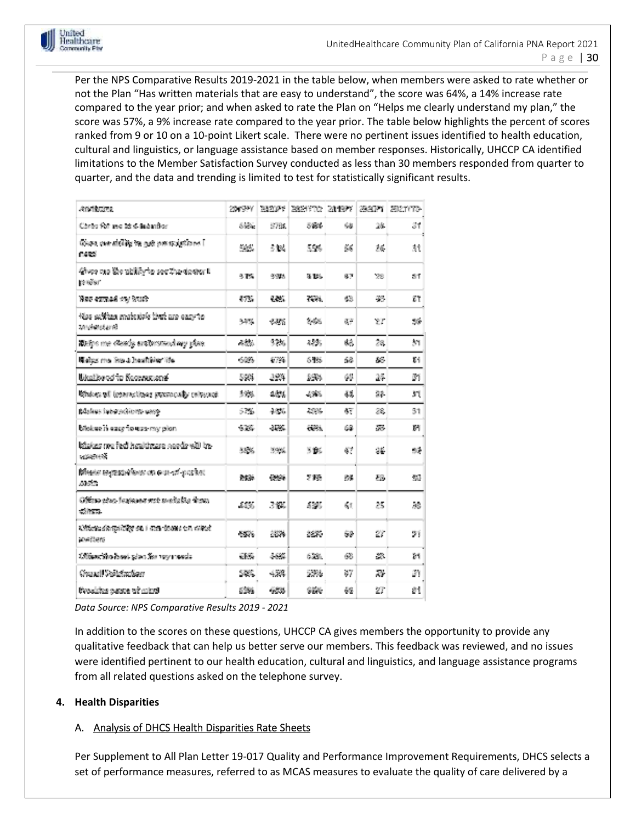

Per the NPS Comparative Results 2019-2021 in the table below, when members were asked to rate whether or not the Plan "Has written materials that are easy to understand", the score was 64%, a 14% increase rate compared to the year prior; and when asked to rate the Plan on "Helps me clearly understand my plan," the score was 57%, a 9% increase rate compared to the year prior. The table below highlights the percent of scores ranked from 9 or 10 on a 10-point Likert scale. There were no pertinent issues identified to health education, cultural and linguistics, or language assistance based on member responses. Historically, UHCCP CA identified limitations to the Member Satisfaction Survey conducted as less than 30 members responded from quarter to quarter, and the data and trending is limited to test for statistically significant results.

| <b>And Brother</b>                                           | 2019 V  | 232021 | 2021702 201977 |     |     | 292171 2021/170-           |
|--------------------------------------------------------------|---------|--------|----------------|-----|-----|----------------------------|
| Cores for use as a anambor                                   | 64%     | 8795   | 5986           | 鸱   | 28. | 31                         |
| উন্নয়ন কৰা প্ৰায় হৈছে পুৱা কৰা অন্যানীসক। I<br>neto        | 595.    | 5186   | 5.5%           | KK. | 76  | 31                         |
| Gives one the ubility to see the design L<br>crefer          | 3 TS    | 9.95%  | 51%            | 83  | 78  | 81                         |
| Web extraod one brush                                        | 57%     | 4.6%   | 14.04.         | 63  | 28  | ĩΤ                         |
| Nos subitan materiais tivat ura easy to<br><b>Inviendand</b> | $-47.$  | 6326   | 84%            | 医产  | Υr  | 36                         |
| Aleips me seady understanding plan.                          | $4.5\%$ | \$7%   | 42%            | ßβ. | 28. | 31                         |
| Matps me live a healthier life.                              | 60%     | 57%    | 61%            | 68  | 88  | 影音                         |
| Likelibuod to Koosveriend                                    | 59%     | 39%    | 59%            | 68  | 25  | ΰĭ                         |
| Shakes of teamscripes presencedly released:                  | 39%     | 48%    | 4985           | 55. | 22. | 31                         |
| Makes intereditors care                                      | 57%     | 48%    | 49%            | 87  | 28. | 51                         |
| Mokee it easy forese my plan.                                | 67%     | 35%    | <b>DOM</b>     | 68  | 58  | И                          |
| cd (ile about the standing the foreign the<br>109414-02      | 58%     | 59%    | 516.           | 67  | 34  | 33                         |
| Meets experiences on our cri-ported<br>Aberto.               | PAGE.   | 63%    | 715            | 94  | 78. | $\mathcal{R}_{\text{eff}}$ |
| Gillian stup fautawa met avaliable firma.<br>college.        | 4.136   | 31%    | 5.5%           | 61  | 25  | Жŝ,                        |
| මැතිත්ය රැහැලාවක්වල සහ 1 කාන බවත්මය කත කමයකි.<br>aventure.   | 65%     | 5826   | 3835           | 59  | 27  | 91                         |
| Officers the Powel scient for how meeting                    | 55%     | $-656$ | 62%            | 68  | 28. | ЪŤ                         |
| Crassil Suitstachen                                          | SDS.    | 458    | 53%            | 87  | 75  | 31                         |
| thoughts peace of mind.                                      | 59%     | 653    | <b>GENE</b>    | 69  | 27  | 81                         |

*Data Source: NPS Comparative Results 2019 - 2021*

In addition to the scores on these questions, UHCCP CA gives members the opportunity to provide any qualitative feedback that can help us better serve our members. This feedback was reviewed, and no issues were identified pertinent to our health education, cultural and linguistics, and language assistance programs from all related questions asked on the telephone survey.

#### **4. Health Disparities**

#### A. Analysis of DHCS Health Disparities Rate Sheets

Per Supplement to All Plan Letter 19-017 Quality and Performance Improvement Requirements, DHCS selects a set of performance measures, referred to as MCAS measures to evaluate the quality of care delivered by a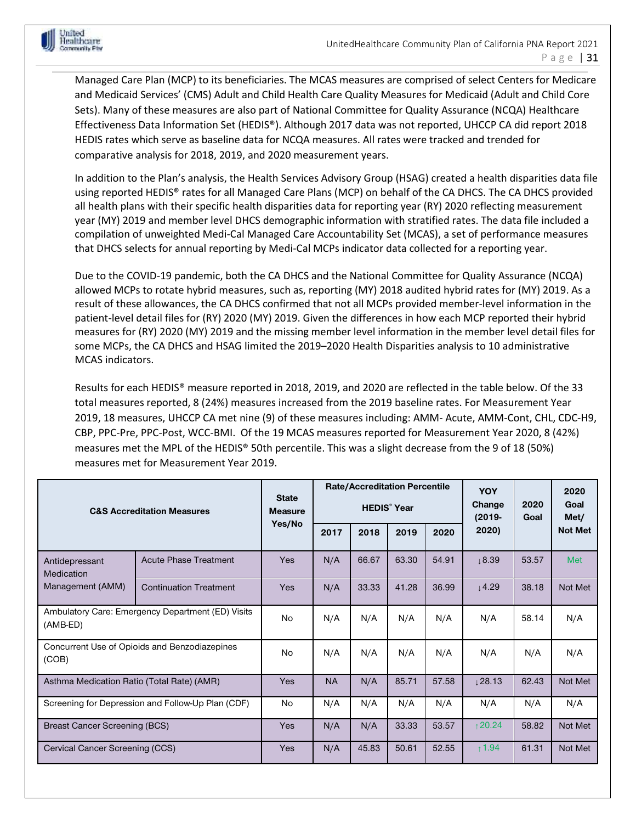

Managed Care Plan (MCP) to its beneficiaries. The MCAS measures are comprised of select Centers for Medicare and Medicaid Services' (CMS) Adult and Child Health Care Quality Measures for Medicaid (Adult and Child Core Sets). Many of these measures are also part of National Committee for Quality Assurance (NCQA) Healthcare Effectiveness Data Information Set (HEDIS®). Although 2017 data was not reported, UHCCP CA did report 2018 HEDIS rates which serve as baseline data for NCQA measures. All rates were tracked and trended for comparative analysis for 2018, 2019, and 2020 measurement years.

In addition to the Plan's analysis, the Health Services Advisory Group (HSAG) created a health disparities data file using reported HEDIS® rates for all Managed Care Plans (MCP) on behalf of the CA DHCS. The CA DHCS provided all health plans with their specific health disparities data for reporting year (RY) 2020 reflecting measurement year (MY) 2019 and member level DHCS demographic information with stratified rates. The data file included a compilation of unweighted Medi-Cal Managed Care Accountability Set (MCAS), a set of performance measures that DHCS selects for annual reporting by Medi-Cal MCPs indicator data collected for a reporting year.

Due to the COVID-19 pandemic, both the CA DHCS and the National Committee for Quality Assurance (NCQA) allowed MCPs to rotate hybrid measures, such as, reporting (MY) 2018 audited hybrid rates for (MY) 2019. As a result of these allowances, the CA DHCS confirmed that not all MCPs provided member-level information in the patient-level detail files for (RY) 2020 (MY) 2019. Given the differences in how each MCP reported their hybrid measures for (RY) 2020 (MY) 2019 and the missing member level information in the member level detail files for some MCPs, the CA DHCS and HSAG limited the 2019–2020 Health Disparities analysis to 10 administrative MCAS indicators.

Results for each HEDIS® measure reported in 2018, 2019, and 2020 are reflected in the table below. Of the 33 total measures reported, 8 (24%) measures increased from the 2019 baseline rates. For Measurement Year 2019, 18 measures, UHCCP CA met nine (9) of these measures including: AMM- Acute, AMM-Cont, CHL, CDC-H9, CBP, PPC-Pre, PPC-Post, WCC-BMI. Of the 19 MCAS measures reported for Measurement Year 2020, 8 (42%) measures met the MPL of the HEDIS® 50th percentile. This was a slight decrease from the 9 of 18 (50%) measures met for Measurement Year 2019.

|                                                   | <b>C&amp;S Accreditation Measures</b>             |            |           |       | <b>Rate/Accreditation Percentile</b><br><b>HEDIS</b> <sup>®</sup> Year | <b>YOY</b><br>Change<br>$(2019 -$ | 2020<br>Goal | 2020<br>Goal<br>Met/ |                |
|---------------------------------------------------|---------------------------------------------------|------------|-----------|-------|------------------------------------------------------------------------|-----------------------------------|--------------|----------------------|----------------|
|                                                   |                                                   | Yes/No     | 2017      | 2018  | 2019                                                                   | 2020                              | 2020)        |                      | <b>Not Met</b> |
| Antidepressant<br>Medication                      | <b>Acute Phase Treatment</b>                      | Yes        | N/A       | 66.67 | 63.30                                                                  | 54.91                             | 18.39        | 53.57                | Met            |
| Management (AMM)                                  | <b>Continuation Treatment</b>                     | Yes        | N/A       | 33.33 | 41.28                                                                  | 36.99                             | 14.29        | 38.18                | Not Met        |
| (AMB-ED)                                          | Ambulatory Care: Emergency Department (ED) Visits | No         | N/A       | N/A   | N/A                                                                    | N/A                               | N/A          | 58.14                | N/A            |
| (COB)                                             | Concurrent Use of Opioids and Benzodiazepines     | <b>No</b>  | N/A       | N/A   | N/A                                                                    | N/A                               | N/A          | N/A                  | N/A            |
| Asthma Medication Ratio (Total Rate) (AMR)        |                                                   | Yes        | <b>NA</b> | N/A   | 85.71                                                                  | 57.58                             | 128.13       | 62.43                | Not Met        |
| Screening for Depression and Follow-Up Plan (CDF) | No                                                | N/A        | N/A       | N/A   | N/A                                                                    | N/A                               | N/A          | N/A                  |                |
| <b>Breast Cancer Screening (BCS)</b>              | Yes                                               | N/A        | N/A       | 33.33 | 53.57                                                                  | 120.24                            | 58.82        | Not Met              |                |
| Cervical Cancer Screening (CCS)                   |                                                   | <b>Yes</b> | N/A       | 45.83 | 50.61                                                                  | 52.55                             | †1.94        | 61.31                | Not Met        |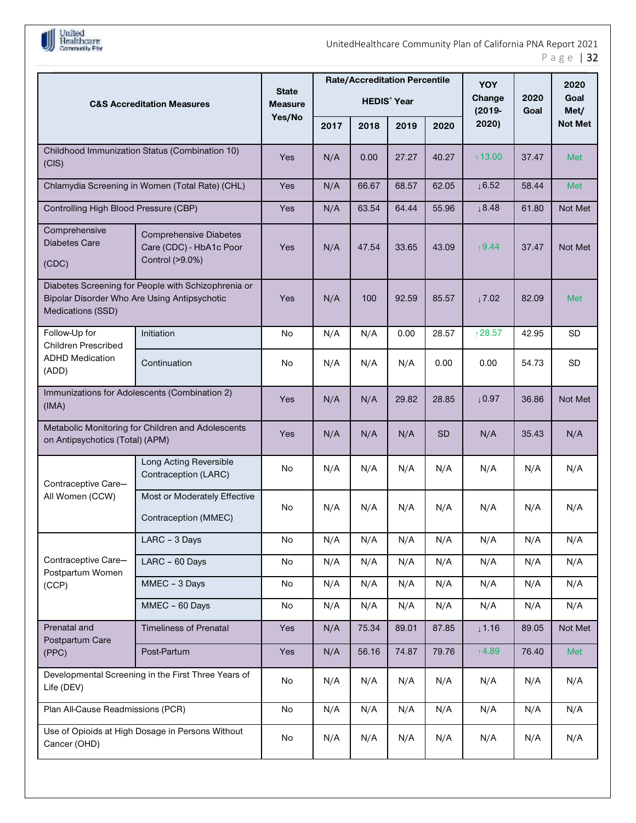

UnitedHealthcare Community Plan of California PNA Report 2021 P a g e | 32

|                                                                   |                                                                             | <b>State</b>             |      | <b>Rate/Accreditation Percentile</b> |       |           | YOY                 |              | 2020           |
|-------------------------------------------------------------------|-----------------------------------------------------------------------------|--------------------------|------|--------------------------------------|-------|-----------|---------------------|--------------|----------------|
|                                                                   | <b>C&amp;S Accreditation Measures</b>                                       | <b>Measure</b><br>Yes/No |      | <b>HEDIS</b> <sup>®</sup> Year       |       |           | Change<br>$(2019 -$ | 2020<br>Goal | Goal<br>Met/   |
|                                                                   |                                                                             |                          | 2017 | 2018                                 | 2019  | 2020      | 2020)               |              | <b>Not Met</b> |
| (CIS)                                                             | Childhood Immunization Status (Combination 10)                              | Yes                      | N/A  | 0.00                                 | 27.27 | 40.27     | 13.00               | 37.47        | <b>Met</b>     |
|                                                                   | Chlamydia Screening in Women (Total Rate) (CHL)                             | Yes                      | N/A  | 66.67                                | 68.57 | 62.05     | $\downarrow$ 6.52   | 58.44        | Met            |
| Controlling High Blood Pressure (CBP)                             |                                                                             | <b>Yes</b>               | N/A  | 63.54                                | 64.44 | 55.96     | $\downarrow 8.48$   | 61.80        | Not Met        |
| Comprehensive<br><b>Diabetes Care</b><br>(CDC)                    | <b>Comprehensive Diabetes</b><br>Care (CDC) - HbA1c Poor<br>Control (>9.0%) | Yes                      | N/A  | 47.54                                | 33.65 | 43.09     | 19.44               | 37.47        | Not Met        |
| Bipolar Disorder Who Are Using Antipsychotic<br>Medications (SSD) | Diabetes Screening for People with Schizophrenia or                         | Yes                      | N/A  | 100                                  | 92.59 | 85.57     | $\sqrt{7.02}$       | 82.09        | <b>Met</b>     |
| Follow-Up for<br><b>Children Prescribed</b>                       | Initiation                                                                  | No                       | N/A  | N/A                                  | 0.00  | 28.57     | ↑28.57              | 42.95        | SD             |
| <b>ADHD Medication</b><br>(ADD)                                   | Continuation                                                                | No                       | N/A  | N/A                                  | N/A   | 0.00      | 0.00                | 54.73        | SD             |
| (IMA)                                                             | Immunizations for Adolescents (Combination 2)                               | Yes                      | N/A  | N/A                                  | 29.82 | 28.85     | 10.97               | 36.86        | Not Met        |
| on Antipsychotics (Total) (APM)                                   | Metabolic Monitoring for Children and Adolescents                           | Yes                      | N/A  | N/A                                  | N/A   | <b>SD</b> | N/A                 | 35.43        | N/A            |
| Contraceptive Care-                                               | Long Acting Reversible<br>Contraception (LARC)                              | No                       | N/A  | N/A                                  | N/A   | N/A       | N/A                 | N/A          | N/A            |
| All Women (CCW)                                                   | Most or Moderately Effective<br>Contraception (MMEC)                        | No                       | N/A  | N/A                                  | N/A   | N/A       | N/A                 | N/A          | N/A            |
|                                                                   | LARC - 3 Days                                                               | No                       | N/A  | N/A                                  | N/A   | N/A       | N/A                 | N/A          | N/A            |
| Contraceptive Care-<br>Postpartum Women                           | LARC - 60 Days                                                              | No                       | N/A  | N/A                                  | N/A   | N/A       | N/A                 | N/A          | N/A            |
| (CCP)                                                             | MMEC - 3 Days                                                               | No                       | N/A  | N/A                                  | N/A   | N/A       | N/A                 | N/A          | N/A            |
|                                                                   | MMEC - 60 Days                                                              | No                       | N/A  | N/A                                  | N/A   | N/A       | N/A                 | N/A          | N/A            |
| Prenatal and<br>Postpartum Care                                   | <b>Timeliness of Prenatal</b>                                               | Yes                      | N/A  | 75.34                                | 89.01 | 87.85     | $\downarrow$ 1.16   | 89.05        | Not Met        |
| (PPC)                                                             | Post-Partum                                                                 | Yes                      | N/A  | 56.16                                | 74.87 | 79.76     | 14.89               | 76.40        | Met            |
| Developmental Screening in the First Three Years of<br>Life (DEV) |                                                                             | No                       | N/A  | N/A                                  | N/A   | N/A       | N/A                 | N/A          | N/A            |
| Plan All-Cause Readmissions (PCR)                                 |                                                                             | No                       | N/A  | N/A                                  | N/A   | N/A       | N/A                 | N/A          | N/A            |
| Cancer (OHD)                                                      | Use of Opioids at High Dosage in Persons Without                            | No                       | N/A  | N/A                                  | N/A   | N/A       | N/A                 | N/A          | N/A            |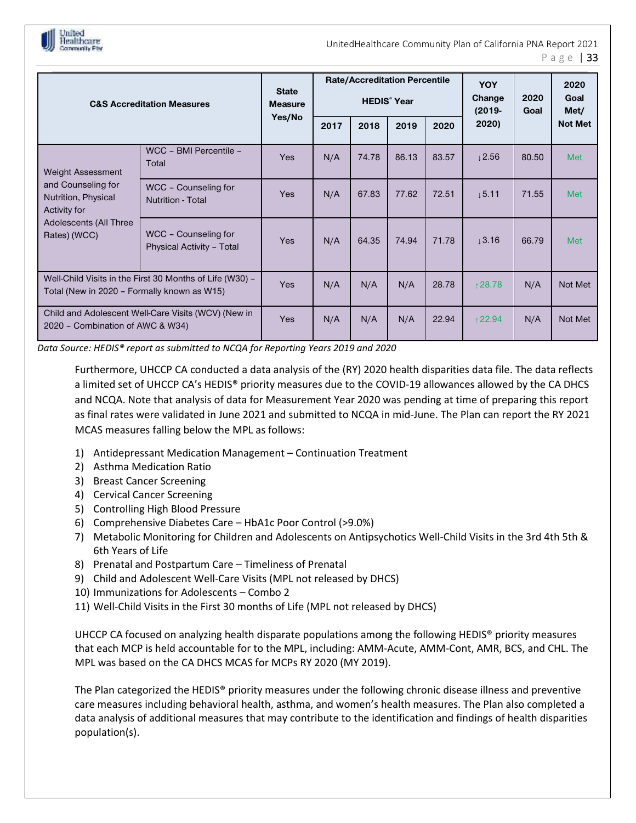

UnitedHealthcare Community Plan of California PNA Report 2021 P a g e | 33

|                                                                                                         | <b>C&amp;S Accreditation Measures</b>             |            |     | <b>Rate/Accreditation Percentile</b> | <b>HEDIS</b> <sup>®</sup> Year | <b>YOY</b><br>Change<br>$(2019 -$ | 2020<br>Goal | 2020<br>Goal<br>Met/ |                |
|---------------------------------------------------------------------------------------------------------|---------------------------------------------------|------------|-----|--------------------------------------|--------------------------------|-----------------------------------|--------------|----------------------|----------------|
|                                                                                                         |                                                   |            |     | 2018                                 | 2019                           | 2020                              | 2020)        |                      | <b>Not Met</b> |
| <b>Weight Assessment</b>                                                                                | WCC - BMI Percentile -<br>Total                   | <b>Yes</b> | N/A | 74.78                                | 86.13                          | 83.57                             | 12.56        | 80.50                | <b>Met</b>     |
| and Counseling for<br>Nutrition, Physical<br>Activity for                                               | WCC - Counseling for<br><b>Nutrition - Total</b>  | <b>Yes</b> | N/A | 67.83                                | 77.62                          | 72.51                             | 15.11        | 71.55                | <b>Met</b>     |
| Adolescents (All Three<br>Rates) (WCC)                                                                  | WCC – Counseling for<br>Physical Activity - Total | <b>Yes</b> | N/A | 64.35                                | 74.94                          | 71.78                             | 13.16        | 66.79                | <b>Met</b>     |
| Well-Child Visits in the First 30 Months of Life (W30) -<br>Total (New in 2020 - Formally known as W15) | <b>Yes</b>                                        | N/A        | N/A | N/A                                  | 28.78                          | 128.78                            | N/A          | Not Met              |                |
| Child and Adolescent Well-Care Visits (WCV) (New in<br>2020 - Combination of AWC & W34)                 | <b>Yes</b>                                        | N/A        | N/A | N/A                                  | 22.94                          | 122.94                            | N/A          | Not Met              |                |

*Data Source: HEDIS® report as submitted to NCQA for Reporting Years 2019 and 2020* 

Furthermore, UHCCP CA conducted a data analysis of the (RY) 2020 health disparities data file. The data reflects a limited set of UHCCP CA's HEDIS® priority measures due to the COVID-19 allowances allowed by the CA DHCS and NCQA. Note that analysis of data for Measurement Year 2020 was pending at time of preparing this report as final rates were validated in June 2021 and submitted to NCQA in mid-June. The Plan can report the RY 2021 MCAS measures falling below the MPL as follows:

- 1) Antidepressant Medication Management Continuation Treatment
- 2) Asthma Medication Ratio
- 3) Breast Cancer Screening
- 4) Cervical Cancer Screening
- 5) Controlling High Blood Pressure
- 6) Comprehensive Diabetes Care HbA1c Poor Control (>9.0%)
- 7) Metabolic Monitoring for Children and Adolescents on Antipsychotics Well-Child Visits in the 3rd 4th 5th & 6th Years of Life
- 8) Prenatal and Postpartum Care Timeliness of Prenatal
- 9) Child and Adolescent Well-Care Visits (MPL not released by DHCS)
- 10) Immunizations for Adolescents Combo 2
- 11) Well-Child Visits in the First 30 months of Life (MPL not released by DHCS)

UHCCP CA focused on analyzing health disparate populations among the following HEDIS® priority measures that each MCP is held accountable for to the MPL, including: AMM-Acute, AMM-Cont, AMR, BCS, and CHL. The MPL was based on the CA DHCS MCAS for MCPs RY 2020 (MY 2019).

The Plan categorized the HEDIS® priority measures under the following chronic disease illness and preventive care measures including behavioral health, asthma, and women's health measures. The Plan also completed a data analysis of additional measures that may contribute to the identification and findings of health disparities population(s).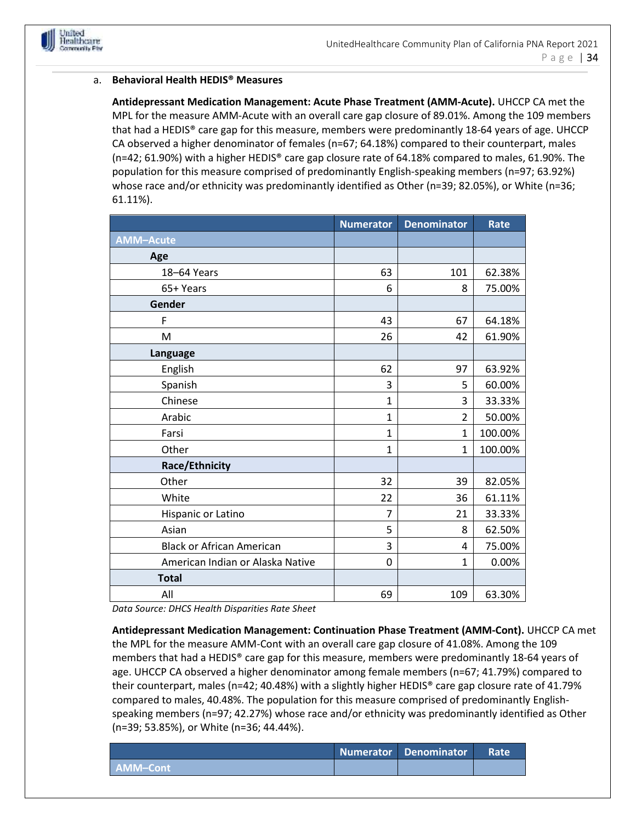

#### a. **Behavioral Health HEDIS® Measures**

**Antidepressant Medication Management: Acute Phase Treatment (AMM-Acute).** UHCCP CA met the MPL for the measure AMM-Acute with an overall care gap closure of 89.01%. Among the 109 members that had a HEDIS® care gap for this measure, members were predominantly 18-64 years of age. UHCCP CA observed a higher denominator of females (n=67; 64.18%) compared to their counterpart, males (n=42; 61.90%) with a higher HEDIS® care gap closure rate of 64.18% compared to males, 61.90%. The population for this measure comprised of predominantly English-speaking members (n=97; 63.92%) whose race and/or ethnicity was predominantly identified as Other (n=39; 82.05%), or White (n=36; 61.11%).

|                                  | <b>Numerator</b> | <b>Denominator</b> | <b>Rate</b> |
|----------------------------------|------------------|--------------------|-------------|
| <b>AMM-Acute</b>                 |                  |                    |             |
| Age                              |                  |                    |             |
| 18-64 Years                      | 63               | 101                | 62.38%      |
| 65+ Years                        | 6                | 8                  | 75.00%      |
| Gender                           |                  |                    |             |
| F                                | 43               | 67                 | 64.18%      |
| M                                | 26               | 42                 | 61.90%      |
| Language                         |                  |                    |             |
| English                          | 62               | 97                 | 63.92%      |
| Spanish                          | 3                | 5                  | 60.00%      |
| Chinese                          | $\mathbf{1}$     | 3                  | 33.33%      |
| Arabic                           | $\mathbf{1}$     | $\overline{2}$     | 50.00%      |
| Farsi                            | $\mathbf{1}$     | $\mathbf{1}$       | 100.00%     |
| Other                            | $\mathbf{1}$     | $\mathbf{1}$       | 100.00%     |
| <b>Race/Ethnicity</b>            |                  |                    |             |
| Other                            | 32               | 39                 | 82.05%      |
| White                            | 22               | 36                 | 61.11%      |
| Hispanic or Latino               | 7                | 21                 | 33.33%      |
| Asian                            | 5                | 8                  | 62.50%      |
| <b>Black or African American</b> | 3                | 4                  | 75.00%      |
| American Indian or Alaska Native | 0                | 1                  | 0.00%       |
| <b>Total</b>                     |                  |                    |             |
| All                              | 69               | 109                | 63.30%      |

*Data Source: DHCS Health Disparities Rate Sheet*

**Antidepressant Medication Management: Continuation Phase Treatment (AMM-Cont).** UHCCP CA met the MPL for the measure AMM-Cont with an overall care gap closure of 41.08%. Among the 109 members that had a HEDIS® care gap for this measure, members were predominantly 18-64 years of age. UHCCP CA observed a higher denominator among female members (n=67; 41.79%) compared to their counterpart, males (n=42; 40.48%) with a slightly higher HEDIS® care gap closure rate of 41.79% compared to males, 40.48%. The population for this measure comprised of predominantly Englishspeaking members (n=97; 42.27%) whose race and/or ethnicity was predominantly identified as Other (n=39; 53.85%), or White (n=36; 44.44%).

|                 | Numerator Denominator | Rate |
|-----------------|-----------------------|------|
| <b>AMM-Cont</b> |                       |      |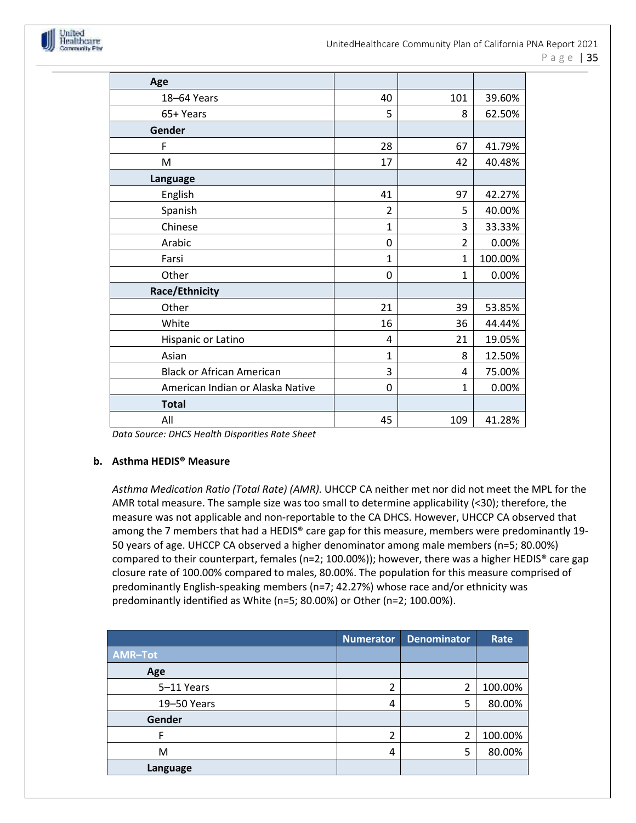| Age                              |                |                |         |
|----------------------------------|----------------|----------------|---------|
| 18-64 Years                      | 40             | 101            | 39.60%  |
| 65+ Years                        | 5              | 8              | 62.50%  |
| Gender                           |                |                |         |
| F                                | 28             | 67             | 41.79%  |
| M                                | 17             | 42             | 40.48%  |
| Language                         |                |                |         |
| English                          | 41             | 97             | 42.27%  |
| Spanish                          | $\overline{2}$ | 5              | 40.00%  |
| Chinese                          | $\mathbf{1}$   | 3              | 33.33%  |
| Arabic                           | 0              | $\overline{2}$ | 0.00%   |
| Farsi                            | $\mathbf{1}$   | $\mathbf{1}$   | 100.00% |
| Other                            | 0              | $\mathbf{1}$   | 0.00%   |
| Race/Ethnicity                   |                |                |         |
| Other                            | 21             | 39             | 53.85%  |
| White                            | 16             | 36             | 44.44%  |
| Hispanic or Latino               | 4              | 21             | 19.05%  |
| Asian                            | $\mathbf{1}$   | 8              | 12.50%  |
| <b>Black or African American</b> | 3              | 4              | 75.00%  |
| American Indian or Alaska Native | 0              | $\mathbf{1}$   | 0.00%   |
| <b>Total</b>                     |                |                |         |
| All                              | 45             | 109            | 41.28%  |

*Data Source: DHCS Health Disparities Rate Sheet*

#### **b. Asthma HEDIS® Measure**

*Asthma Medication Ratio (Total Rate) (AMR).* UHCCP CA neither met nor did not meet the MPL for the AMR total measure. The sample size was too small to determine applicability (<30); therefore, the measure was not applicable and non-reportable to the CA DHCS. However, UHCCP CA observed that among the 7 members that had a HEDIS® care gap for this measure, members were predominantly 19-50 years of age. UHCCP CA observed a higher denominator among male members (n=5; 80.00%) compared to their counterpart, females (n=2; 100.00%)); however, there was a higher HEDIS® care gap closure rate of 100.00% compared to males, 80.00%. The population for this measure comprised of predominantly English-speaking members (n=7; 42.27%) whose race and/or ethnicity was predominantly identified as White (n=5; 80.00%) or Other (n=2; 100.00%).

|                | <b>Numerator</b> | <b>Denominator</b> | Rate    |
|----------------|------------------|--------------------|---------|
| <b>AMR-Tot</b> |                  |                    |         |
| Age            |                  |                    |         |
| 5-11 Years     | 2                | 2                  | 100.00% |
| 19-50 Years    | 4                | 5                  | 80.00%  |
| Gender         |                  |                    |         |
|                |                  | 2                  | 100.00% |
| M              | 4                | 5                  | 80.00%  |
| Language       |                  |                    |         |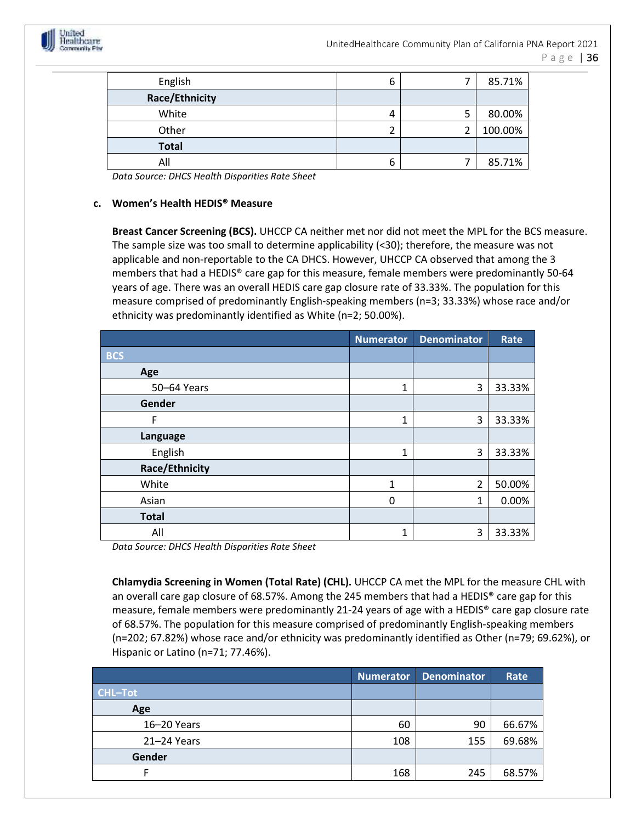

| English               | 6 |   | 85.71%  |
|-----------------------|---|---|---------|
| <b>Race/Ethnicity</b> |   |   |         |
| White                 | 4 | 5 | 80.00%  |
| Other                 | ∽ |   | 100.00% |
| <b>Total</b>          |   |   |         |
| All                   | 6 |   | 85.71%  |

*Data Source: DHCS Health Disparities Rate Sheet*

#### **c. Women's Health HEDIS® Measure**

**Breast Cancer Screening (BCS).** UHCCP CA neither met nor did not meet the MPL for the BCS measure. The sample size was too small to determine applicability (<30); therefore, the measure was not applicable and non-reportable to the CA DHCS. However, UHCCP CA observed that among the 3 members that had a HEDIS® care gap for this measure, female members were predominantly 50-64 years of age. There was an overall HEDIS care gap closure rate of 33.33%. The population for this measure comprised of predominantly English-speaking members (n=3; 33.33%) whose race and/or ethnicity was predominantly identified as White (n=2; 50.00%).

|                       | <b>Numerator</b> | <b>Denominator</b> | Rate   |
|-----------------------|------------------|--------------------|--------|
| <b>BCS</b>            |                  |                    |        |
| Age                   |                  |                    |        |
| 50-64 Years           | 1                | 3                  | 33.33% |
| Gender                |                  |                    |        |
| F                     | 1                | 3                  | 33.33% |
| Language              |                  |                    |        |
| English               | 1                | 3                  | 33.33% |
| <b>Race/Ethnicity</b> |                  |                    |        |
| White                 | 1                | $\overline{2}$     | 50.00% |
| Asian                 | 0                | 1                  | 0.00%  |
| <b>Total</b>          |                  |                    |        |
| All                   | 1                | 3                  | 33.33% |

*Data Source: DHCS Health Disparities Rate Sheet*

**Chlamydia Screening in Women (Total Rate) (CHL).** UHCCP CA met the MPL for the measure CHL with an overall care gap closure of 68.57%. Among the 245 members that had a HEDIS® care gap for this measure, female members were predominantly 21-24 years of age with a HEDIS® care gap closure rate of 68.57%. The population for this measure comprised of predominantly English-speaking members (n=202; 67.82%) whose race and/or ethnicity was predominantly identified as Other (n=79; 69.62%), or Hispanic or Latino (n=71; 77.46%).

|                | <b>Numerator</b> | <b>Denominator</b> | Rate   |
|----------------|------------------|--------------------|--------|
| <b>CHL-Tot</b> |                  |                    |        |
| Age            |                  |                    |        |
| 16-20 Years    | 60               | 90                 | 66.67% |
| 21-24 Years    | 108              | 155                | 69.68% |
| Gender         |                  |                    |        |
| Е              | 168              | 245                | 68.57% |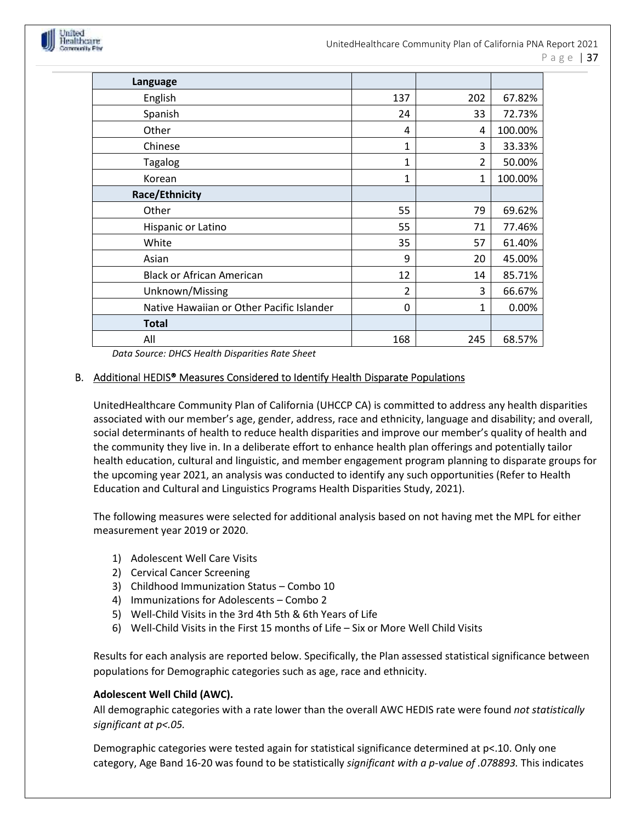| Language                                  |              |                |         |
|-------------------------------------------|--------------|----------------|---------|
| English                                   | 137          | 202            | 67.82%  |
| Spanish                                   | 24           | 33             | 72.73%  |
| Other                                     | 4            | 4              | 100.00% |
| Chinese                                   | 1            | 3              | 33.33%  |
| Tagalog                                   | $\mathbf{1}$ | $\mathfrak{p}$ | 50.00%  |
| Korean                                    | 1            | 1              | 100.00% |
| <b>Race/Ethnicity</b>                     |              |                |         |
| Other                                     | 55           | 79             | 69.62%  |
| Hispanic or Latino                        | 55           | 71             | 77.46%  |
| White                                     | 35           | 57             | 61.40%  |
| Asian                                     | 9            | 20             | 45.00%  |
| <b>Black or African American</b>          | 12           | 14             | 85.71%  |
| Unknown/Missing                           | 2            | 3              | 66.67%  |
| Native Hawaiian or Other Pacific Islander | 0            | 1              | 0.00%   |
| <b>Total</b>                              |              |                |         |
| All                                       | 168          | 245            | 68.57%  |

*Data Source: DHCS Health Disparities Rate Sheet*

#### B. Additional HEDIS® Measures Considered to Identify Health Disparate Populations

UnitedHealthcare Community Plan of California (UHCCP CA) is committed to address any health disparities associated with our member's age, gender, address, race and ethnicity, language and disability; and overall, social determinants of health to reduce health disparities and improve our member's quality of health and the community they live in. In a deliberate effort to enhance health plan offerings and potentially tailor health education, cultural and linguistic, and member engagement program planning to disparate groups for the upcoming year 2021, an analysis was conducted to identify any such opportunities (Refer to Health Education and Cultural and Linguistics Programs Health Disparities Study, 2021).

The following measures were selected for additional analysis based on not having met the MPL for either measurement year 2019 or 2020.

- 1) Adolescent Well Care Visits
- 2) Cervical Cancer Screening
- 3) Childhood Immunization Status Combo 10
- 4) Immunizations for Adolescents Combo 2
- 5) Well-Child Visits in the 3rd 4th 5th & 6th Years of Life
- 6) Well-Child Visits in the First 15 months of Life Six or More Well Child Visits

Results for each analysis are reported below. Specifically, the Plan assessed statistical significance between populations for Demographic categories such as age, race and ethnicity.

#### **Adolescent Well Child (AWC).**

All demographic categories with a rate lower than the overall AWC HEDIS rate were found *not statistically significant at p<.05.*

Demographic categories were tested again for statistical significance determined at p<.10. Only one category, Age Band 16-20 was found to be statistically *significant with a p-value of .078893.* This indicates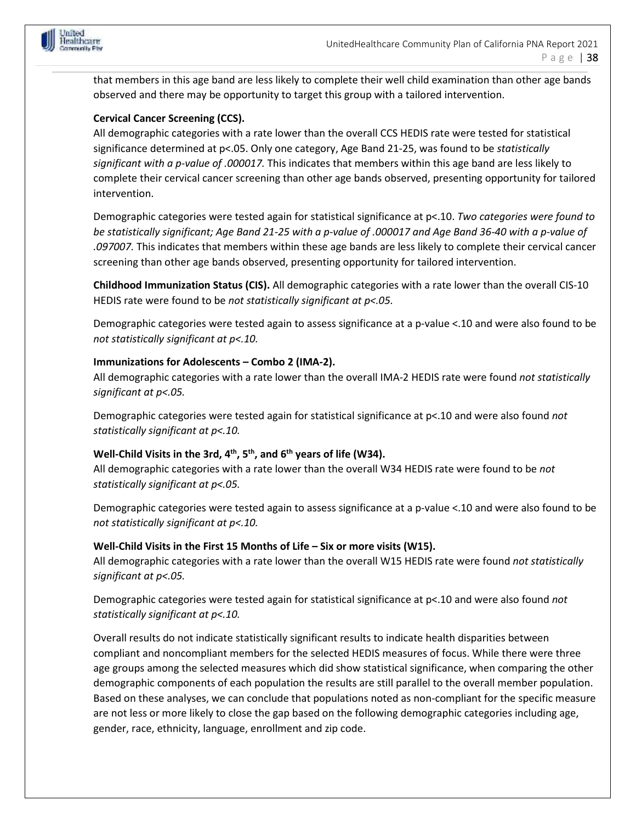that members in this age band are less likely to complete their well child examination than other age bands observed and there may be opportunity to target this group with a tailored intervention.

#### **Cervical Cancer Screening (CCS).**

All demographic categories with a rate lower than the overall CCS HEDIS rate were tested for statistical significance determined at p<.05. Only one category, Age Band 21-25, was found to be *statistically significant with a p-value of .000017.* This indicates that members within this age band are less likely to complete their cervical cancer screening than other age bands observed, presenting opportunity for tailored intervention.

Demographic categories were tested again for statistical significance at p<.10. *Two categories were found to be statistically significant; Age Band 21-25 with a p-value of .000017 and Age Band 36-40 with a p-value of .097007.* This indicates that members within these age bands are less likely to complete their cervical cancer screening than other age bands observed, presenting opportunity for tailored intervention.

**Childhood Immunization Status (CIS).** All demographic categories with a rate lower than the overall CIS-10 HEDIS rate were found to be *not statistically significant at p<.05.*

Demographic categories were tested again to assess significance at a p-value <.10 and were also found to be *not statistically significant at p<.10.* 

#### **Immunizations for Adolescents – Combo 2 (IMA-2).**

All demographic categories with a rate lower than the overall IMA-2 HEDIS rate were found *not statistically significant at p<.05.*

Demographic categories were tested again for statistical significance at p<.10 and were also found *not statistically significant at p<.10.*

#### **Well-Child Visits in the 3rd, 4th, 5th, and 6th years of life (W34).**

All demographic categories with a rate lower than the overall W34 HEDIS rate were found to be *not statistically significant at p<.05.*

Demographic categories were tested again to assess significance at a p-value <.10 and were also found to be *not statistically significant at p<.10.* 

#### **Well-Child Visits in the First 15 Months of Life – Six or more visits (W15).**

All demographic categories with a rate lower than the overall W15 HEDIS rate were found *not statistically significant at p<.05.*

Demographic categories were tested again for statistical significance at p<.10 and were also found *not statistically significant at p<.10.* 

Overall results do not indicate statistically significant results to indicate health disparities between compliant and noncompliant members for the selected HEDIS measures of focus. While there were three age groups among the selected measures which did show statistical significance, when comparing the other demographic components of each population the results are still parallel to the overall member population. Based on these analyses, we can conclude that populations noted as non-compliant for the specific measure are not less or more likely to close the gap based on the following demographic categories including age, gender, race, ethnicity, language, enrollment and zip code.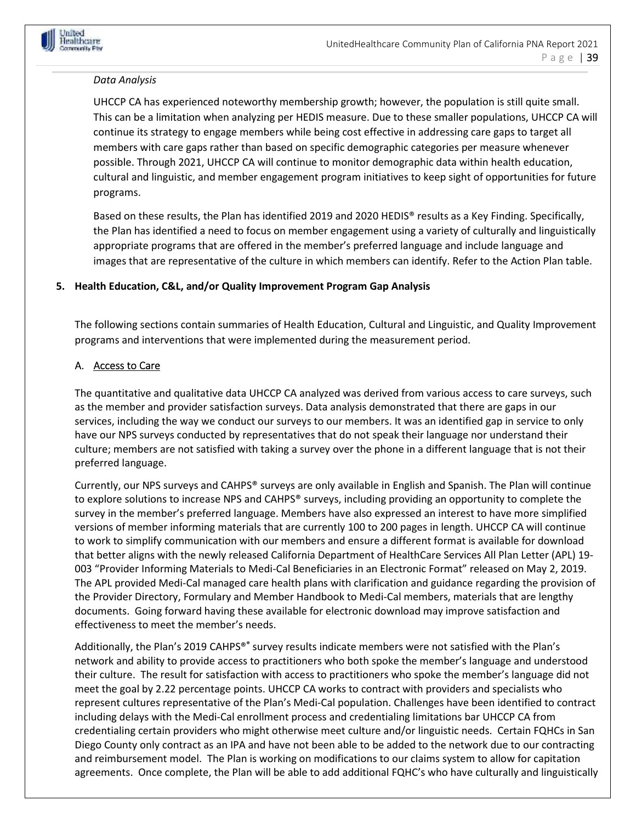

#### *Data Analysis*

UHCCP CA has experienced noteworthy membership growth; however, the population is still quite small. This can be a limitation when analyzing per HEDIS measure. Due to these smaller populations, UHCCP CA will continue its strategy to engage members while being cost effective in addressing care gaps to target all members with care gaps rather than based on specific demographic categories per measure whenever possible. Through 2021, UHCCP CA will continue to monitor demographic data within health education, cultural and linguistic, and member engagement program initiatives to keep sight of opportunities for future programs.

Based on these results, the Plan has identified 2019 and 2020 HEDIS® results as a Key Finding. Specifically, the Plan has identified a need to focus on member engagement using a variety of culturally and linguistically appropriate programs that are offered in the member's preferred language and include language and images that are representative of the culture in which members can identify. Refer to the Action Plan table.

#### **5. Health Education, C&L, and/or Quality Improvement Program Gap Analysis**

The following sections contain summaries of Health Education, Cultural and Linguistic, and Quality Improvement programs and interventions that were implemented during the measurement period.

#### A. Access to Care

The quantitative and qualitative data UHCCP CA analyzed was derived from various access to care surveys, such as the member and provider satisfaction surveys. Data analysis demonstrated that there are gaps in our services, including the way we conduct our surveys to our members. It was an identified gap in service to only have our NPS surveys conducted by representatives that do not speak their language nor understand their culture; members are not satisfied with taking a survey over the phone in a different language that is not their preferred language.

Currently, our NPS surveys and CAHPS® surveys are only available in English and Spanish. The Plan will continue to explore solutions to increase NPS and CAHPS® surveys, including providing an opportunity to complete the survey in the member's preferred language. Members have also expressed an interest to have more simplified versions of member informing materials that are currently 100 to 200 pages in length. UHCCP CA will continue to work to simplify communication with our members and ensure a different format is available for download that better aligns with the newly released California Department of HealthCare Services All Plan Letter (APL) 19- 003 "Provider Informing Materials to Medi-Cal Beneficiaries in an Electronic Format" released on May 2, 2019. The APL provided Medi-Cal managed care health plans with clarification and guidance regarding the provision of the Provider Directory, Formulary and Member Handbook to Medi-Cal members, materials that are lengthy documents. Going forward having these available for electronic download may improve satisfaction and effectiveness to meet the member's needs.

Additionally, the Plan's 2019 CAHPS<sup>®®</sup> survey results indicate members were not satisfied with the Plan's network and ability to provide access to practitioners who both spoke the member's language and understood their culture. The result for satisfaction with access to practitioners who spoke the member's language did not meet the goal by 2.22 percentage points. UHCCP CA works to contract with providers and specialists who represent cultures representative of the Plan's Medi-Cal population. Challenges have been identified to contract including delays with the Medi-Cal enrollment process and credentialing limitations bar UHCCP CA from credentialing certain providers who might otherwise meet culture and/or linguistic needs. Certain FQHCs in San Diego County only contract as an IPA and have not been able to be added to the network due to our contracting and reimbursement model. The Plan is working on modifications to our claims system to allow for capitation agreements. Once complete, the Plan will be able to add additional FQHC's who have culturally and linguistically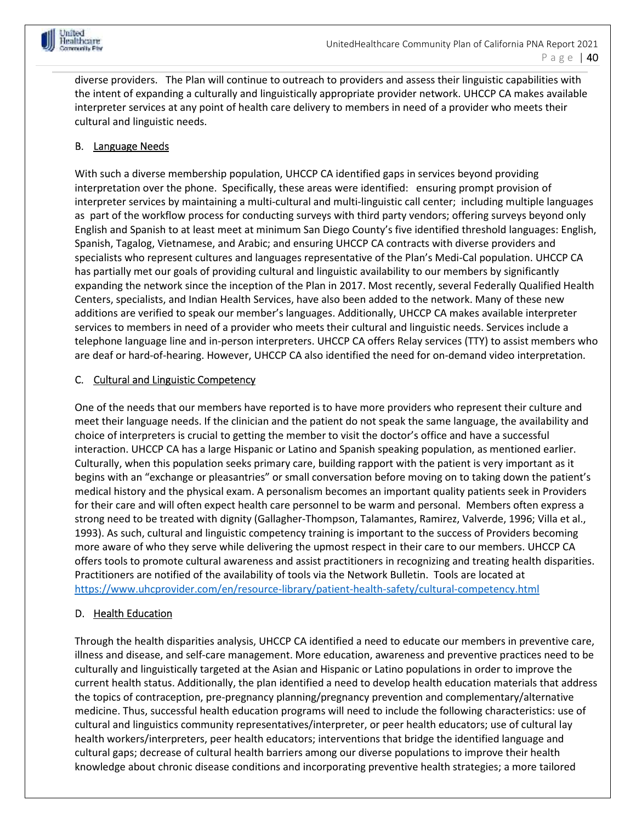

diverse providers. The Plan will continue to outreach to providers and assess their linguistic capabilities with the intent of expanding a culturally and linguistically appropriate provider network. UHCCP CA makes available interpreter services at any point of health care delivery to members in need of a provider who meets their cultural and linguistic needs.

#### B. Language Needs

With such a diverse membership population, UHCCP CA identified gaps in services beyond providing interpretation over the phone. Specifically, these areas were identified: ensuring prompt provision of interpreter services by maintaining a multi-cultural and multi-linguistic call center; including multiple languages as part of the workflow process for conducting surveys with third party vendors; offering surveys beyond only English and Spanish to at least meet at minimum San Diego County's five identified threshold languages: English, Spanish, Tagalog, Vietnamese, and Arabic; and ensuring UHCCP CA contracts with diverse providers and specialists who represent cultures and languages representative of the Plan's Medi-Cal population. UHCCP CA has partially met our goals of providing cultural and linguistic availability to our members by significantly expanding the network since the inception of the Plan in 2017. Most recently, several Federally Qualified Health Centers, specialists, and Indian Health Services, have also been added to the network. Many of these new additions are verified to speak our member's languages. Additionally, UHCCP CA makes available interpreter services to members in need of a provider who meets their cultural and linguistic needs. Services include a telephone language line and in-person interpreters. UHCCP CA offers Relay services (TTY) to assist members who are deaf or hard-of-hearing. However, UHCCP CA also identified the need for on-demand video interpretation.

#### C. Cultural and Linguistic Competency

One of the needs that our members have reported is to have more providers who represent their culture and meet their language needs. If the clinician and the patient do not speak the same language, the availability and choice of interpreters is crucial to getting the member to visit the doctor's office and have a successful interaction. UHCCP CA has a large Hispanic or Latino and Spanish speaking population, as mentioned earlier. Culturally, when this population seeks primary care, building rapport with the patient is very important as it begins with an "exchange or pleasantries" or small conversation before moving on to taking down the patient's medical history and the physical exam. A personalism becomes an important quality patients seek in Providers for their care and will often expect health care personnel to be warm and personal. Members often express a strong need to be treated with dignity (Gallagher-Thompson, Talamantes, Ramirez, Valverde, 1996; Villa et al., 1993). As such, cultural and linguistic competency training is important to the success of Providers becoming more aware of who they serve while delivering the upmost respect in their care to our members. UHCCP CA offers tools to promote cultural awareness and assist practitioners in recognizing and treating health disparities. Practitioners are notified of the availability of tools via the Network Bulletin. Tools are located at https://www.uhcprovider.com/en/resource-library/patient-health-safety/cultural-competency.html

#### D. Health Education

Through the health disparities analysis, UHCCP CA identified a need to educate our members in preventive care, illness and disease, and self-care management. More education, awareness and preventive practices need to be culturally and linguistically targeted at the Asian and Hispanic or Latino populations in order to improve the current health status. Additionally, the plan identified a need to develop health education materials that address the topics of contraception, pre-pregnancy planning/pregnancy prevention and complementary/alternative medicine. Thus, successful health education programs will need to include the following characteristics: use of cultural and linguistics community representatives/interpreter, or peer health educators; use of cultural lay health workers/interpreters, peer health educators; interventions that bridge the identified language and cultural gaps; decrease of cultural health barriers among our diverse populations to improve their health knowledge about chronic disease conditions and incorporating preventive health strategies; a more tailored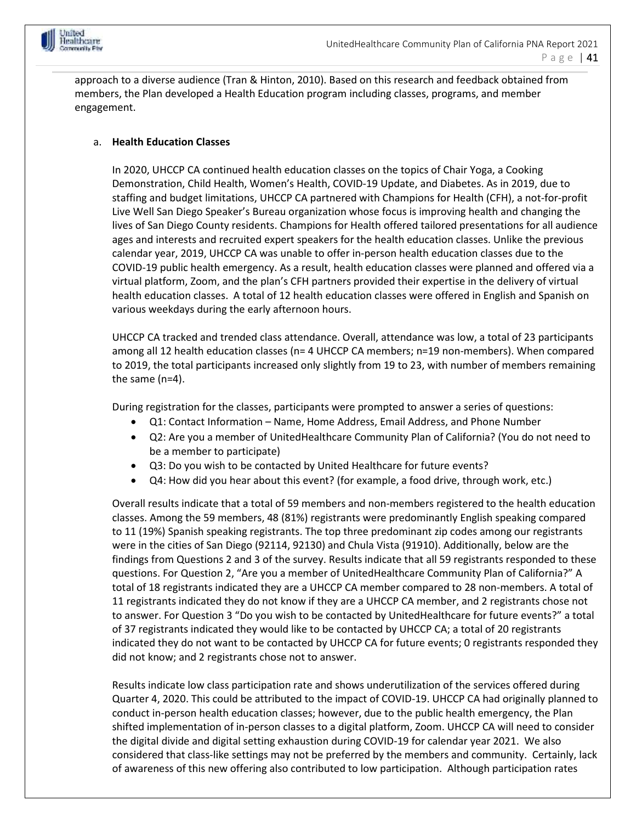

approach to a diverse audience (Tran & Hinton, 2010). Based on this research and feedback obtained from members, the Plan developed a Health Education program including classes, programs, and member engagement.

#### a. **Health Education Classes**

In 2020, UHCCP CA continued health education classes on the topics of Chair Yoga, a Cooking Demonstration, Child Health, Women's Health, COVID-19 Update, and Diabetes. As in 2019, due to staffing and budget limitations, UHCCP CA partnered with Champions for Health (CFH), a not-for-profit Live Well San Diego Speaker's Bureau organization whose focus is improving health and changing the lives of San Diego County residents. Champions for Health offered tailored presentations for all audience ages and interests and recruited expert speakers for the health education classes. Unlike the previous calendar year, 2019, UHCCP CA was unable to offer in-person health education classes due to the COVID-19 public health emergency. As a result, health education classes were planned and offered via a virtual platform, Zoom, and the plan's CFH partners provided their expertise in the delivery of virtual health education classes. A total of 12 health education classes were offered in English and Spanish on various weekdays during the early afternoon hours.

UHCCP CA tracked and trended class attendance. Overall, attendance was low, a total of 23 participants among all 12 health education classes (n= 4 UHCCP CA members; n=19 non-members). When compared to 2019, the total participants increased only slightly from 19 to 23, with number of members remaining the same (n=4).

During registration for the classes, participants were prompted to answer a series of questions:

- Q1: Contact Information Name, Home Address, Email Address, and Phone Number
- Q2: Are you a member of UnitedHealthcare Community Plan of California? (You do not need to be a member to participate)
- Q3: Do you wish to be contacted by United Healthcare for future events?
- Q4: How did you hear about this event? (for example, a food drive, through work, etc.)

Overall results indicate that a total of 59 members and non-members registered to the health education classes. Among the 59 members, 48 (81%) registrants were predominantly English speaking compared to 11 (19%) Spanish speaking registrants. The top three predominant zip codes among our registrants were in the cities of San Diego (92114, 92130) and Chula Vista (91910). Additionally, below are the findings from Questions 2 and 3 of the survey. Results indicate that all 59 registrants responded to these questions. For Question 2, "Are you a member of UnitedHealthcare Community Plan of California?" A total of 18 registrants indicated they are a UHCCP CA member compared to 28 non-members. A total of 11 registrants indicated they do not know if they are a UHCCP CA member, and 2 registrants chose not to answer. For Question 3 "Do you wish to be contacted by UnitedHealthcare for future events?" a total of 37 registrants indicated they would like to be contacted by UHCCP CA; a total of 20 registrants indicated they do not want to be contacted by UHCCP CA for future events; 0 registrants responded they did not know; and 2 registrants chose not to answer.

Results indicate low class participation rate and shows underutilization of the services offered during Quarter 4, 2020. This could be attributed to the impact of COVID-19. UHCCP CA had originally planned to conduct in-person health education classes; however, due to the public health emergency, the Plan shifted implementation of in-person classes to a digital platform, Zoom. UHCCP CA will need to consider the digital divide and digital setting exhaustion during COVID-19 for calendar year 2021. We also considered that class-like settings may not be preferred by the members and community. Certainly, lack of awareness of this new offering also contributed to low participation. Although participation rates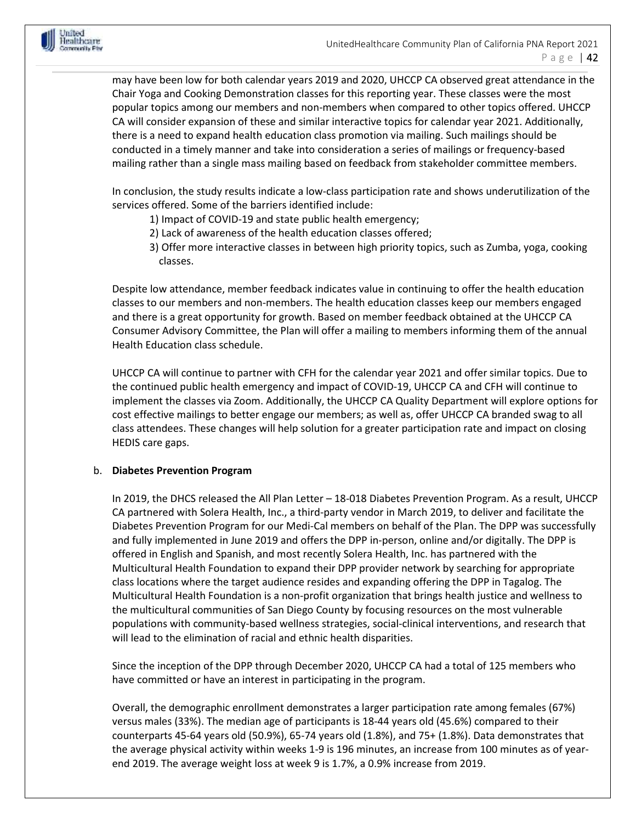may have been low for both calendar years 2019 and 2020, UHCCP CA observed great attendance in the Chair Yoga and Cooking Demonstration classes for this reporting year. These classes were the most popular topics among our members and non-members when compared to other topics offered. UHCCP CA will consider expansion of these and similar interactive topics for calendar year 2021. Additionally, there is a need to expand health education class promotion via mailing. Such mailings should be conducted in a timely manner and take into consideration a series of mailings or frequency-based mailing rather than a single mass mailing based on feedback from stakeholder committee members.

In conclusion, the study results indicate a low-class participation rate and shows underutilization of the services offered. Some of the barriers identified include:

- 1) Impact of COVID-19 and state public health emergency;
- 2) Lack of awareness of the health education classes offered;
- 3) Offer more interactive classes in between high priority topics, such as Zumba, yoga, cooking classes.

Despite low attendance, member feedback indicates value in continuing to offer the health education classes to our members and non-members. The health education classes keep our members engaged and there is a great opportunity for growth. Based on member feedback obtained at the UHCCP CA Consumer Advisory Committee, the Plan will offer a mailing to members informing them of the annual Health Education class schedule.

UHCCP CA will continue to partner with CFH for the calendar year 2021 and offer similar topics. Due to the continued public health emergency and impact of COVID-19, UHCCP CA and CFH will continue to implement the classes via Zoom. Additionally, the UHCCP CA Quality Department will explore options for cost effective mailings to better engage our members; as well as, offer UHCCP CA branded swag to all class attendees. These changes will help solution for a greater participation rate and impact on closing HEDIS care gaps.

#### b. **Diabetes Prevention Program**

In 2019, the DHCS released the All Plan Letter – 18-018 Diabetes Prevention Program. As a result, UHCCP CA partnered with Solera Health, Inc., a third-party vendor in March 2019, to deliver and facilitate the Diabetes Prevention Program for our Medi-Cal members on behalf of the Plan. The DPP was successfully and fully implemented in June 2019 and offers the DPP in-person, online and/or digitally. The DPP is offered in English and Spanish, and most recently Solera Health, Inc. has partnered with the Multicultural Health Foundation to expand their DPP provider network by searching for appropriate class locations where the target audience resides and expanding offering the DPP in Tagalog. The Multicultural Health Foundation is a non-profit organization that brings health justice and wellness to the multicultural communities of San Diego County by focusing resources on the most vulnerable populations with community-based wellness strategies, social-clinical interventions, and research that will lead to the elimination of racial and ethnic health disparities.

Since the inception of the DPP through December 2020, UHCCP CA had a total of 125 members who have committed or have an interest in participating in the program.

Overall, the demographic enrollment demonstrates a larger participation rate among females (67%) versus males (33%). The median age of participants is 18-44 years old (45.6%) compared to their counterparts 45-64 years old (50.9%), 65-74 years old (1.8%), and 75+ (1.8%). Data demonstrates that the average physical activity within weeks 1-9 is 196 minutes, an increase from 100 minutes as of yearend 2019. The average weight loss at week 9 is 1.7%, a 0.9% increase from 2019.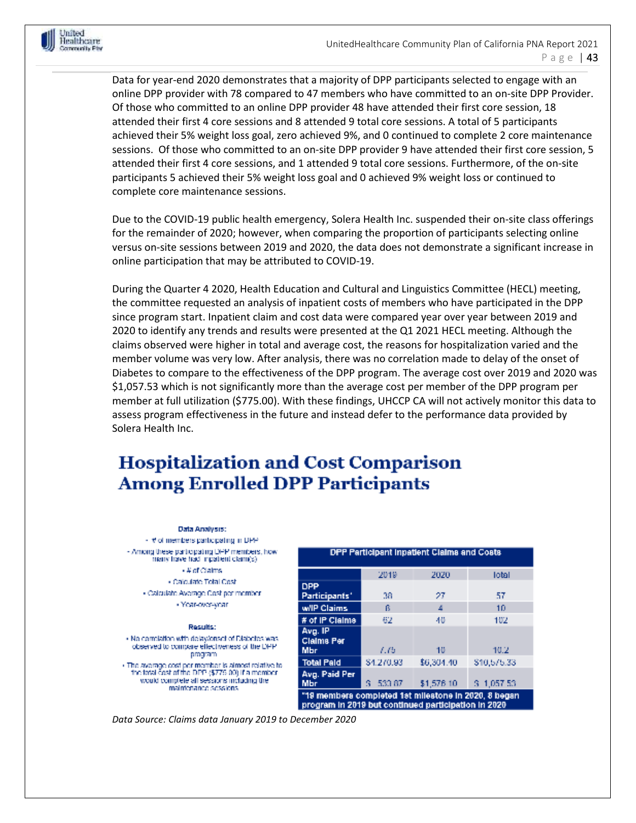

Data for year-end 2020 demonstrates that a majority of DPP participants selected to engage with an online DPP provider with 78 compared to 47 members who have committed to an on-site DPP Provider. Of those who committed to an online DPP provider 48 have attended their first core session, 18 attended their first 4 core sessions and 8 attended 9 total core sessions. A total of 5 participants achieved their 5% weight loss goal, zero achieved 9%, and 0 continued to complete 2 core maintenance sessions. Of those who committed to an on-site DPP provider 9 have attended their first core session, 5 attended their first 4 core sessions, and 1 attended 9 total core sessions. Furthermore, of the on-site participants 5 achieved their 5% weight loss goal and 0 achieved 9% weight loss or continued to complete core maintenance sessions.

Due to the COVID-19 public health emergency, Solera Health Inc. suspended their on-site class offerings for the remainder of 2020; however, when comparing the proportion of participants selecting online versus on-site sessions between 2019 and 2020, the data does not demonstrate a significant increase in online participation that may be attributed to COVID-19.

During the Quarter 4 2020, Health Education and Cultural and Linguistics Committee (HECL) meeting, the committee requested an analysis of inpatient costs of members who have participated in the DPP since program start. Inpatient claim and cost data were compared year over year between 2019 and 2020 to identify any trends and results were presented at the Q1 2021 HECL meeting. Although the claims observed were higher in total and average cost, the reasons for hospitalization varied and the member volume was very low. After analysis, there was no correlation made to delay of the onset of Diabetes to compare to the effectiveness of the DPP program. The average cost over 2019 and 2020 was \$1,057.53 which is not significantly more than the average cost per member of the DPP program per member at full utilization (\$775.00). With these findings, UHCCP CA will not actively monitor this data to assess program effectiveness in the future and instead defer to the performance data provided by Solera Health Inc.

## **Hospitalization and Cost Comparison Among Enrolled DPP Participants**

#### Data Analysis:

- # of members participating in DPP - Among these participating DPP members, how many have feet impatient clarings)  $\cdot$  # of Claims · Calculate Total Cost

· Calculate Average Cost per member · Year-overwear

#### Recritter

. No correlation with delay/onset of Diabetes was observed to compare effectiveness of the DPP program

. The average cost per member is almost relative to<br>the total cost of the DPP (\$776.00) if a member would complete all sessions including the maintenance sessions.

| DPP Participant inpatient Claims and Costs                                                                  |             |            |             |  |  |
|-------------------------------------------------------------------------------------------------------------|-------------|------------|-------------|--|--|
|                                                                                                             | 2019        | 2020       | lotal       |  |  |
| <b>DPP</b><br>Participants'                                                                                 | 38          | 27         | 57          |  |  |
| wilP Claims                                                                                                 | ß           | 4          | 10          |  |  |
| # of IP Claims                                                                                              | 62          | 40         | 102         |  |  |
| Avg. IP<br><b>Claims Per</b><br>Mbr                                                                         | 1.75        | 10         | 10.2        |  |  |
| <b>Total Paid</b>                                                                                           | \$4,270,93  | \$6,304.40 | \$10,575,33 |  |  |
| Avg. Paid Per<br>Mbr                                                                                        | 533.87<br>s |            |             |  |  |
| "19 members completed 1st milestone in 2020, 8 began<br>program in 2019 but continued participation in 2020 |             |            |             |  |  |

*Data Source: Claims data January 2019 to December 2020*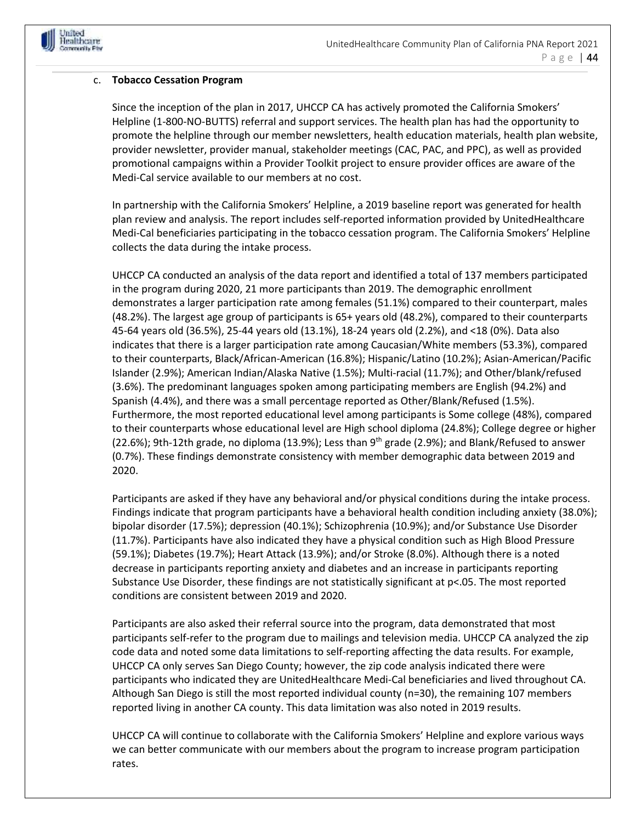

#### c. **Tobacco Cessation Program**

Since the inception of the plan in 2017, UHCCP CA has actively promoted the California Smokers' Helpline (1-800-NO-BUTTS) referral and support services. The health plan has had the opportunity to promote the helpline through our member newsletters, health education materials, health plan website, provider newsletter, provider manual, stakeholder meetings (CAC, PAC, and PPC), as well as provided promotional campaigns within a Provider Toolkit project to ensure provider offices are aware of the Medi-Cal service available to our members at no cost.

In partnership with the California Smokers' Helpline, a 2019 baseline report was generated for health plan review and analysis. The report includes self-reported information provided by UnitedHealthcare Medi-Cal beneficiaries participating in the tobacco cessation program. The California Smokers' Helpline collects the data during the intake process.

UHCCP CA conducted an analysis of the data report and identified a total of 137 members participated in the program during 2020, 21 more participants than 2019. The demographic enrollment demonstrates a larger participation rate among females (51.1%) compared to their counterpart, males (48.2%). The largest age group of participants is 65+ years old (48.2%), compared to their counterparts 45-64 years old (36.5%), 25-44 years old (13.1%), 18-24 years old (2.2%), and <18 (0%). Data also indicates that there is a larger participation rate among Caucasian/White members (53.3%), compared to their counterparts, Black/African-American (16.8%); Hispanic/Latino (10.2%); Asian-American/Pacific Islander (2.9%); American Indian/Alaska Native (1.5%); Multi-racial (11.7%); and Other/blank/refused (3.6%). The predominant languages spoken among participating members are English (94.2%) and Spanish (4.4%), and there was a small percentage reported as Other/Blank/Refused (1.5%). Furthermore, the most reported educational level among participants is Some college (48%), compared to their counterparts whose educational level are High school diploma (24.8%); College degree or higher (22.6%); 9th-12th grade, no diploma (13.9%); Less than 9<sup>th</sup> grade (2.9%); and Blank/Refused to answer (0.7%). These findings demonstrate consistency with member demographic data between 2019 and 2020.

Participants are asked if they have any behavioral and/or physical conditions during the intake process. Findings indicate that program participants have a behavioral health condition including anxiety (38.0%); bipolar disorder (17.5%); depression (40.1%); Schizophrenia (10.9%); and/or Substance Use Disorder (11.7%). Participants have also indicated they have a physical condition such as High Blood Pressure (59.1%); Diabetes (19.7%); Heart Attack (13.9%); and/or Stroke (8.0%). Although there is a noted decrease in participants reporting anxiety and diabetes and an increase in participants reporting Substance Use Disorder, these findings are not statistically significant at p<.05. The most reported conditions are consistent between 2019 and 2020.

Participants are also asked their referral source into the program, data demonstrated that most participants self-refer to the program due to mailings and television media. UHCCP CA analyzed the zip code data and noted some data limitations to self-reporting affecting the data results. For example, UHCCP CA only serves San Diego County; however, the zip code analysis indicated there were participants who indicated they are UnitedHealthcare Medi-Cal beneficiaries and lived throughout CA. Although San Diego is still the most reported individual county (n=30), the remaining 107 members reported living in another CA county. This data limitation was also noted in 2019 results.

UHCCP CA will continue to collaborate with the California Smokers' Helpline and explore various ways we can better communicate with our members about the program to increase program participation rates.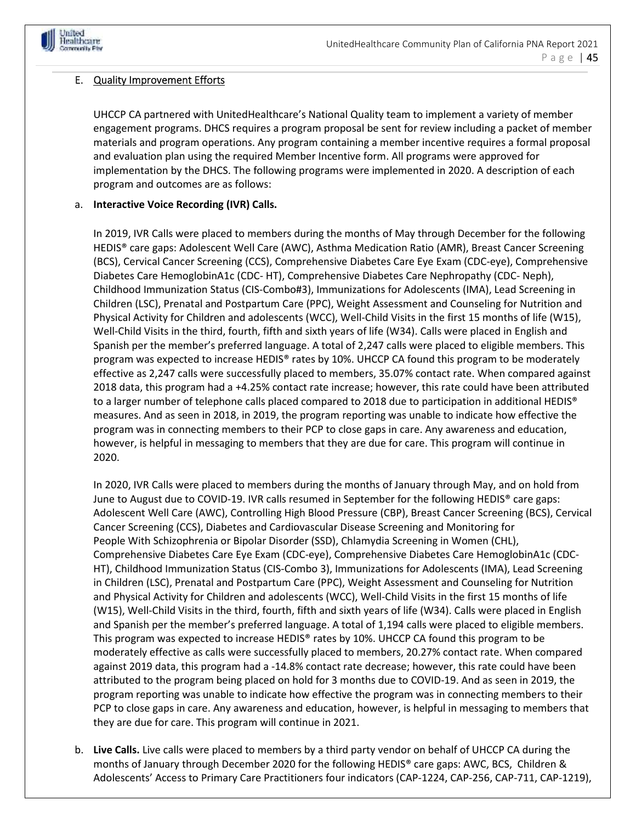

#### E. Quality Improvement Efforts

UHCCP CA partnered with UnitedHealthcare's National Quality team to implement a variety of member engagement programs. DHCS requires a program proposal be sent for review including a packet of member materials and program operations. Any program containing a member incentive requires a formal proposal and evaluation plan using the required Member Incentive form. All programs were approved for implementation by the DHCS. The following programs were implemented in 2020. A description of each program and outcomes are as follows:

#### a. **Interactive Voice Recording (IVR) Calls.**

In 2019, IVR Calls were placed to members during the months of May through December for the following HEDIS® care gaps: Adolescent Well Care (AWC), Asthma Medication Ratio (AMR), Breast Cancer Screening (BCS), Cervical Cancer Screening (CCS), Comprehensive Diabetes Care Eye Exam (CDC-eye), Comprehensive Diabetes Care HemoglobinA1c (CDC- HT), Comprehensive Diabetes Care Nephropathy (CDC- Neph), Childhood Immunization Status (CIS-Combo#3), Immunizations for Adolescents (IMA), Lead Screening in Children (LSC), Prenatal and Postpartum Care (PPC), Weight Assessment and Counseling for Nutrition and Physical Activity for Children and adolescents (WCC), Well-Child Visits in the first 15 months of life (W15), Well-Child Visits in the third, fourth, fifth and sixth years of life (W34). Calls were placed in English and Spanish per the member's preferred language. A total of 2,247 calls were placed to eligible members. This program was expected to increase HEDIS® rates by 10%. UHCCP CA found this program to be moderately effective as 2,247 calls were successfully placed to members, 35.07% contact rate. When compared against 2018 data, this program had a +4.25% contact rate increase; however, this rate could have been attributed to a larger number of telephone calls placed compared to 2018 due to participation in additional HEDIS® measures. And as seen in 2018, in 2019, the program reporting was unable to indicate how effective the program was in connecting members to their PCP to close gaps in care. Any awareness and education, however, is helpful in messaging to members that they are due for care. This program will continue in 2020.

In 2020, IVR Calls were placed to members during the months of January through May, and on hold from June to August due to COVID-19. IVR calls resumed in September for the following HEDIS® care gaps: Adolescent Well Care (AWC), Controlling High Blood Pressure (CBP), Breast Cancer Screening (BCS), Cervical Cancer Screening (CCS), Diabetes and Cardiovascular Disease Screening and Monitoring for People With Schizophrenia or Bipolar Disorder (SSD), Chlamydia Screening in Women (CHL), Comprehensive Diabetes Care Eye Exam (CDC-eye), Comprehensive Diabetes Care HemoglobinA1c (CDC-HT), Childhood Immunization Status (CIS-Combo 3), Immunizations for Adolescents (IMA), Lead Screening in Children (LSC), Prenatal and Postpartum Care (PPC), Weight Assessment and Counseling for Nutrition and Physical Activity for Children and adolescents (WCC), Well-Child Visits in the first 15 months of life (W15), Well-Child Visits in the third, fourth, fifth and sixth years of life (W34). Calls were placed in English and Spanish per the member's preferred language. A total of 1,194 calls were placed to eligible members. This program was expected to increase HEDIS® rates by 10%. UHCCP CA found this program to be moderately effective as calls were successfully placed to members, 20.27% contact rate. When compared against 2019 data, this program had a -14.8% contact rate decrease; however, this rate could have been attributed to the program being placed on hold for 3 months due to COVID-19. And as seen in 2019, the program reporting was unable to indicate how effective the program was in connecting members to their PCP to close gaps in care. Any awareness and education, however, is helpful in messaging to members that they are due for care. This program will continue in 2021.

b. **Live Calls.** Live calls were placed to members by a third party vendor on behalf of UHCCP CA during the months of January through December 2020 for the following HEDIS® care gaps: AWC, BCS, Children & Adolescents' Access to Primary Care Practitioners four indicators (CAP-1224, CAP-256, CAP-711, CAP-1219),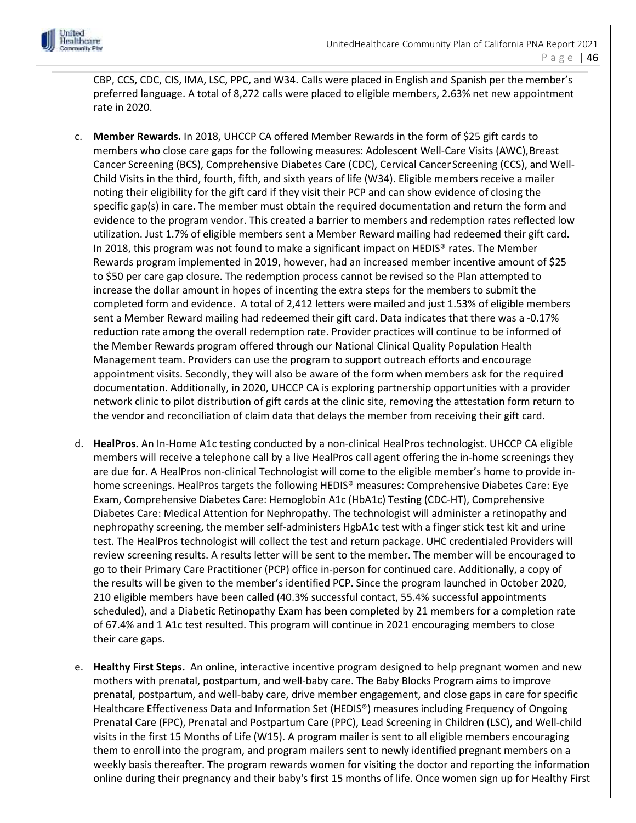

CBP, CCS, CDC, CIS, IMA, LSC, PPC, and W34. Calls were placed in English and Spanish per the member's preferred language. A total of 8,272 calls were placed to eligible members, 2.63% net new appointment rate in 2020.

- c. **Member Rewards.** In 2018, UHCCP CA offered Member Rewards in the form of \$25 gift cards to members who close care gaps for the following measures: Adolescent Well-Care Visits (AWC), Breast Cancer Screening (BCS), Comprehensive Diabetes Care (CDC), Cervical Cancer Screening (CCS), and Well-Child Visits in the third, fourth, fifth, and sixth years of life (W34). Eligible members receive a mailer noting their eligibility for the gift card if they visit their PCP and can show evidence of closing the specific gap(s) in care. The member must obtain the required documentation and return the form and evidence to the program vendor. This created a barrier to members and redemption rates reflected low utilization. Just 1.7% of eligible members sent a Member Reward mailing had redeemed their gift card. In 2018, this program was not found to make a significant impact on HEDIS<sup>®</sup> rates. The Member Rewards program implemented in 2019, however, had an increased member incentive amount of \$25 to \$50 per care gap closure. The redemption process cannot be revised so the Plan attempted to increase the dollar amount in hopes of incenting the extra steps for the members to submit the completed form and evidence. A total of 2,412 letters were mailed and just 1.53% of eligible members sent a Member Reward mailing had redeemed their gift card. Data indicates that there was a -0.17% reduction rate among the overall redemption rate. Provider practices will continue to be informed of the Member Rewards program offered through our National Clinical Quality Population Health Management team. Providers can use the program to support outreach efforts and encourage appointment visits. Secondly, they will also be aware of the form when members ask for the required documentation. Additionally, in 2020, UHCCP CA is exploring partnership opportunities with a provider network clinic to pilot distribution of gift cards at the clinic site, removing the attestation form return to the vendor and reconciliation of claim data that delays the member from receiving their gift card.
- d. **HealPros.** An In-Home A1c testing conducted by a non-clinical HealPros technologist. UHCCP CA eligible members will receive a telephone call by a live HealPros call agent offering the in-home screenings they are due for. A HealPros non-clinical Technologist will come to the eligible member's home to provide inhome screenings. HealPros targets the following HEDIS® measures: Comprehensive Diabetes Care: Eye Exam, Comprehensive Diabetes Care: Hemoglobin A1c (HbA1c) Testing (CDC-HT), Comprehensive Diabetes Care: Medical Attention for Nephropathy. The technologist will administer a retinopathy and nephropathy screening, the member self-administers HgbA1c test with a finger stick test kit and urine test. The HealPros technologist will collect the test and return package. UHC credentialed Providers will review screening results. A results letter will be sent to the member. The member will be encouraged to go to their Primary Care Practitioner (PCP) office in-person for continued care. Additionally, a copy of the results will be given to the member's identified PCP. Since the program launched in October 2020, 210 eligible members have been called (40.3% successful contact, 55.4% successful appointments scheduled), and a Diabetic Retinopathy Exam has been completed by 21 members for a completion rate of 67.4% and 1 A1c test resulted. This program will continue in 2021 encouraging members to close their care gaps.
- e. **Healthy First Steps.**An online, interactive incentive program designed to help pregnant women and new mothers with prenatal, postpartum, and well-baby care. The Baby Blocks Program aims to improve prenatal, postpartum, and well-baby care, drive member engagement, and close gaps in care for specific Healthcare Effectiveness Data and Information Set (HEDIS®) measures including Frequency of Ongoing Prenatal Care (FPC), Prenatal and Postpartum Care (PPC), Lead Screening in Children (LSC), and Well-child visits in the first 15 Months of Life (W15). A program mailer is sent to all eligible members encouraging them to enroll into the program, and program mailers sent to newly identified pregnant members on a weekly basis thereafter. The program rewards women for visiting the doctor and reporting the information online during their pregnancy and their baby's first 15 months of life. Once women sign up for Healthy First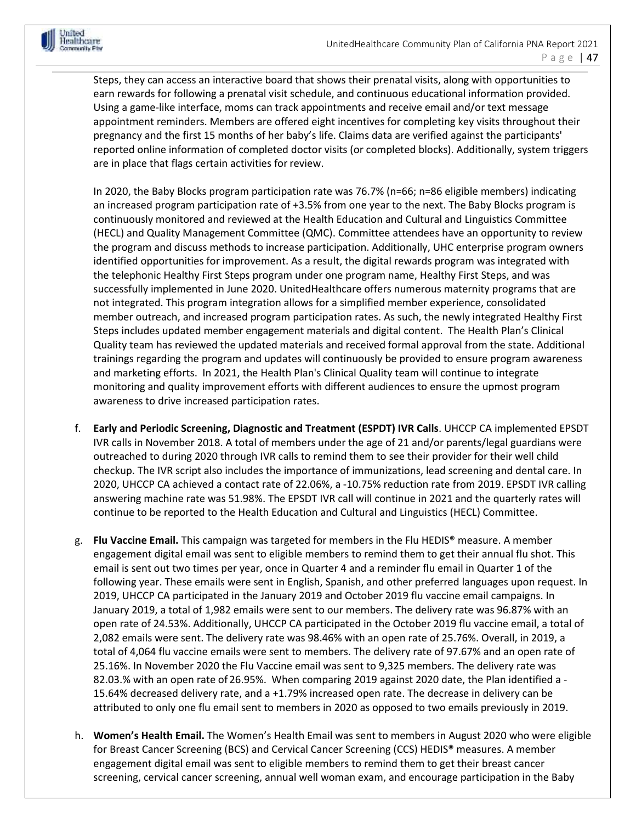

Steps, they can access an interactive board that shows their prenatal visits, along with opportunities to earn rewards for following a prenatal visit schedule, and continuous educational information provided. Using a game-like interface, moms can track appointments and receive email and/or text message appointment reminders. Members are offered eight incentives for completing key visits throughout their pregnancy and the first 15 months of her baby's life. Claims data are verified against the participants' reported online information of completed doctor visits (or completed blocks). Additionally, system triggers are in place that flags certain activities for review.

In 2020, the Baby Blocks program participation rate was 76.7% (n=66; n=86 eligible members) indicating an increased program participation rate of +3.5% from one year to the next. The Baby Blocks program is continuously monitored and reviewed at the Health Education and Cultural and Linguistics Committee (HECL) and Quality Management Committee (QMC). Committee attendees have an opportunity to review the program and discuss methods to increase participation. Additionally, UHC enterprise program owners identified opportunities for improvement. As a result, the digital rewards program was integrated with the telephonic Healthy First Steps program under one program name, Healthy First Steps, and was successfully implemented in June 2020. UnitedHealthcare offers numerous maternity programs that are not integrated. This program integration allows for a simplified member experience, consolidated member outreach, and increased program participation rates. As such, the newly integrated Healthy First Steps includes updated member engagement materials and digital content. The Health Plan's Clinical Quality team has reviewed the updated materials and received formal approval from the state. Additional trainings regarding the program and updates will continuously be provided to ensure program awareness and marketing efforts. In 2021, the Health Plan's Clinical Quality team will continue to integrate monitoring and quality improvement efforts with different audiences to ensure the upmost program awareness to drive increased participation rates.

- f. **Early and Periodic Screening, Diagnostic and Treatment (ESPDT) IVR Calls**. UHCCP CA implemented EPSDT IVR calls in November 2018. A total of members under the age of 21 and/or parents/legal guardians were outreached to during 2020 through IVR calls to remind them to see their provider for their well child checkup. The IVR script also includes the importance of immunizations, lead screening and dental care. In 2020, UHCCP CA achieved a contact rate of 22.06%, a -10.75% reduction rate from 2019. EPSDT IVR calling answering machine rate was 51.98%. The EPSDT IVR call will continue in 2021 and the quarterly rates will continue to be reported to the Health Education and Cultural and Linguistics (HECL) Committee.
- g. **Flu Vaccine Email.** This campaign was targeted for members in the Flu HEDIS® measure. A member engagement digital email was sent to eligible members to remind them to get their annual flu shot. This email is sent out two times per year, once in Quarter 4 and a reminder flu email in Quarter 1 of the following year. These emails were sent in English, Spanish, and other preferred languages upon request. In 2019, UHCCP CA participated in the January 2019 and October 2019 flu vaccine email campaigns. In January 2019, a total of 1,982 emails were sent to our members. The delivery rate was 96.87% with an open rate of 24.53%. Additionally, UHCCP CA participated in the October 2019 flu vaccine email, a total of 2,082 emails were sent. The delivery rate was 98.46% with an open rate of 25.76%. Overall, in 2019, a total of 4,064 flu vaccine emails were sent to members. The delivery rate of 97.67% and an open rate of 25.16%. In November 2020 the Flu Vaccine email was sent to 9,325 members. The delivery rate was 82.03.% with an open rate of 26.95%. When comparing 2019 against 2020 date, the Plan identified a -15.64% decreased delivery rate, and a +1.79% increased open rate. The decrease in delivery can be attributed to only one flu email sent to members in 2020 as opposed to two emails previously in 2019.
- h. **Women's Health Email.** The Women's Health Email was sent to members in August 2020 who were eligible for Breast Cancer Screening (BCS) and Cervical Cancer Screening (CCS) HEDIS® measures. A member engagement digital email was sent to eligible members to remind them to get their breast cancer screening, cervical cancer screening, annual well woman exam, and encourage participation in the Baby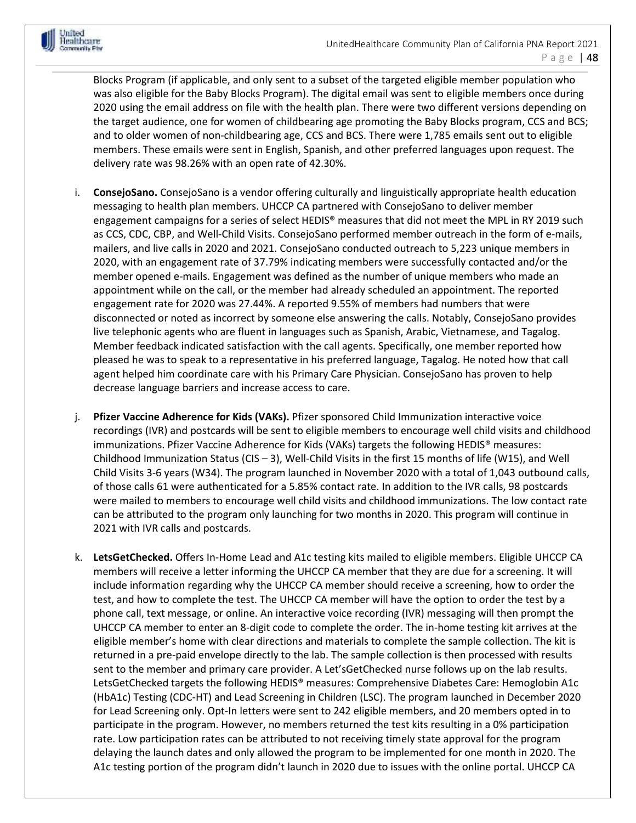

Blocks Program (if applicable, and only sent to a subset of the targeted eligible member population who was also eligible for the Baby Blocks Program). The digital email was sent to eligible members once during 2020 using the email address on file with the health plan. There were two different versions depending on the target audience, one for women of childbearing age promoting the Baby Blocks program, CCS and BCS; and to older women of non-childbearing age, CCS and BCS. There were 1,785 emails sent out to eligible members. These emails were sent in English, Spanish, and other preferred languages upon request. The delivery rate was 98.26% with an open rate of 42.30%.

- i. **ConsejoSano.** ConsejoSano is a vendor offering culturally and linguistically appropriate health education messaging to health plan members. UHCCP CA partnered with ConsejoSano to deliver member engagement campaigns for a series of select HEDIS® measures that did not meet the MPL in RY 2019 such as CCS, CDC, CBP, and Well-Child Visits. ConsejoSano performed member outreach in the form of e-mails, mailers, and live calls in 2020 and 2021. ConsejoSano conducted outreach to 5,223 unique members in 2020, with an engagement rate of 37.79% indicating members were successfully contacted and/or the member opened e-mails. Engagement was defined as the number of unique members who made an appointment while on the call, or the member had already scheduled an appointment. The reported engagement rate for 2020 was 27.44%. A reported 9.55% of members had numbers that were disconnected or noted as incorrect by someone else answering the calls. Notably, ConsejoSano provides live telephonic agents who are fluent in languages such as Spanish, Arabic, Vietnamese, and Tagalog. Member feedback indicated satisfaction with the call agents. Specifically, one member reported how pleased he was to speak to a representative in his preferred language, Tagalog. He noted how that call agent helped him coordinate care with his Primary Care Physician. ConsejoSano has proven to help decrease language barriers and increase access to care.
- j. **Pfizer Vaccine Adherence for Kids (VAKs).** Pfizer sponsored Child Immunization interactive voice recordings (IVR) and postcards will be sent to eligible members to encourage well child visits and childhood immunizations. Pfizer Vaccine Adherence for Kids (VAKs) targets the following HEDIS® measures: Childhood Immunization Status (CIS – 3), Well-Child Visits in the first 15 months of life (W15), and Well Child Visits 3-6 years (W34). The program launched in November 2020 with a total of 1,043 outbound calls, of those calls 61 were authenticated for a 5.85% contact rate. In addition to the IVR calls, 98 postcards were mailed to members to encourage well child visits and childhood immunizations. The low contact rate can be attributed to the program only launching for two months in 2020. This program will continue in 2021 with IVR calls and postcards.
- k. **LetsGetChecked.** Offers In-Home Lead and A1c testing kits mailed to eligible members. Eligible UHCCP CA members will receive a letter informing the UHCCP CA member that they are due for a screening. It will include information regarding why the UHCCP CA member should receive a screening, how to order the test, and how to complete the test. The UHCCP CA member will have the option to order the test by a phone call, text message, or online. An interactive voice recording (IVR) messaging will then prompt the UHCCP CA member to enter an 8-digit code to complete the order. The in-home testing kit arrives at the eligible member's home with clear directions and materials to complete the sample collection. The kit is returned in a pre-paid envelope directly to the lab. The sample collection is then processed with results sent to the member and primary care provider. A Let'sGetChecked nurse follows up on the lab results. LetsGetChecked targets the following HEDIS® measures: Comprehensive Diabetes Care: Hemoglobin A1c (HbA1c) Testing (CDC-HT) and Lead Screening in Children (LSC). The program launched in December 2020 for Lead Screening only. Opt-In letters were sent to 242 eligible members, and 20 members opted in to participate in the program. However, no members returned the test kits resulting in a 0% participation rate. Low participation rates can be attributed to not receiving timely state approval for the program delaying the launch dates and only allowed the program to be implemented for one month in 2020. The A1c testing portion of the program didn't launch in 2020 due to issues with the online portal. UHCCP CA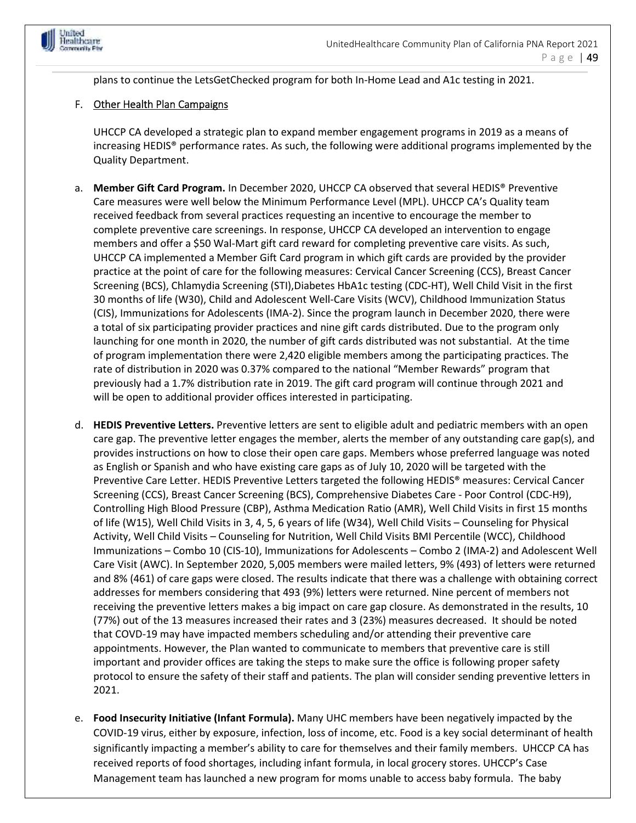

plans to continue the LetsGetChecked program for both In-Home Lead and A1c testing in 2021.

#### F. Other Health Plan Campaigns

UHCCP CA developed a strategic plan to expand member engagement programs in 2019 as a means of increasing HEDIS® performance rates. As such, the following were additional programs implemented by the Quality Department.

- a. **Member Gift Card Program.** In December 2020, UHCCP CA observed that several HEDIS® Preventive Care measures were well below the Minimum Performance Level (MPL). UHCCP CA's Quality team received feedback from several practices requesting an incentive to encourage the member to complete preventive care screenings. In response, UHCCP CA developed an intervention to engage members and offer a \$50 Wal-Mart gift card reward for completing preventive care visits. As such, UHCCP CA implemented a Member Gift Card program in which gift cards are provided by the provider practice at the point of care for the following measures: Cervical Cancer Screening (CCS), Breast Cancer Screening (BCS), Chlamydia Screening (STI),Diabetes HbA1c testing (CDC-HT), Well Child Visit in the first 30 months of life (W30), Child and Adolescent Well-Care Visits (WCV), Childhood Immunization Status (CIS), Immunizations for Adolescents (IMA-2). Since the program launch in December 2020, there were a total of six participating provider practices and nine gift cards distributed. Due to the program only launching for one month in 2020, the number of gift cards distributed was not substantial. At the time of program implementation there were 2,420 eligible members among the participating practices. The rate of distribution in 2020 was 0.37% compared to the national "Member Rewards" program that previously had a 1.7% distribution rate in 2019. The gift card program will continue through 2021 and will be open to additional provider offices interested in participating.
- d. **HEDIS Preventive Letters.** Preventive letters are sent to eligible adult and pediatric members with an open care gap. The preventive letter engages the member, alerts the member of any outstanding care gap(s), and provides instructions on how to close their open care gaps. Members whose preferred language was noted as English or Spanish and who have existing care gaps as of July 10, 2020 will be targeted with the Preventive Care Letter. HEDIS Preventive Letters targeted the following HEDIS® measures: Cervical Cancer Screening (CCS), Breast Cancer Screening (BCS), Comprehensive Diabetes Care - Poor Control (CDC-H9), Controlling High Blood Pressure (CBP), Asthma Medication Ratio (AMR), Well Child Visits in first 15 months of life (W15), Well Child Visits in 3, 4, 5, 6 years of life (W34), Well Child Visits – Counseling for Physical Activity, Well Child Visits – Counseling for Nutrition, Well Child Visits BMI Percentile (WCC), Childhood Immunizations – Combo 10 (CIS-10), Immunizations for Adolescents – Combo 2 (IMA-2) and Adolescent Well Care Visit (AWC). In September 2020, 5,005 members were mailed letters, 9% (493) of letters were returned and 8% (461) of care gaps were closed. The results indicate that there was a challenge with obtaining correct addresses for members considering that 493 (9%) letters were returned. Nine percent of members not receiving the preventive letters makes a big impact on care gap closure. As demonstrated in the results, 10 (77%) out of the 13 measures increased their rates and 3 (23%) measures decreased. It should be noted that COVD-19 may have impacted members scheduling and/or attending their preventive care appointments. However, the Plan wanted to communicate to members that preventive care is still important and provider offices are taking the steps to make sure the office is following proper safety protocol to ensure the safety of their staff and patients. The plan will consider sending preventive letters in 2021.
- e. **Food Insecurity Initiative (Infant Formula).** Many UHC members have been negatively impacted by the COVID-19 virus, either by exposure, infection, loss of income, etc. Food is a key social determinant of health significantly impacting a member's ability to care for themselves and their family members. UHCCP CA has received reports of food shortages, including infant formula, in local grocery stores. UHCCP's Case Management team has launched a new program for moms unable to access baby formula. The baby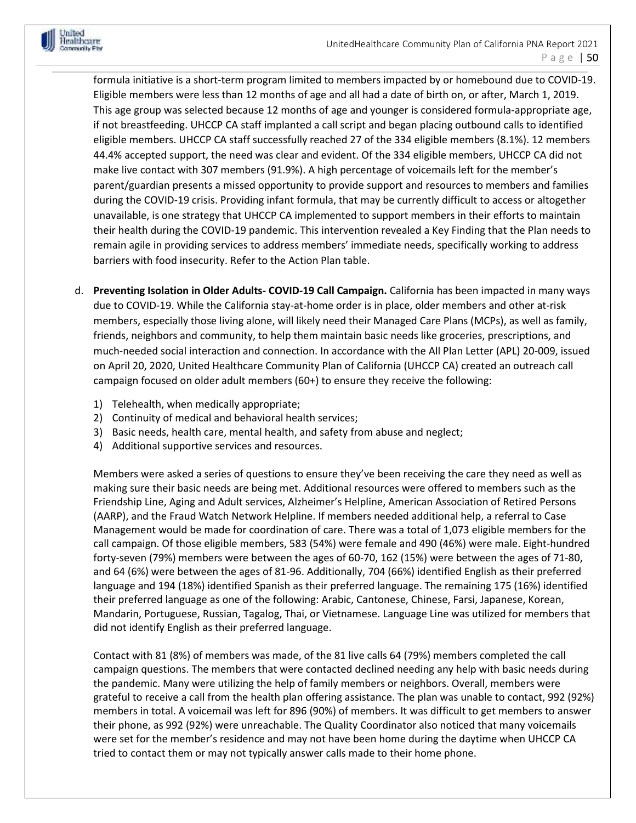formula initiative is a short-term program limited to members impacted by or homebound due to COVID-19. Eligible members were less than 12 months of age and all had a date of birth on, or after, March 1, 2019. This age group was selected because 12 months of age and younger is considered formula-appropriate age, if not breastfeeding. UHCCP CA staff implanted a call script and began placing outbound calls to identified eligible members. UHCCP CA staff successfully reached 27 of the 334 eligible members (8.1%). 12 members 44.4% accepted support, the need was clear and evident. Of the 334 eligible members, UHCCP CA did not make live contact with 307 members (91.9%). A high percentage of voicemails left for the member's parent/guardian presents a missed opportunity to provide support and resources to members and families during the COVID-19 crisis. Providing infant formula, that may be currently difficult to access or altogether unavailable, is one strategy that UHCCP CA implemented to support members in their efforts to maintain their health during the COVID-19 pandemic. This intervention revealed a Key Finding that the Plan needs to remain agile in providing services to address members' immediate needs, specifically working to address barriers with food insecurity. Refer to the Action Plan table.

- d. **Preventing Isolation in Older Adults- COVID-19 Call Campaign.** California has been impacted in many ways due to COVID-19. While the California stay-at-home order is in place, older members and other at-risk members, especially those living alone, will likely need their Managed Care Plans (MCPs), as well as family, friends, neighbors and community, to help them maintain basic needs like groceries, prescriptions, and much-needed social interaction and connection. In accordance with the All Plan Letter (APL) 20-009, issued on April 20, 2020, United Healthcare Community Plan of California (UHCCP CA) created an outreach call campaign focused on older adult members (60+) to ensure they receive the following:
	- 1) Telehealth, when medically appropriate;
	- 2) Continuity of medical and behavioral health services;
	- 3) Basic needs, health care, mental health, and safety from abuse and neglect;
	- 4) Additional supportive services and resources.

Members were asked a series of questions to ensure they've been receiving the care they need as well as making sure their basic needs are being met. Additional resources were offered to members such as the Friendship Line, Aging and Adult services, Alzheimer's Helpline, American Association of Retired Persons (AARP), and the Fraud Watch Network Helpline. If members needed additional help, a referral to Case Management would be made for coordination of care. There was a total of 1,073 eligible members for the call campaign. Of those eligible members, 583 (54%) were female and 490 (46%) were male. Eight-hundred forty-seven (79%) members were between the ages of 60-70, 162 (15%) were between the ages of 71-80, and 64 (6%) were between the ages of 81-96. Additionally, 704 (66%) identified English as their preferred language and 194 (18%) identified Spanish as their preferred language. The remaining 175 (16%) identified their preferred language as one of the following: Arabic, Cantonese, Chinese, Farsi, Japanese, Korean, Mandarin, Portuguese, Russian, Tagalog, Thai, or Vietnamese. Language Line was utilized for members that did not identify English as their preferred language.

Contact with 81 (8%) of members was made, of the 81 live calls 64 (79%) members completed the call campaign questions. The members that were contacted declined needing any help with basic needs during the pandemic. Many were utilizing the help of family members or neighbors. Overall, members were grateful to receive a call from the health plan offering assistance. The plan was unable to contact, 992 (92%) members in total. A voicemail was left for 896 (90%) of members. It was difficult to get members to answer their phone, as 992 (92%) were unreachable. The Quality Coordinator also noticed that many voicemails were set for the member's residence and may not have been home during the daytime when UHCCP CA tried to contact them or may not typically answer calls made to their home phone.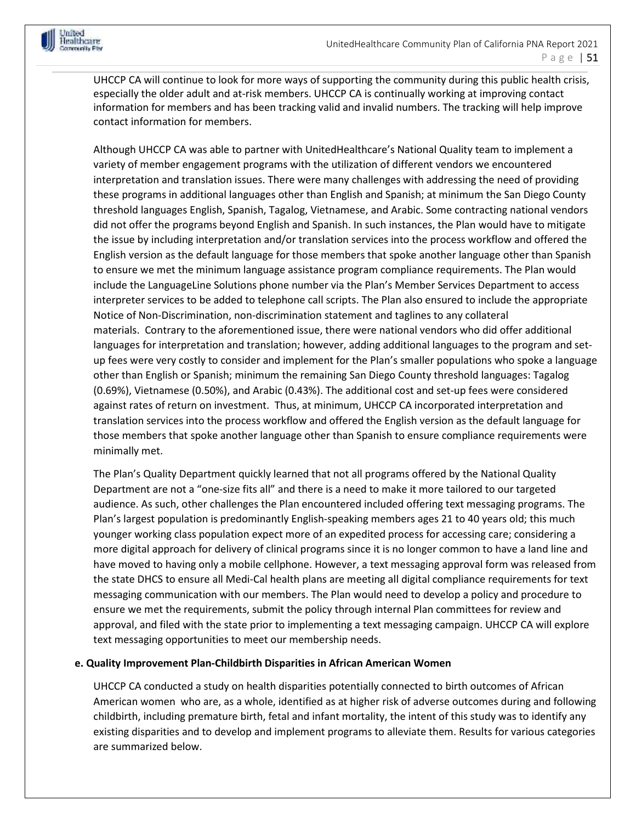UHCCP CA will continue to look for more ways of supporting the community during this public health crisis, especially the older adult and at-risk members. UHCCP CA is continually working at improving contact information for members and has been tracking valid and invalid numbers. The tracking will help improve contact information for members.

Although UHCCP CA was able to partner with UnitedHealthcare's National Quality team to implement a variety of member engagement programs with the utilization of different vendors we encountered interpretation and translation issues. There were many challenges with addressing the need of providing these programs in additional languages other than English and Spanish; at minimum the San Diego County threshold languages English, Spanish, Tagalog, Vietnamese, and Arabic. Some contracting national vendors did not offer the programs beyond English and Spanish. In such instances, the Plan would have to mitigate the issue by including interpretation and/or translation services into the process workflow and offered the English version as the default language for those members that spoke another language other than Spanish to ensure we met the minimum language assistance program compliance requirements. The Plan would include the LanguageLine Solutions phone number via the Plan's Member Services Department to access interpreter services to be added to telephone call scripts. The Plan also ensured to include the appropriate Notice of Non-Discrimination, non-discrimination statement and taglines to any collateral materials. Contrary to the aforementioned issue, there were national vendors who did offer additional languages for interpretation and translation; however, adding additional languages to the program and setup fees were very costly to consider and implement for the Plan's smaller populations who spoke a language other than English or Spanish; minimum the remaining San Diego County threshold languages: Tagalog (0.69%), Vietnamese (0.50%), and Arabic (0.43%). The additional cost and set-up fees were considered against rates of return on investment. Thus, at minimum, UHCCP CA incorporated interpretation and translation services into the process workflow and offered the English version as the default language for those members that spoke another language other than Spanish to ensure compliance requirements were minimally met.

The Plan's Quality Department quickly learned that not all programs offered by the National Quality Department are not a "one-size fits all" and there is a need to make it more tailored to our targeted audience. As such, other challenges the Plan encountered included offering text messaging programs. The Plan's largest population is predominantly English-speaking members ages 21 to 40 years old; this much younger working class population expect more of an expedited process for accessing care; considering a more digital approach for delivery of clinical programs since it is no longer common to have a land line and have moved to having only a mobile cellphone. However, a text messaging approval form was released from the state DHCS to ensure all Medi-Cal health plans are meeting all digital compliance requirements for text messaging communication with our members. The Plan would need to develop a policy and procedure to ensure we met the requirements, submit the policy through internal Plan committees for review and approval, and filed with the state prior to implementing a text messaging campaign. UHCCP CA will explore text messaging opportunities to meet our membership needs.

#### **e. Quality Improvement Plan-Childbirth Disparities in African American Women**

UHCCP CA conducted a study on health disparities potentially connected to birth outcomes of African American women who are, as a whole, identified as at higher risk of adverse outcomes during and following childbirth, including premature birth, fetal and infant mortality, the intent of this study was to identify any existing disparities and to develop and implement programs to alleviate them. Results for various categories are summarized below.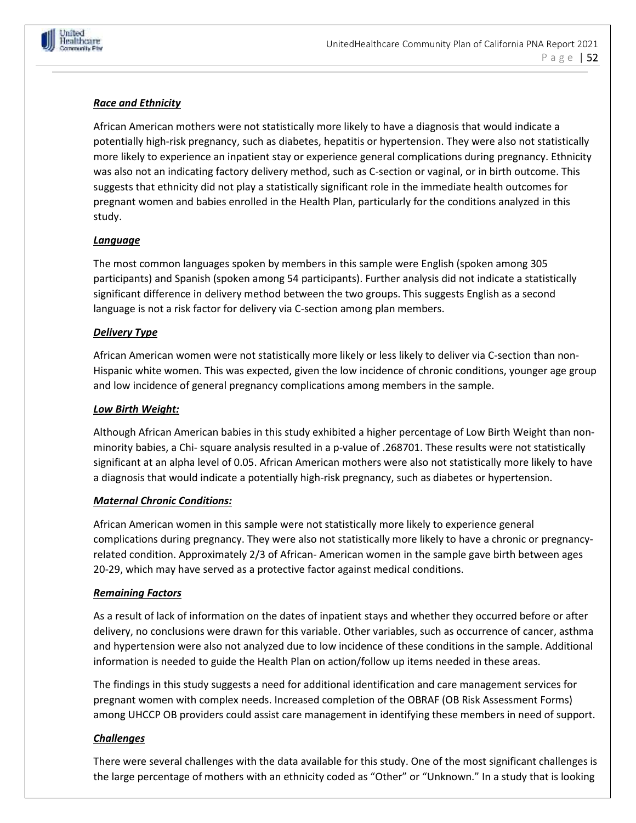

#### *Race and Ethnicity*

African American mothers were not statistically more likely to have a diagnosis that would indicate a potentially high-risk pregnancy, such as diabetes, hepatitis or hypertension. They were also not statistically more likely to experience an inpatient stay or experience general complications during pregnancy. Ethnicity was also not an indicating factory delivery method, such as C-section or vaginal, or in birth outcome. This suggests that ethnicity did not play a statistically significant role in the immediate health outcomes for pregnant women and babies enrolled in the Health Plan, particularly for the conditions analyzed in this study.

#### *Language*

The most common languages spoken by members in this sample were English (spoken among 305 participants) and Spanish (spoken among 54 participants). Further analysis did not indicate a statistically significant difference in delivery method between the two groups. This suggests English as a second language is not a risk factor for delivery via C-section among plan members.

#### *Delivery Type*

African American women were not statistically more likely or less likely to deliver via C-section than non-Hispanic white women. This was expected, given the low incidence of chronic conditions, younger age group and low incidence of general pregnancy complications among members in the sample.

#### *Low Birth Weight:*

Although African American babies in this study exhibited a higher percentage of Low Birth Weight than nonminority babies, a Chi- square analysis resulted in a p-value of .268701. These results were not statistically significant at an alpha level of 0.05. African American mothers were also not statistically more likely to have a diagnosis that would indicate a potentially high-risk pregnancy, such as diabetes or hypertension.

#### *Maternal Chronic Conditions:*

African American women in this sample were not statistically more likely to experience general complications during pregnancy. They were also not statistically more likely to have a chronic or pregnancyrelated condition. Approximately 2/3 of African- American women in the sample gave birth between ages 20-29, which may have served as a protective factor against medical conditions.

#### *Remaining Factors*

As a result of lack of information on the dates of inpatient stays and whether they occurred before or after delivery, no conclusions were drawn for this variable. Other variables, such as occurrence of cancer, asthma and hypertension were also not analyzed due to low incidence of these conditions in the sample. Additional information is needed to guide the Health Plan on action/follow up items needed in these areas.

The findings in this study suggests a need for additional identification and care management services for pregnant women with complex needs. Increased completion of the OBRAF (OB Risk Assessment Forms) among UHCCP OB providers could assist care management in identifying these members in need of support.

#### *Challenges*

There were several challenges with the data available for this study. One of the most significant challenges is the large percentage of mothers with an ethnicity coded as "Other" or "Unknown." In a study that is looking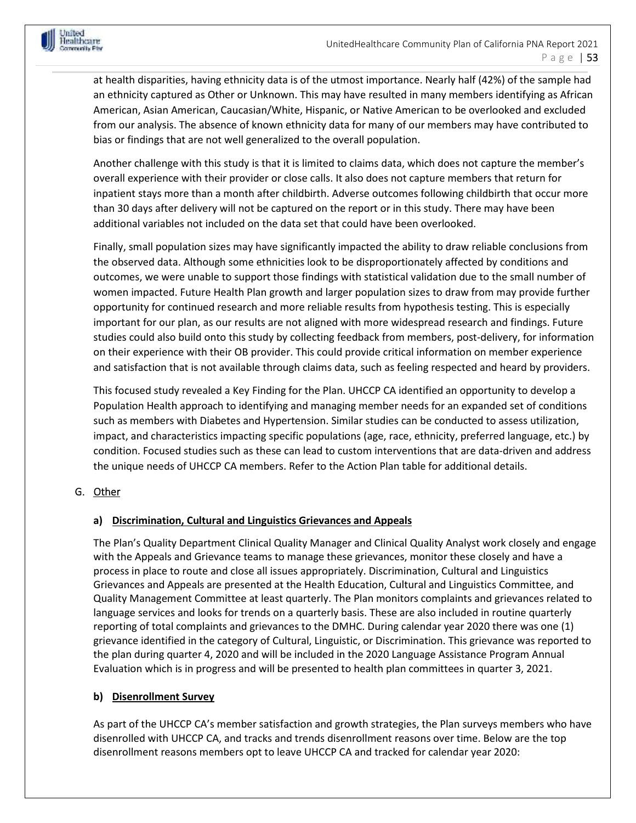

at health disparities, having ethnicity data is of the utmost importance. Nearly half (42%) of the sample had an ethnicity captured as Other or Unknown. This may have resulted in many members identifying as African American, Asian American, Caucasian/White, Hispanic, or Native American to be overlooked and excluded from our analysis. The absence of known ethnicity data for many of our members may have contributed to bias or findings that are not well generalized to the overall population.

Another challenge with this study is that it is limited to claims data, which does not capture the member's overall experience with their provider or close calls. It also does not capture members that return for inpatient stays more than a month after childbirth. Adverse outcomes following childbirth that occur more than 30 days after delivery will not be captured on the report or in this study. There may have been additional variables not included on the data set that could have been overlooked.

Finally, small population sizes may have significantly impacted the ability to draw reliable conclusions from the observed data. Although some ethnicities look to be disproportionately affected by conditions and outcomes, we were unable to support those findings with statistical validation due to the small number of women impacted. Future Health Plan growth and larger population sizes to draw from may provide further opportunity for continued research and more reliable results from hypothesis testing. This is especially important for our plan, as our results are not aligned with more widespread research and findings. Future studies could also build onto this study by collecting feedback from members, post-delivery, for information on their experience with their OB provider. This could provide critical information on member experience and satisfaction that is not available through claims data, such as feeling respected and heard by providers.

This focused study revealed a Key Finding for the Plan. UHCCP CA identified an opportunity to develop a Population Health approach to identifying and managing member needs for an expanded set of conditions such as members with Diabetes and Hypertension. Similar studies can be conducted to assess utilization, impact, and characteristics impacting specific populations (age, race, ethnicity, preferred language, etc.) by condition. Focused studies such as these can lead to custom interventions that are data-driven and address the unique needs of UHCCP CA members. Refer to the Action Plan table for additional details.

#### G. Other

#### **a) Discrimination, Cultural and Linguistics Grievances and Appeals**

The Plan's Quality Department Clinical Quality Manager and Clinical Quality Analyst work closely and engage with the Appeals and Grievance teams to manage these grievances, monitor these closely and have a process in place to route and close all issues appropriately. Discrimination, Cultural and Linguistics Grievances and Appeals are presented at the Health Education, Cultural and Linguistics Committee, and Quality Management Committee at least quarterly. The Plan monitors complaints and grievances related to language services and looks for trends on a quarterly basis. These are also included in routine quarterly reporting of total complaints and grievances to the DMHC. During calendar year 2020 there was one (1) grievance identified in the category of Cultural, Linguistic, or Discrimination. This grievance was reported to the plan during quarter 4, 2020 and will be included in the 2020 Language Assistance Program Annual Evaluation which is in progress and will be presented to health plan committees in quarter 3, 2021.

#### **b) Disenrollment Survey**

As part of the UHCCP CA's member satisfaction and growth strategies, the Plan surveys members who have disenrolled with UHCCP CA, and tracks and trends disenrollment reasons over time. Below are the top disenrollment reasons members opt to leave UHCCP CA and tracked for calendar year 2020: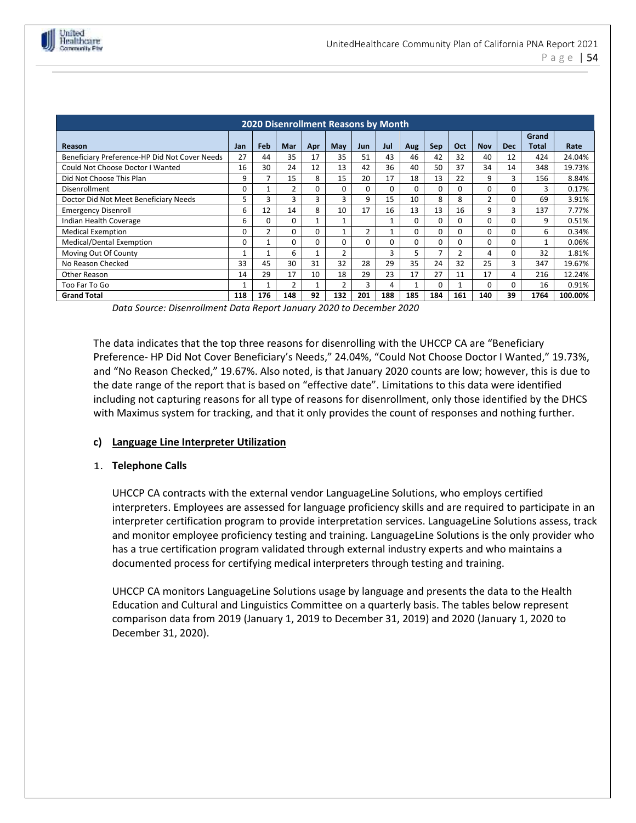| <b>2020 Disenrollment Reasons by Month</b>    |     |                |     |              |                |                |     |              |          |     |                |              |       |         |
|-----------------------------------------------|-----|----------------|-----|--------------|----------------|----------------|-----|--------------|----------|-----|----------------|--------------|-------|---------|
|                                               |     |                |     |              |                |                |     |              |          |     |                |              | Grand |         |
| Reason                                        | Jan | Feb            | Mar | Apr          | May            | Jun            | Jul | Aug          | Sep      | Oct | <b>Nov</b>     | <b>Dec</b>   | Total | Rate    |
| Beneficiary Preference-HP Did Not Cover Needs | 27  | 44             | 35  | 17           | 35             | 51             | 43  | 46           | 42       | 32  | 40             | 12           | 424   | 24.04%  |
| Could Not Choose Doctor I Wanted              | 16  | 30             | 24  | 12           | 13             | 42             | 36  | 40           | 50       | 37  | 34             | 14           | 348   | 19.73%  |
| Did Not Choose This Plan                      | 9   |                | 15  | 8            | 15             | 20             | 17  | 18           | 13       | 22  | 9              | 3            | 156   | 8.84%   |
| <b>Disenrollment</b>                          | 0   |                | 2   | 0            | 0              | 0              | 0   | $\Omega$     | 0        | 0   | 0              | $\Omega$     | 3     | 0.17%   |
| Doctor Did Not Meet Beneficiary Needs         | 5   | 3              |     | 3            | 3              | 9              | 15  | 10           | 8        | 8   | $\overline{2}$ | $\Omega$     | 69    | 3.91%   |
| <b>Emergency Disenroll</b>                    | 6   | 12             | 14  | 8            | 10             | 17             | 16  | 13           | 13       | 16  | 9              | 3            | 137   | 7.77%   |
| Indian Health Coverage                        | 6   | 0              | 0   | $\mathbf{1}$ |                |                |     | $\Omega$     | 0        | 0   | 0              | <sup>0</sup> | 9     | 0.51%   |
| <b>Medical Exemption</b>                      | 0   | $\overline{2}$ | 0   | 0            |                | $\overline{2}$ |     | $\Omega$     | 0        | 0   | 0              | $\Omega$     | 6     | 0.34%   |
| Medical/Dental Exemption                      | 0   |                |     | 0            | 0              | $\Omega$       | 0   | <sup>0</sup> | $\Omega$ | 0   | 0              | $\Omega$     |       | 0.06%   |
| Moving Out Of County                          |     |                | 6   |              | $\overline{2}$ |                | 3   | 5            | 7        |     | 4              | <sup>0</sup> | 32    | 1.81%   |
| No Reason Checked                             | 33  | 45             | 30  | 31           | 32             | 28             | 29  | 35           | 24       | 32  | 25             | 3            | 347   | 19.67%  |
| Other Reason                                  | 14  | 29             | 17  | 10           | 18             | 29             | 23  | 17           | 27       | 11  | 17             | 4            | 216   | 12.24%  |
| Too Far To Go                                 | 1   |                | 2   | 1            | $\overline{2}$ | 3              | 4   |              | 0        |     | 0              | <sup>0</sup> | 16    | 0.91%   |
| <b>Grand Total</b>                            | 118 | 176            | 148 | 92           | 132            | 201            | 188 | 185          | 184      | 161 | 140            | 39           | 1764  | 100.00% |

*Data Source: Disenrollment Data Report January 2020 to December 2020* 

The data indicates that the top three reasons for disenrolling with the UHCCP CA are "Beneficiary Preference- HP Did Not Cover Beneficiary's Needs," 24.04%, "Could Not Choose Doctor I Wanted," 19.73%, and "No Reason Checked," 19.67%. Also noted, is that January 2020 counts are low; however, this is due to the date range of the report that is based on "effective date". Limitations to this data were identified including not capturing reasons for all type of reasons for disenrollment, only those identified by the DHCS with Maximus system for tracking, and that it only provides the count of responses and nothing further.

#### **c) Language Line Interpreter Utilization**

#### 1. **Telephone Calls**

UHCCP CA contracts with the external vendor LanguageLine Solutions, who employs certified interpreters. Employees are assessed for language proficiency skills and are required to participate in an interpreter certification program to provide interpretation services. LanguageLine Solutions assess, track and monitor employee proficiency testing and training. LanguageLine Solutions is the only provider who has a true certification program validated through external industry experts and who maintains a documented process for certifying medical interpreters through testing and training.

UHCCP CA monitors LanguageLine Solutions usage by language and presents the data to the Health Education and Cultural and Linguistics Committee on a quarterly basis. The tables below represent comparison data from 2019 (January 1, 2019 to December 31, 2019) and 2020 (January 1, 2020 to December 31, 2020).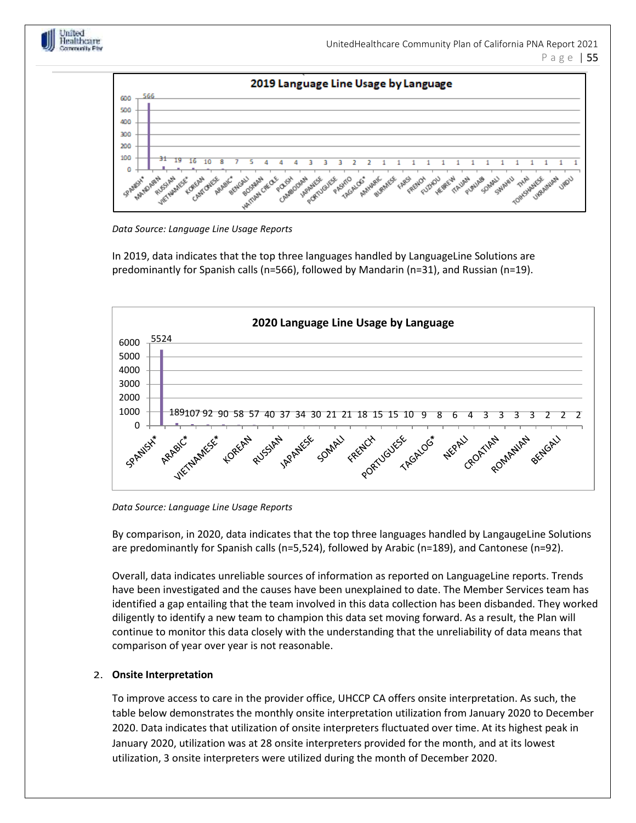



Inited Healthcare

> In 2019, data indicates that the top three languages handled by LanguageLine Solutions are predominantly for Spanish calls (n=566), followed by Mandarin (n=31), and Russian (n=19).



*Data Source: Language Line Usage Reports* 

By comparison, in 2020, data indicates that the top three languages handled by LangaugeLine Solutions are predominantly for Spanish calls (n=5,524), followed by Arabic (n=189), and Cantonese (n=92).

Overall, data indicates unreliable sources of information as reported on LanguageLine reports. Trends have been investigated and the causes have been unexplained to date. The Member Services team has identified a gap entailing that the team involved in this data collection has been disbanded. They worked diligently to identify a new team to champion this data set moving forward. As a result, the Plan will continue to monitor this data closely with the understanding that the unreliability of data means that comparison of year over year is not reasonable.

#### 2. **Onsite Interpretation**

To improve access to care in the provider office, UHCCP CA offers onsite interpretation. As such, the table below demonstrates the monthly onsite interpretation utilization from January 2020 to December 2020. Data indicates that utilization of onsite interpreters fluctuated over time. At its highest peak in January 2020, utilization was at 28 onsite interpreters provided for the month, and at its lowest utilization, 3 onsite interpreters were utilized during the month of December 2020.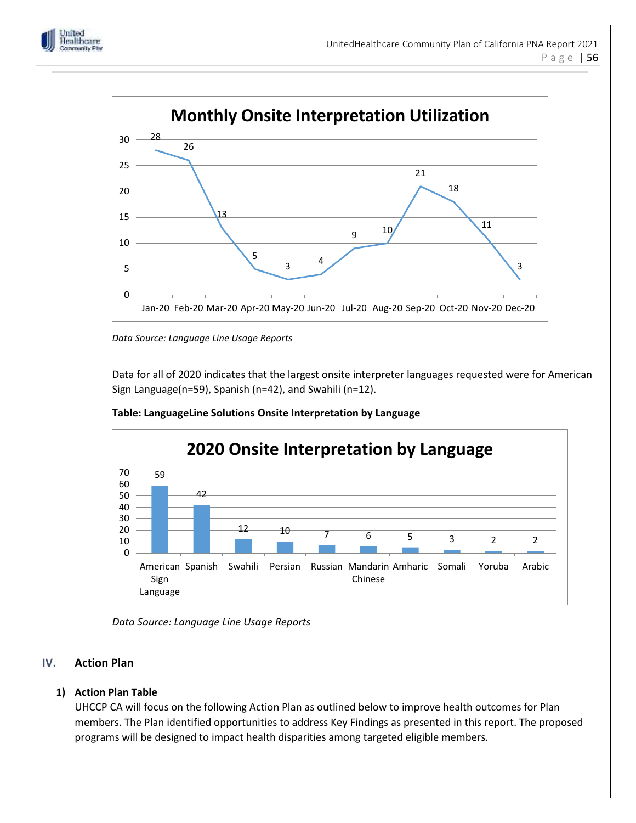





Data for all of 2020 indicates that the largest onsite interpreter languages requested were for American Sign Language(n=59), Spanish (n=42), and Swahili (n=12).



#### **Table: LanguageLine Solutions Onsite Interpretation by Language**

*Data Source: Language Line Usage Reports* 

#### **IV. Action Plan**

#### **1) Action Plan Table**

UHCCP CA will focus on the following Action Plan as outlined below to improve health outcomes for Plan members. The Plan identified opportunities to address Key Findings as presented in this report. The proposed programs will be designed to impact health disparities among targeted eligible members.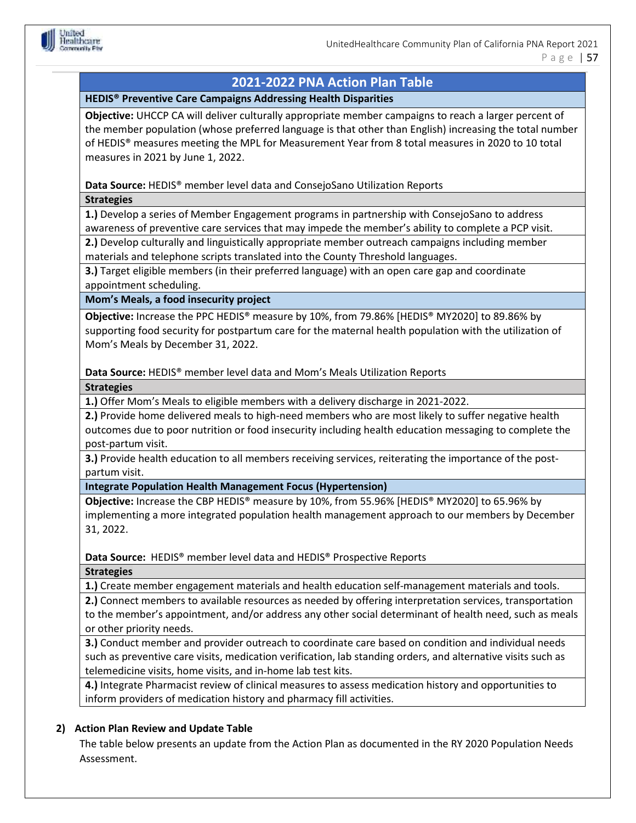

### **2021-2022 PNA Action Plan Table**

**HEDIS® Preventive Care Campaigns Addressing Health Disparities** 

**Objective:** UHCCP CA will deliver culturally appropriate member campaigns to reach a larger percent of the member population (whose preferred language is that other than English) increasing the total number of HEDIS® measures meeting the MPL for Measurement Year from 8 total measures in 2020 to 10 total measures in 2021 by June 1, 2022.

**Data Source:** HEDIS® member level data and ConsejoSano Utilization Reports

**Strategies**

**1.)** Develop a series of Member Engagement programs in partnership with ConsejoSano to address awareness of preventive care services that may impede the member's ability to complete a PCP visit.

**2.)** Develop culturally and linguistically appropriate member outreach campaigns including member materials and telephone scripts translated into the County Threshold languages.

**3.)** Target eligible members (in their preferred language) with an open care gap and coordinate appointment scheduling.

**Mom's Meals, a food insecurity project**

**Objective:** Increase the PPC HEDIS® measure by 10%, from 79.86% [HEDIS® MY2020] to 89.86% by supporting food security for postpartum care for the maternal health population with the utilization of Mom's Meals by December 31, 2022.

**Data Source:** HEDIS® member level data and Mom's Meals Utilization Reports

**Strategies**

**1.)** Offer Mom's Meals to eligible members with a delivery discharge in 2021-2022.

**2.)** Provide home delivered meals to high-need members who are most likely to suffer negative health outcomes due to poor nutrition or food insecurity including health education messaging to complete the post-partum visit.

**3.)** Provide health education to all members receiving services, reiterating the importance of the postpartum visit.

**Integrate Population Health Management Focus (Hypertension)** 

**Objective:** Increase the CBP HEDIS® measure by 10%, from 55.96% [HEDIS® MY2020] to 65.96% by implementing a more integrated population health management approach to our members by December 31, 2022.

**Data Source:** HEDIS® member level data and HEDIS® Prospective Reports

**Strategies**

**1.)** Create member engagement materials and health education self-management materials and tools.

**2.)** Connect members to available resources as needed by offering interpretation services, transportation to the member's appointment, and/or address any other social determinant of health need, such as meals or other priority needs.

**3.)** Conduct member and provider outreach to coordinate care based on condition and individual needs such as preventive care visits, medication verification, lab standing orders, and alternative visits such as telemedicine visits, home visits, and in-home lab test kits.

**4.)** Integrate Pharmacist review of clinical measures to assess medication history and opportunities to inform providers of medication history and pharmacy fill activities.

#### **2) Action Plan Review and Update Table**

The table below presents an update from the Action Plan as documented in the RY 2020 Population Needs Assessment.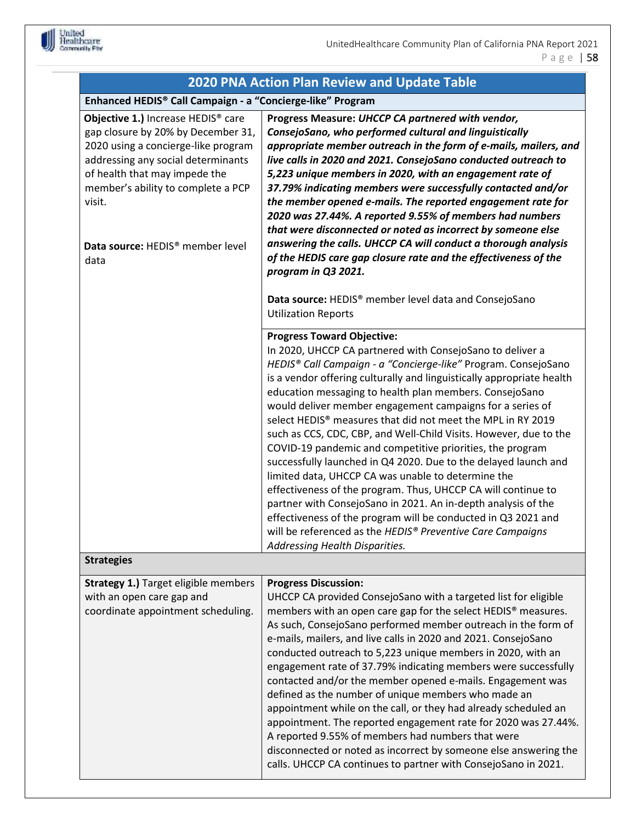

| <b>2020 PNA Action Plan Review and Update Table</b>                                                                                                                                                                                                                                                        |                                                                                                                                                                                                                                                                                                                                                                                                                                                                                                                                                                                                                                                                                                                                                                                                                                                                                                                                                                                                            |  |  |  |  |  |  |
|------------------------------------------------------------------------------------------------------------------------------------------------------------------------------------------------------------------------------------------------------------------------------------------------------------|------------------------------------------------------------------------------------------------------------------------------------------------------------------------------------------------------------------------------------------------------------------------------------------------------------------------------------------------------------------------------------------------------------------------------------------------------------------------------------------------------------------------------------------------------------------------------------------------------------------------------------------------------------------------------------------------------------------------------------------------------------------------------------------------------------------------------------------------------------------------------------------------------------------------------------------------------------------------------------------------------------|--|--|--|--|--|--|
| Enhanced HEDIS® Call Campaign - a "Concierge-like" Program                                                                                                                                                                                                                                                 |                                                                                                                                                                                                                                                                                                                                                                                                                                                                                                                                                                                                                                                                                                                                                                                                                                                                                                                                                                                                            |  |  |  |  |  |  |
| Objective 1.) Increase HEDIS <sup>®</sup> care<br>gap closure by 20% by December 31,<br>2020 using a concierge-like program<br>addressing any social determinants<br>of health that may impede the<br>member's ability to complete a PCP<br>visit.<br>Data source: HEDIS <sup>®</sup> member level<br>data | Progress Measure: UHCCP CA partnered with vendor,<br>ConsejoSano, who performed cultural and linguistically<br>appropriate member outreach in the form of e-mails, mailers, and<br>live calls in 2020 and 2021. ConsejoSano conducted outreach to<br>5,223 unique members in 2020, with an engagement rate of<br>37.79% indicating members were successfully contacted and/or<br>the member opened e-mails. The reported engagement rate for<br>2020 was 27.44%. A reported 9.55% of members had numbers<br>that were disconnected or noted as incorrect by someone else<br>answering the calls. UHCCP CA will conduct a thorough analysis<br>of the HEDIS care gap closure rate and the effectiveness of the<br>program in Q3 2021.                                                                                                                                                                                                                                                                       |  |  |  |  |  |  |
|                                                                                                                                                                                                                                                                                                            | Data source: HEDIS <sup>®</sup> member level data and ConsejoSano<br><b>Utilization Reports</b>                                                                                                                                                                                                                                                                                                                                                                                                                                                                                                                                                                                                                                                                                                                                                                                                                                                                                                            |  |  |  |  |  |  |
|                                                                                                                                                                                                                                                                                                            | <b>Progress Toward Objective:</b><br>In 2020, UHCCP CA partnered with ConsejoSano to deliver a<br>HEDIS® Call Campaign - a "Concierge-like" Program. ConsejoSano<br>is a vendor offering culturally and linguistically appropriate health<br>education messaging to health plan members. ConsejoSano<br>would deliver member engagement campaigns for a series of<br>select HEDIS <sup>®</sup> measures that did not meet the MPL in RY 2019<br>such as CCS, CDC, CBP, and Well-Child Visits. However, due to the<br>COVID-19 pandemic and competitive priorities, the program<br>successfully launched in Q4 2020. Due to the delayed launch and<br>limited data, UHCCP CA was unable to determine the<br>effectiveness of the program. Thus, UHCCP CA will continue to<br>partner with ConsejoSano in 2021. An in-depth analysis of the<br>effectiveness of the program will be conducted in Q3 2021 and<br>will be referenced as the HEDIS® Preventive Care Campaigns<br>Addressing Health Disparities. |  |  |  |  |  |  |
| <b>Strategies</b>                                                                                                                                                                                                                                                                                          |                                                                                                                                                                                                                                                                                                                                                                                                                                                                                                                                                                                                                                                                                                                                                                                                                                                                                                                                                                                                            |  |  |  |  |  |  |
| <b>Strategy 1.)</b> Target eligible members<br>with an open care gap and<br>coordinate appointment scheduling.                                                                                                                                                                                             | <b>Progress Discussion:</b><br>UHCCP CA provided ConsejoSano with a targeted list for eligible<br>members with an open care gap for the select HEDIS <sup>®</sup> measures.<br>As such, ConsejoSano performed member outreach in the form of<br>e-mails, mailers, and live calls in 2020 and 2021. ConsejoSano<br>conducted outreach to 5,223 unique members in 2020, with an<br>engagement rate of 37.79% indicating members were successfully<br>contacted and/or the member opened e-mails. Engagement was<br>defined as the number of unique members who made an<br>appointment while on the call, or they had already scheduled an<br>appointment. The reported engagement rate for 2020 was 27.44%.<br>A reported 9.55% of members had numbers that were<br>disconnected or noted as incorrect by someone else answering the<br>calls. UHCCP CA continues to partner with ConsejoSano in 2021.                                                                                                       |  |  |  |  |  |  |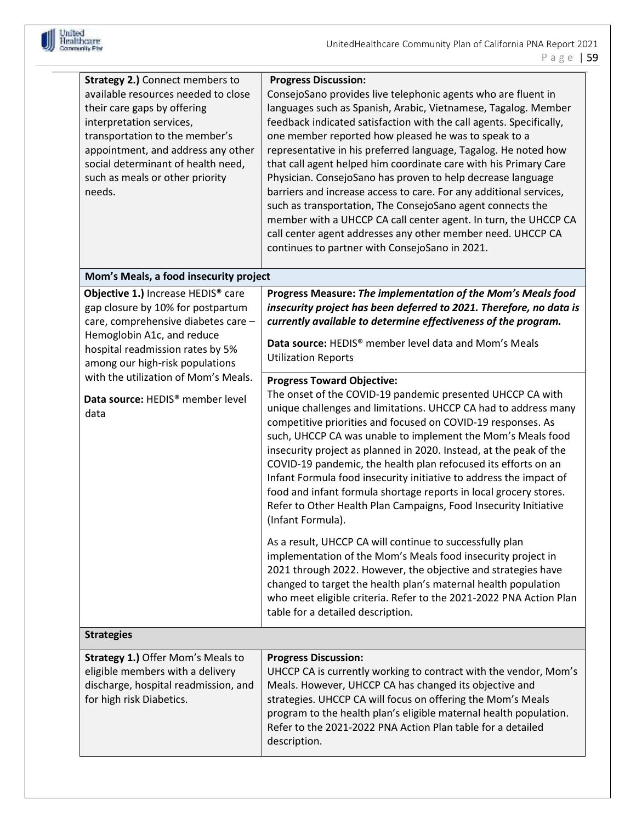| <b>Strategy 2.)</b> Connect members to<br>available resources needed to close<br>their care gaps by offering<br>interpretation services,<br>transportation to the member's<br>appointment, and address any other<br>social determinant of health need,<br>such as meals or other priority<br>needs.                             | <b>Progress Discussion:</b><br>ConsejoSano provides live telephonic agents who are fluent in<br>languages such as Spanish, Arabic, Vietnamese, Tagalog. Member<br>feedback indicated satisfaction with the call agents. Specifically,<br>one member reported how pleased he was to speak to a<br>representative in his preferred language, Tagalog. He noted how<br>that call agent helped him coordinate care with his Primary Care<br>Physician. ConsejoSano has proven to help decrease language<br>barriers and increase access to care. For any additional services,<br>such as transportation, The ConsejoSano agent connects the<br>member with a UHCCP CA call center agent. In turn, the UHCCP CA<br>call center agent addresses any other member need. UHCCP CA<br>continues to partner with ConsejoSano in 2021.                                                                                                                                                                                                                             |
|---------------------------------------------------------------------------------------------------------------------------------------------------------------------------------------------------------------------------------------------------------------------------------------------------------------------------------|---------------------------------------------------------------------------------------------------------------------------------------------------------------------------------------------------------------------------------------------------------------------------------------------------------------------------------------------------------------------------------------------------------------------------------------------------------------------------------------------------------------------------------------------------------------------------------------------------------------------------------------------------------------------------------------------------------------------------------------------------------------------------------------------------------------------------------------------------------------------------------------------------------------------------------------------------------------------------------------------------------------------------------------------------------|
| Mom's Meals, a food insecurity project                                                                                                                                                                                                                                                                                          |                                                                                                                                                                                                                                                                                                                                                                                                                                                                                                                                                                                                                                                                                                                                                                                                                                                                                                                                                                                                                                                         |
| Objective 1.) Increase HEDIS <sup>®</sup> care<br>gap closure by 10% for postpartum<br>care, comprehensive diabetes care -<br>Hemoglobin A1c, and reduce<br>hospital readmission rates by 5%<br>among our high-risk populations<br>with the utilization of Mom's Meals.<br>Data source: HEDIS <sup>®</sup> member level<br>data | Progress Measure: The implementation of the Mom's Meals food<br>insecurity project has been deferred to 2021. Therefore, no data is<br>currently available to determine effectiveness of the program.<br>Data source: HEDIS <sup>®</sup> member level data and Mom's Meals<br><b>Utilization Reports</b>                                                                                                                                                                                                                                                                                                                                                                                                                                                                                                                                                                                                                                                                                                                                                |
|                                                                                                                                                                                                                                                                                                                                 | <b>Progress Toward Objective:</b><br>The onset of the COVID-19 pandemic presented UHCCP CA with<br>unique challenges and limitations. UHCCP CA had to address many<br>competitive priorities and focused on COVID-19 responses. As<br>such, UHCCP CA was unable to implement the Mom's Meals food<br>insecurity project as planned in 2020. Instead, at the peak of the<br>COVID-19 pandemic, the health plan refocused its efforts on an<br>Infant Formula food insecurity initiative to address the impact of<br>food and infant formula shortage reports in local grocery stores.<br>Refer to Other Health Plan Campaigns, Food Insecurity Initiative<br>(Infant Formula).<br>As a result, UHCCP CA will continue to successfully plan<br>implementation of the Mom's Meals food insecurity project in<br>2021 through 2022. However, the objective and strategies have<br>changed to target the health plan's maternal health population<br>who meet eligible criteria. Refer to the 2021-2022 PNA Action Plan<br>table for a detailed description. |
| <b>Strategies</b><br>Strategy 1.) Offer Mom's Meals to<br>eligible members with a delivery<br>discharge, hospital readmission, and<br>for high risk Diabetics.                                                                                                                                                                  | <b>Progress Discussion:</b><br>UHCCP CA is currently working to contract with the vendor, Mom's<br>Meals. However, UHCCP CA has changed its objective and<br>strategies. UHCCP CA will focus on offering the Mom's Meals<br>program to the health plan's eligible maternal health population.<br>Refer to the 2021-2022 PNA Action Plan table for a detailed<br>description.                                                                                                                                                                                                                                                                                                                                                                                                                                                                                                                                                                                                                                                                            |

United<br>Healthcare<br>Convocity Phy

J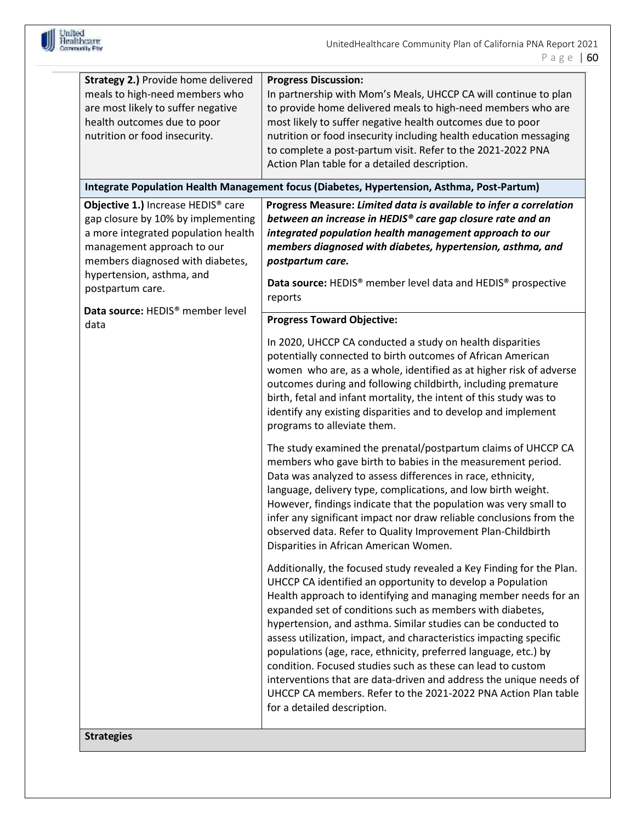

| <b>Strategy 2.) Provide home delivered</b><br>meals to high-need members who<br>are most likely to suffer negative<br>health outcomes due to poor<br>nutrition or food insecurity.           | <b>Progress Discussion:</b><br>In partnership with Mom's Meals, UHCCP CA will continue to plan<br>to provide home delivered meals to high-need members who are<br>most likely to suffer negative health outcomes due to poor<br>nutrition or food insecurity including health education messaging<br>to complete a post-partum visit. Refer to the 2021-2022 PNA<br>Action Plan table for a detailed description.<br>Integrate Population Health Management focus (Diabetes, Hypertension, Asthma, Post-Partum)                                                                                                                                                                                                    |
|----------------------------------------------------------------------------------------------------------------------------------------------------------------------------------------------|--------------------------------------------------------------------------------------------------------------------------------------------------------------------------------------------------------------------------------------------------------------------------------------------------------------------------------------------------------------------------------------------------------------------------------------------------------------------------------------------------------------------------------------------------------------------------------------------------------------------------------------------------------------------------------------------------------------------|
| Objective 1.) Increase HEDIS® care                                                                                                                                                           | Progress Measure: Limited data is available to infer a correlation                                                                                                                                                                                                                                                                                                                                                                                                                                                                                                                                                                                                                                                 |
| gap closure by 10% by implementing<br>a more integrated population health<br>management approach to our<br>members diagnosed with diabetes,<br>hypertension, asthma, and<br>postpartum care. | between an increase in HEDIS® care gap closure rate and an<br>integrated population health management approach to our<br>members diagnosed with diabetes, hypertension, asthma, and<br>postpartum care.<br>Data source: HEDIS <sup>®</sup> member level data and HEDIS <sup>®</sup> prospective<br>reports                                                                                                                                                                                                                                                                                                                                                                                                         |
| Data source: HEDIS <sup>®</sup> member level<br>data                                                                                                                                         | <b>Progress Toward Objective:</b>                                                                                                                                                                                                                                                                                                                                                                                                                                                                                                                                                                                                                                                                                  |
|                                                                                                                                                                                              | In 2020, UHCCP CA conducted a study on health disparities<br>potentially connected to birth outcomes of African American<br>women who are, as a whole, identified as at higher risk of adverse<br>outcomes during and following childbirth, including premature<br>birth, fetal and infant mortality, the intent of this study was to<br>identify any existing disparities and to develop and implement<br>programs to alleviate them.                                                                                                                                                                                                                                                                             |
|                                                                                                                                                                                              | The study examined the prenatal/postpartum claims of UHCCP CA<br>members who gave birth to babies in the measurement period.<br>Data was analyzed to assess differences in race, ethnicity,<br>language, delivery type, complications, and low birth weight.<br>However, findings indicate that the population was very small to<br>infer any significant impact nor draw reliable conclusions from the<br>observed data. Refer to Quality Improvement Plan-Childbirth<br>Disparities in African American Women.                                                                                                                                                                                                   |
|                                                                                                                                                                                              | Additionally, the focused study revealed a Key Finding for the Plan.<br>UHCCP CA identified an opportunity to develop a Population<br>Health approach to identifying and managing member needs for an<br>expanded set of conditions such as members with diabetes,<br>hypertension, and asthma. Similar studies can be conducted to<br>assess utilization, impact, and characteristics impacting specific<br>populations (age, race, ethnicity, preferred language, etc.) by<br>condition. Focused studies such as these can lead to custom<br>interventions that are data-driven and address the unique needs of<br>UHCCP CA members. Refer to the 2021-2022 PNA Action Plan table<br>for a detailed description. |
| <b>Strategies</b>                                                                                                                                                                            |                                                                                                                                                                                                                                                                                                                                                                                                                                                                                                                                                                                                                                                                                                                    |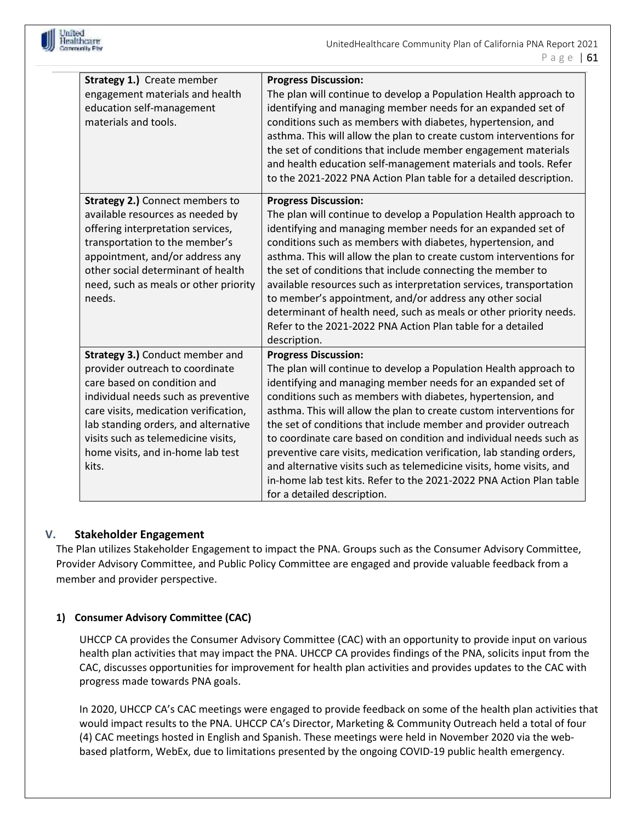

| <b>Strategy 1.)</b> Create member<br>engagement materials and health<br>education self-management<br>materials and tools.                                                                                                                                                                                             | <b>Progress Discussion:</b><br>The plan will continue to develop a Population Health approach to<br>identifying and managing member needs for an expanded set of<br>conditions such as members with diabetes, hypertension, and<br>asthma. This will allow the plan to create custom interventions for<br>the set of conditions that include member engagement materials<br>and health education self-management materials and tools. Refer<br>to the 2021-2022 PNA Action Plan table for a detailed description.                                                                                                                                                                                      |
|-----------------------------------------------------------------------------------------------------------------------------------------------------------------------------------------------------------------------------------------------------------------------------------------------------------------------|--------------------------------------------------------------------------------------------------------------------------------------------------------------------------------------------------------------------------------------------------------------------------------------------------------------------------------------------------------------------------------------------------------------------------------------------------------------------------------------------------------------------------------------------------------------------------------------------------------------------------------------------------------------------------------------------------------|
| <b>Strategy 2.)</b> Connect members to<br>available resources as needed by<br>offering interpretation services,<br>transportation to the member's<br>appointment, and/or address any<br>other social determinant of health<br>need, such as meals or other priority<br>needs.                                         | <b>Progress Discussion:</b><br>The plan will continue to develop a Population Health approach to<br>identifying and managing member needs for an expanded set of<br>conditions such as members with diabetes, hypertension, and<br>asthma. This will allow the plan to create custom interventions for<br>the set of conditions that include connecting the member to<br>available resources such as interpretation services, transportation<br>to member's appointment, and/or address any other social<br>determinant of health need, such as meals or other priority needs.<br>Refer to the 2021-2022 PNA Action Plan table for a detailed<br>description.                                          |
| <b>Strategy 3.)</b> Conduct member and<br>provider outreach to coordinate<br>care based on condition and<br>individual needs such as preventive<br>care visits, medication verification,<br>lab standing orders, and alternative<br>visits such as telemedicine visits,<br>home visits, and in-home lab test<br>kits. | <b>Progress Discussion:</b><br>The plan will continue to develop a Population Health approach to<br>identifying and managing member needs for an expanded set of<br>conditions such as members with diabetes, hypertension, and<br>asthma. This will allow the plan to create custom interventions for<br>the set of conditions that include member and provider outreach<br>to coordinate care based on condition and individual needs such as<br>preventive care visits, medication verification, lab standing orders,<br>and alternative visits such as telemedicine visits, home visits, and<br>in-home lab test kits. Refer to the 2021-2022 PNA Action Plan table<br>for a detailed description. |

#### **V. Stakeholder Engagement**

The Plan utilizes Stakeholder Engagement to impact the PNA. Groups such as the Consumer Advisory Committee, Provider Advisory Committee, and Public Policy Committee are engaged and provide valuable feedback from a member and provider perspective.

#### **1) Consumer Advisory Committee (CAC)**

UHCCP CA provides the Consumer Advisory Committee (CAC) with an opportunity to provide input on various health plan activities that may impact the PNA. UHCCP CA provides findings of the PNA, solicits input from the CAC, discusses opportunities for improvement for health plan activities and provides updates to the CAC with progress made towards PNA goals.

In 2020, UHCCP CA's CAC meetings were engaged to provide feedback on some of the health plan activities that would impact results to the PNA. UHCCP CA's Director, Marketing & Community Outreach held a total of four (4) CAC meetings hosted in English and Spanish. These meetings were held in November 2020 via the webbased platform, WebEx, due to limitations presented by the ongoing COVID-19 public health emergency.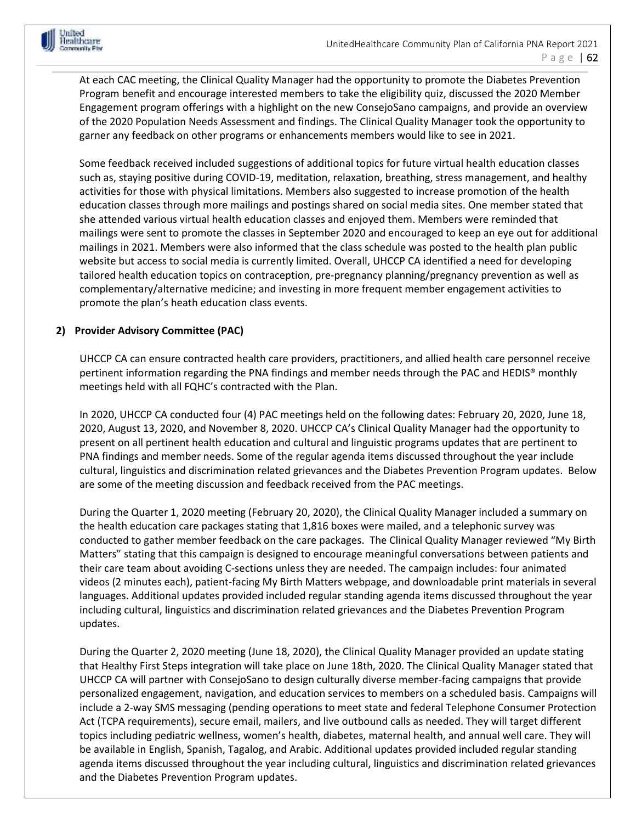

At each CAC meeting, the Clinical Quality Manager had the opportunity to promote the Diabetes Prevention Program benefit and encourage interested members to take the eligibility quiz, discussed the 2020 Member Engagement program offerings with a highlight on the new ConsejoSano campaigns, and provide an overview of the 2020 Population Needs Assessment and findings. The Clinical Quality Manager took the opportunity to garner any feedback on other programs or enhancements members would like to see in 2021.

Some feedback received included suggestions of additional topics for future virtual health education classes such as, staying positive during COVID-19, meditation, relaxation, breathing, stress management, and healthy activities for those with physical limitations. Members also suggested to increase promotion of the health education classes through more mailings and postings shared on social media sites. One member stated that she attended various virtual health education classes and enjoyed them. Members were reminded that mailings were sent to promote the classes in September 2020 and encouraged to keep an eye out for additional mailings in 2021. Members were also informed that the class schedule was posted to the health plan public website but access to social media is currently limited. Overall, UHCCP CA identified a need for developing tailored health education topics on contraception, pre-pregnancy planning/pregnancy prevention as well as complementary/alternative medicine; and investing in more frequent member engagement activities to promote the plan's heath education class events.

#### **2) Provider Advisory Committee (PAC)**

UHCCP CA can ensure contracted health care providers, practitioners, and allied health care personnel receive pertinent information regarding the PNA findings and member needs through the PAC and HEDIS® monthly meetings held with all FQHC's contracted with the Plan.

In 2020, UHCCP CA conducted four (4) PAC meetings held on the following dates: February 20, 2020, June 18, 2020, August 13, 2020, and November 8, 2020. UHCCP CA's Clinical Quality Manager had the opportunity to present on all pertinent health education and cultural and linguistic programs updates that are pertinent to PNA findings and member needs. Some of the regular agenda items discussed throughout the year include cultural, linguistics and discrimination related grievances and the Diabetes Prevention Program updates. Below are some of the meeting discussion and feedback received from the PAC meetings.

During the Quarter 1, 2020 meeting (February 20, 2020), the Clinical Quality Manager included a summary on the health education care packages stating that 1,816 boxes were mailed, and a telephonic survey was conducted to gather member feedback on the care packages. The Clinical Quality Manager reviewed "My Birth Matters" stating that this campaign is designed to encourage meaningful conversations between patients and their care team about avoiding C-sections unless they are needed. The campaign includes: four animated videos (2 minutes each), patient-facing My Birth Matters webpage, and downloadable print materials in several languages. Additional updates provided included regular standing agenda items discussed throughout the year including cultural, linguistics and discrimination related grievances and the Diabetes Prevention Program updates.

During the Quarter 2, 2020 meeting (June 18, 2020), the Clinical Quality Manager provided an update stating that Healthy First Steps integration will take place on June 18th, 2020. The Clinical Quality Manager stated that UHCCP CA will partner with ConsejoSano to design culturally diverse member-facing campaigns that provide personalized engagement, navigation, and education services to members on a scheduled basis. Campaigns will include a 2-way SMS messaging (pending operations to meet state and federal Telephone Consumer Protection Act (TCPA requirements), secure email, mailers, and live outbound calls as needed. They will target different topics including pediatric wellness, women's health, diabetes, maternal health, and annual well care. They will be available in English, Spanish, Tagalog, and Arabic. Additional updates provided included regular standing agenda items discussed throughout the year including cultural, linguistics and discrimination related grievances and the Diabetes Prevention Program updates.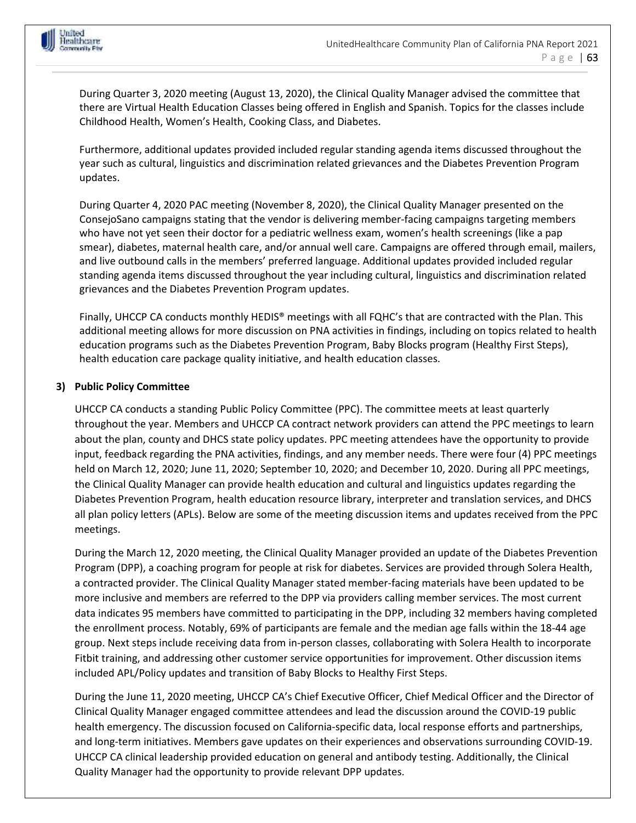During Quarter 3, 2020 meeting (August 13, 2020), the Clinical Quality Manager advised the committee that there are Virtual Health Education Classes being offered in English and Spanish. Topics for the classes include Childhood Health, Women's Health, Cooking Class, and Diabetes.

Furthermore, additional updates provided included regular standing agenda items discussed throughout the year such as cultural, linguistics and discrimination related grievances and the Diabetes Prevention Program updates.

During Quarter 4, 2020 PAC meeting (November 8, 2020), the Clinical Quality Manager presented on the ConsejoSano campaigns stating that the vendor is delivering member-facing campaigns targeting members who have not yet seen their doctor for a pediatric wellness exam, women's health screenings (like a pap smear), diabetes, maternal health care, and/or annual well care. Campaigns are offered through email, mailers, and live outbound calls in the members' preferred language. Additional updates provided included regular standing agenda items discussed throughout the year including cultural, linguistics and discrimination related grievances and the Diabetes Prevention Program updates.

Finally, UHCCP CA conducts monthly HEDIS® meetings with all FQHC's that are contracted with the Plan. This additional meeting allows for more discussion on PNA activities in findings, including on topics related to health education programs such as the Diabetes Prevention Program, Baby Blocks program (Healthy First Steps), health education care package quality initiative, and health education classes.

#### **3) Public Policy Committee**

UHCCP CA conducts a standing Public Policy Committee (PPC). The committee meets at least quarterly throughout the year. Members and UHCCP CA contract network providers can attend the PPC meetings to learn about the plan, county and DHCS state policy updates. PPC meeting attendees have the opportunity to provide input, feedback regarding the PNA activities, findings, and any member needs. There were four (4) PPC meetings held on March 12, 2020; June 11, 2020; September 10, 2020; and December 10, 2020. During all PPC meetings, the Clinical Quality Manager can provide health education and cultural and linguistics updates regarding the Diabetes Prevention Program, health education resource library, interpreter and translation services, and DHCS all plan policy letters (APLs). Below are some of the meeting discussion items and updates received from the PPC meetings.

During the March 12, 2020 meeting, the Clinical Quality Manager provided an update of the Diabetes Prevention Program (DPP), a coaching program for people at risk for diabetes. Services are provided through Solera Health, a contracted provider. The Clinical Quality Manager stated member-facing materials have been updated to be more inclusive and members are referred to the DPP via providers calling member services. The most current data indicates 95 members have committed to participating in the DPP, including 32 members having completed the enrollment process. Notably, 69% of participants are female and the median age falls within the 18-44 age group. Next steps include receiving data from in-person classes, collaborating with Solera Health to incorporate Fitbit training, and addressing other customer service opportunities for improvement. Other discussion items included APL/Policy updates and transition of Baby Blocks to Healthy First Steps.

During the June 11, 2020 meeting, UHCCP CA's Chief Executive Officer, Chief Medical Officer and the Director of Clinical Quality Manager engaged committee attendees and lead the discussion around the COVID-19 public health emergency. The discussion focused on California-specific data, local response efforts and partnerships, and long-term initiatives. Members gave updates on their experiences and observations surrounding COVID-19. UHCCP CA clinical leadership provided education on general and antibody testing. Additionally, the Clinical Quality Manager had the opportunity to provide relevant DPP updates.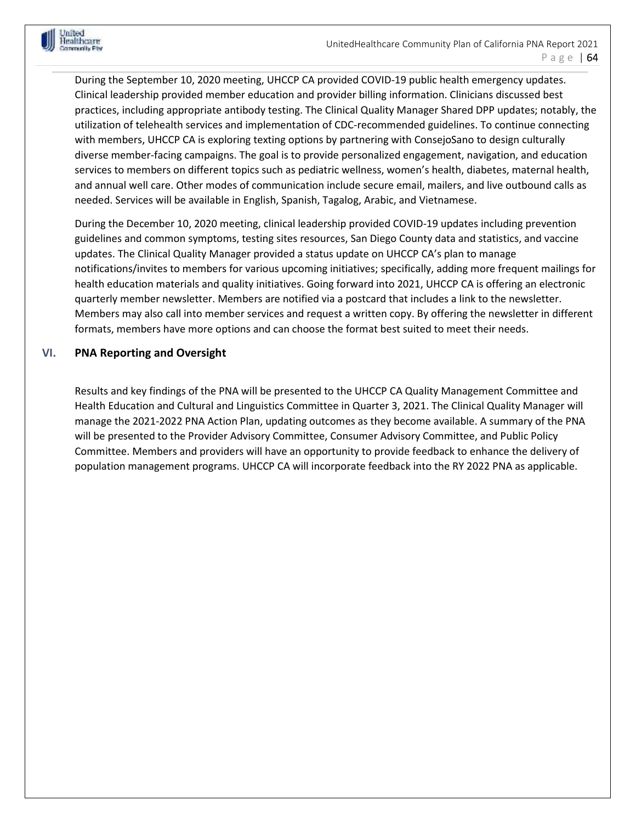

During the September 10, 2020 meeting, UHCCP CA provided COVID-19 public health emergency updates. Clinical leadership provided member education and provider billing information. Clinicians discussed best practices, including appropriate antibody testing. The Clinical Quality Manager Shared DPP updates; notably, the utilization of telehealth services and implementation of CDC-recommended guidelines. To continue connecting with members, UHCCP CA is exploring texting options by partnering with ConsejoSano to design culturally diverse member-facing campaigns. The goal is to provide personalized engagement, navigation, and education services to members on different topics such as pediatric wellness, women's health, diabetes, maternal health, and annual well care. Other modes of communication include secure email, mailers, and live outbound calls as needed. Services will be available in English, Spanish, Tagalog, Arabic, and Vietnamese.

During the December 10, 2020 meeting, clinical leadership provided COVID-19 updates including prevention guidelines and common symptoms, testing sites resources, San Diego County data and statistics, and vaccine updates. The Clinical Quality Manager provided a status update on UHCCP CA's plan to manage notifications/invites to members for various upcoming initiatives; specifically, adding more frequent mailings for health education materials and quality initiatives. Going forward into 2021, UHCCP CA is offering an electronic quarterly member newsletter. Members are notified via a postcard that includes a link to the newsletter. Members may also call into member services and request a written copy. By offering the newsletter in different formats, members have more options and can choose the format best suited to meet their needs.

#### **VI. PNA Reporting and Oversight**

Results and key findings of the PNA will be presented to the UHCCP CA Quality Management Committee and Health Education and Cultural and Linguistics Committee in Quarter 3, 2021. The Clinical Quality Manager will manage the 2021-2022 PNA Action Plan, updating outcomes as they become available. A summary of the PNA will be presented to the Provider Advisory Committee, Consumer Advisory Committee, and Public Policy Committee. Members and providers will have an opportunity to provide feedback to enhance the delivery of population management programs. UHCCP CA will incorporate feedback into the RY 2022 PNA as applicable.